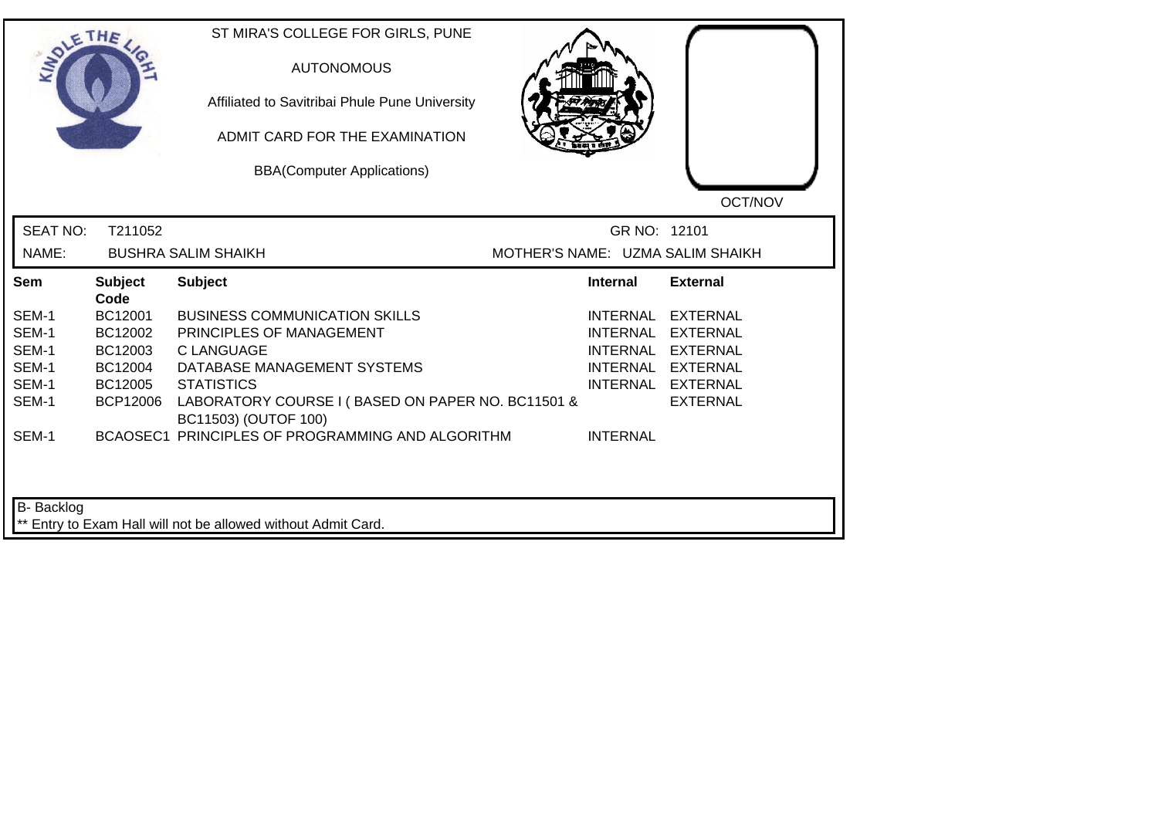| <b>LANDLE</b>   | THE                    | ST MIRA'S COLLEGE FOR GIRLS, PUNE<br><b>AUTONOMOUS</b><br>Affiliated to Savitribai Phule Pune University<br>ADMIT CARD FOR THE EXAMINATION<br><b>BBA(Computer Applications)</b> |                                  | OCT/NOV           |
|-----------------|------------------------|---------------------------------------------------------------------------------------------------------------------------------------------------------------------------------|----------------------------------|-------------------|
| <b>SEAT NO:</b> | T211052                |                                                                                                                                                                                 | GR NO: 12101                     |                   |
| NAME:           |                        | <b>BUSHRA SALIM SHAIKH</b>                                                                                                                                                      | MOTHER'S NAME: UZMA SALIM SHAIKH |                   |
| Sem             | <b>Subject</b><br>Code | <b>Subject</b>                                                                                                                                                                  | <b>Internal</b>                  | <b>External</b>   |
| SEM-1           | BC12001                | <b>BUSINESS COMMUNICATION SKILLS</b>                                                                                                                                            | INTERNAL                         | <b>EXTERNAL</b>   |
| SEM-1           | BC12002                | PRINCIPLES OF MANAGEMENT                                                                                                                                                        | <b>INTERNAL</b>                  | <b>EXTERNAL</b>   |
| SEM-1           | BC12003                | C LANGUAGE                                                                                                                                                                      | <b>INTERNAL</b>                  | EXTERNAL          |
| SEM-1           | BC12004                | DATABASE MANAGEMENT SYSTEMS                                                                                                                                                     |                                  | INTERNAL EXTERNAL |
| SEM-1           | BC12005                | <b>STATISTICS</b>                                                                                                                                                               |                                  | INTERNAL EXTERNAL |
| SEM-1           | <b>BCP12006</b>        | LABORATORY COURSE I (BASED ON PAPER NO. BC11501 &<br>BC11503) (OUTOF 100)                                                                                                       |                                  | <b>EXTERNAL</b>   |
| SEM-1           |                        | BCAOSEC1 PRINCIPLES OF PROGRAMMING AND ALGORITHM                                                                                                                                | <b>INTERNAL</b>                  |                   |
| B- Backlog      |                        | ** Entry to Exam Hall will not be allowed without Admit Card.                                                                                                                   |                                  |                   |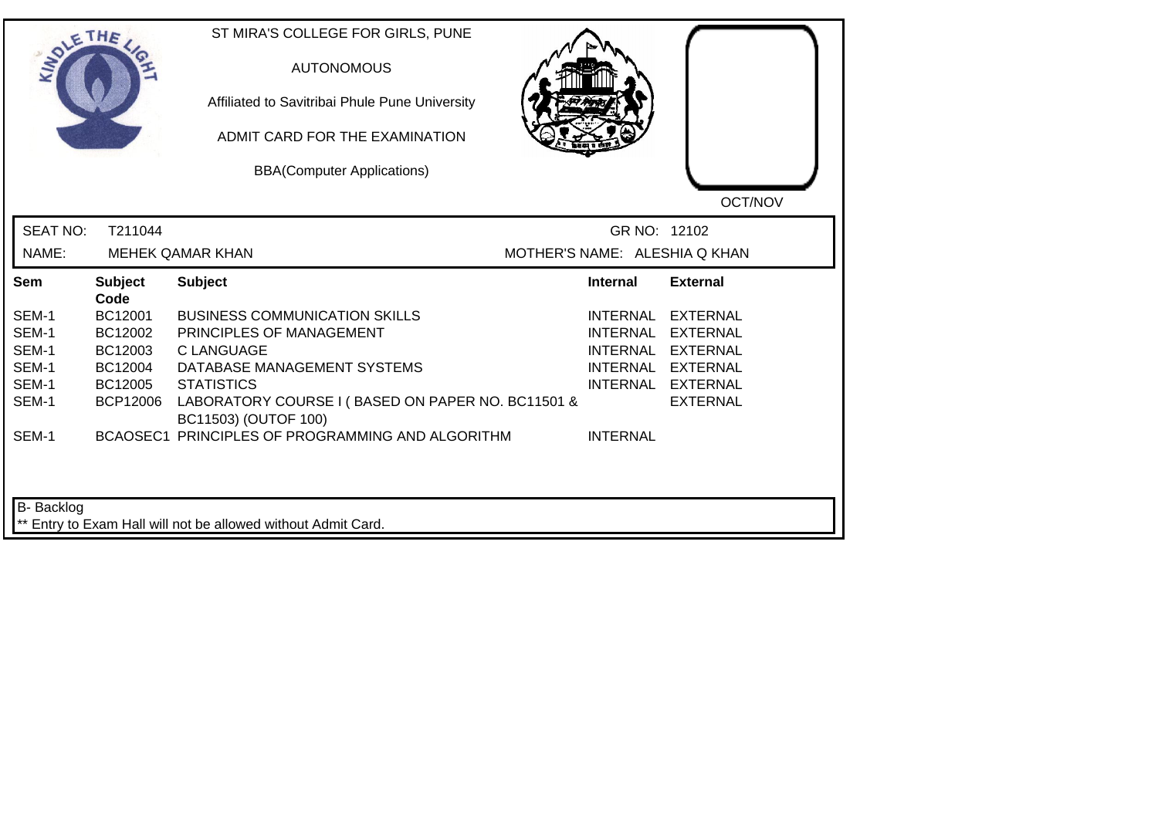| <b>SIDLE</b>    | THE                    | ST MIRA'S COLLEGE FOR GIRLS, PUNE<br><b>AUTONOMOUS</b><br>Affiliated to Savitribai Phule Pune University<br>ADMIT CARD FOR THE EXAMINATION<br><b>BBA(Computer Applications)</b> |                 | OCT/NOV                       |
|-----------------|------------------------|---------------------------------------------------------------------------------------------------------------------------------------------------------------------------------|-----------------|-------------------------------|
| <b>SEAT NO:</b> | T211044                |                                                                                                                                                                                 | GR NO: 12102    |                               |
| NAME:           |                        | <b>MEHEK QAMAR KHAN</b>                                                                                                                                                         |                 | MOTHER'S NAME: ALESHIA Q KHAN |
| Sem             | <b>Subject</b><br>Code | <b>Subject</b>                                                                                                                                                                  | <b>Internal</b> | <b>External</b>               |
| SEM-1           | BC12001                | <b>BUSINESS COMMUNICATION SKILLS</b>                                                                                                                                            | <b>INTERNAL</b> | <b>EXTERNAL</b>               |
| SEM-1           | BC12002                | PRINCIPLES OF MANAGEMENT                                                                                                                                                        | <b>INTERNAL</b> | <b>EXTERNAL</b>               |
| SEM-1           | BC12003                | <b>C LANGUAGE</b>                                                                                                                                                               | <b>INTERNAL</b> | EXTERNAL                      |
| SEM-1           | BC12004                | DATABASE MANAGEMENT SYSTEMS                                                                                                                                                     |                 | INTERNAL EXTERNAL             |
| SEM-1           | BC12005                | <b>STATISTICS</b>                                                                                                                                                               |                 | INTERNAL EXTERNAL             |
| SEM-1           | BCP12006               | LABORATORY COURSE I (BASED ON PAPER NO. BC11501 &<br>BC11503) (OUTOF 100)                                                                                                       |                 | <b>EXTERNAL</b>               |
| SEM-1           |                        | BCAOSEC1 PRINCIPLES OF PROGRAMMING AND ALGORITHM                                                                                                                                | <b>INTERNAL</b> |                               |
| B- Backlog      |                        | ** Entry to Exam Hall will not be allowed without Admit Card.                                                                                                                   |                 |                               |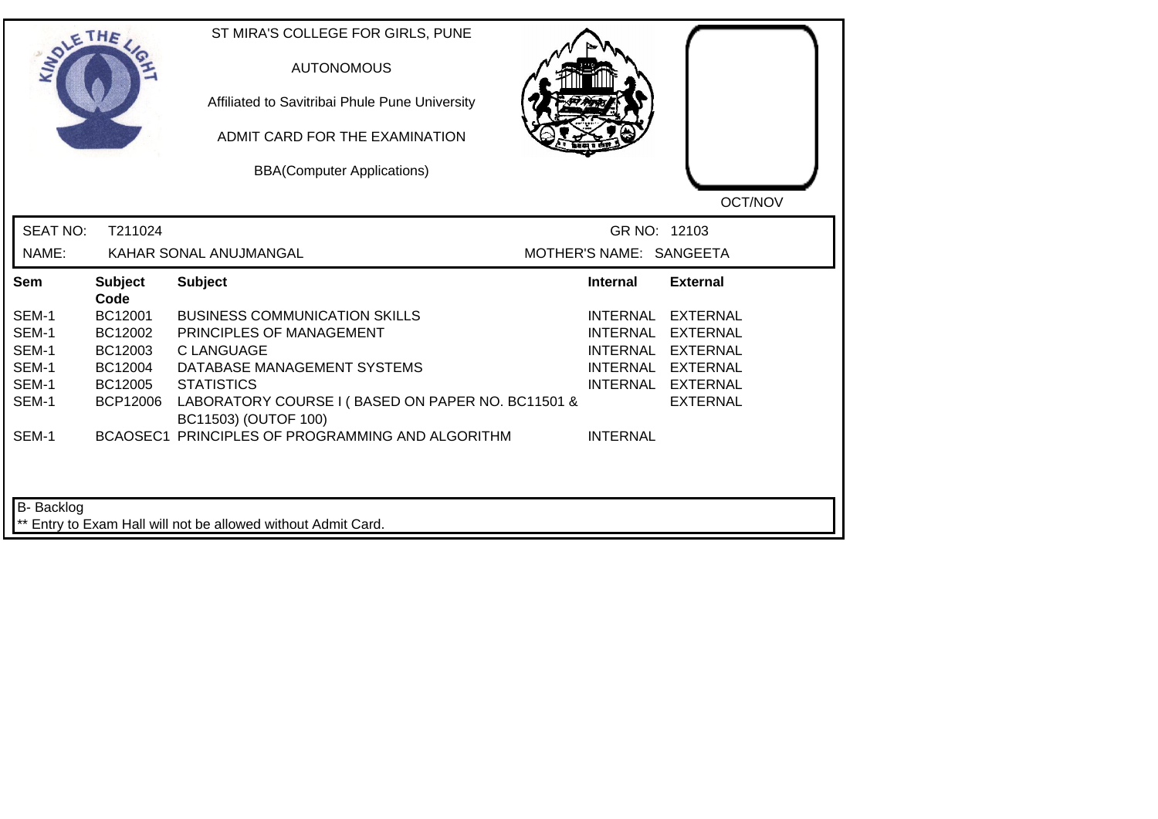| <b>LANDLE</b>   | THE                    | ST MIRA'S COLLEGE FOR GIRLS, PUNE<br><b>AUTONOMOUS</b><br>Affiliated to Savitribai Phule Pune University<br>ADMIT CARD FOR THE EXAMINATION<br><b>BBA(Computer Applications)</b> |                         | OCT/NOV           |
|-----------------|------------------------|---------------------------------------------------------------------------------------------------------------------------------------------------------------------------------|-------------------------|-------------------|
| <b>SEAT NO:</b> | T211024                |                                                                                                                                                                                 | GR NO: 12103            |                   |
| NAME:           |                        | KAHAR SONAL ANUJMANGAL                                                                                                                                                          | MOTHER'S NAME: SANGEETA |                   |
| Sem             | <b>Subject</b><br>Code | <b>Subject</b>                                                                                                                                                                  | Internal                | <b>External</b>   |
| SEM-1           | BC12001                | <b>BUSINESS COMMUNICATION SKILLS</b>                                                                                                                                            | INTERNAL                | <b>EXTERNAL</b>   |
| SEM-1           | BC12002                | PRINCIPLES OF MANAGEMENT                                                                                                                                                        | <b>INTERNAL</b>         | <b>EXTERNAL</b>   |
| SEM-1           | BC12003                | C LANGUAGE                                                                                                                                                                      | <b>INTERNAL</b>         | EXTERNAL          |
| SEM-1           | BC12004                | DATABASE MANAGEMENT SYSTEMS                                                                                                                                                     |                         | INTERNAL EXTERNAL |
| SEM-1           | BC12005                | <b>STATISTICS</b>                                                                                                                                                               |                         | INTERNAL EXTERNAL |
| SEM-1           | <b>BCP12006</b>        | LABORATORY COURSE I (BASED ON PAPER NO. BC11501 &<br>BC11503) (OUTOF 100)                                                                                                       |                         | <b>EXTERNAL</b>   |
| SEM-1           |                        | BCAOSEC1 PRINCIPLES OF PROGRAMMING AND ALGORITHM                                                                                                                                | <b>INTERNAL</b>         |                   |
| B- Backlog      |                        | ** Entry to Exam Hall will not be allowed without Admit Card.                                                                                                                   |                         |                   |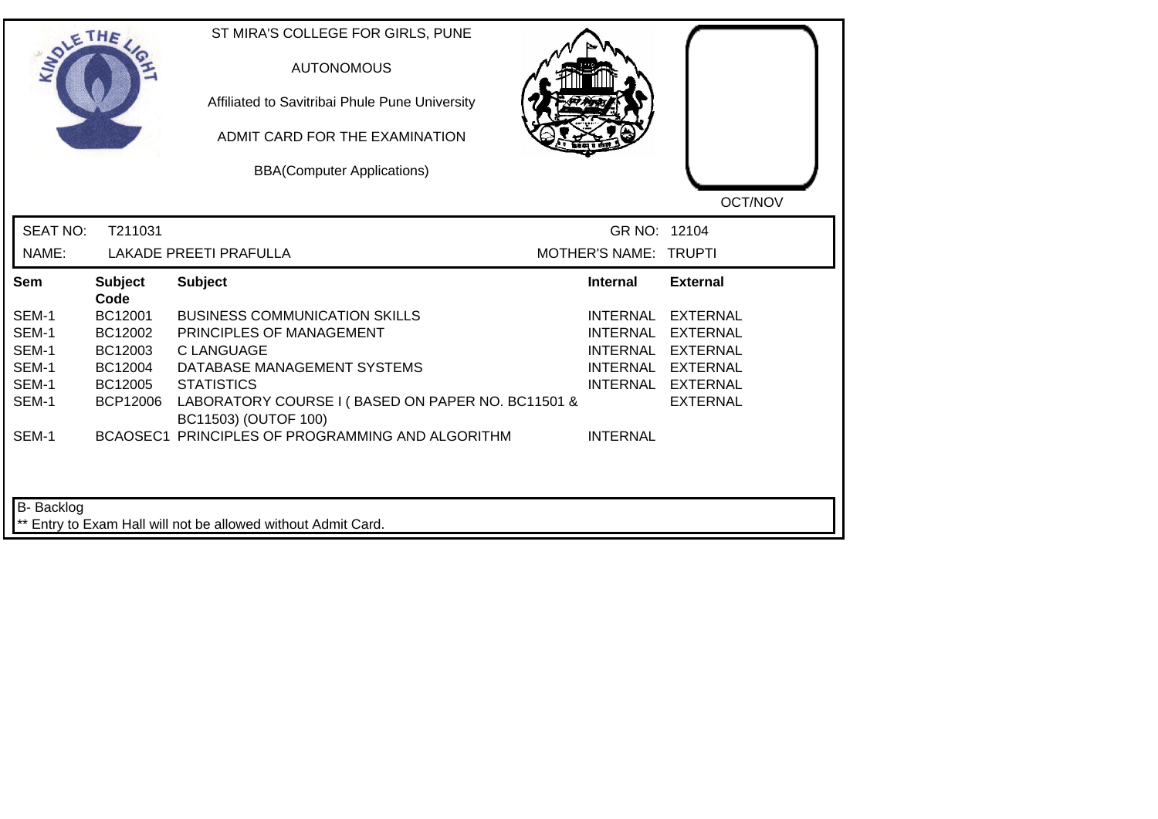| SOLETHE.        |                        | ST MIRA'S COLLEGE FOR GIRLS, PUNE<br><b>AUTONOMOUS</b><br>Affiliated to Savitribai Phule Pune University<br>ADMIT CARD FOR THE EXAMINATION<br><b>BBA(Computer Applications)</b> |                       | OCT/NOV           |
|-----------------|------------------------|---------------------------------------------------------------------------------------------------------------------------------------------------------------------------------|-----------------------|-------------------|
| <b>SEAT NO:</b> | T211031                |                                                                                                                                                                                 | GR NO: 12104          |                   |
| NAME:           |                        | <b>LAKADE PREETI PRAFULLA</b>                                                                                                                                                   | MOTHER'S NAME: TRUPTI |                   |
| Sem             | <b>Subject</b><br>Code | <b>Subject</b>                                                                                                                                                                  | <b>Internal</b>       | <b>External</b>   |
| SEM-1           | BC12001                | <b>BUSINESS COMMUNICATION SKILLS</b>                                                                                                                                            | <b>INTERNAL</b>       | <b>EXTERNAL</b>   |
| SEM-1           | BC12002                | PRINCIPLES OF MANAGEMENT                                                                                                                                                        | <b>INTERNAL</b>       | <b>EXTERNAL</b>   |
| SEM-1           | BC12003                | <b>C LANGUAGE</b>                                                                                                                                                               | <b>INTERNAL</b>       | <b>EXTERNAL</b>   |
| SEM-1           | BC12004                | DATABASE MANAGEMENT SYSTEMS                                                                                                                                                     |                       | INTERNAL EXTERNAL |
| SEM-1           | BC12005                | <b>STATISTICS</b>                                                                                                                                                               |                       | INTERNAL EXTERNAL |
| SEM-1           | <b>BCP12006</b>        | LABORATORY COURSE I (BASED ON PAPER NO. BC11501 &<br>BC11503) (OUTOF 100)                                                                                                       |                       | <b>EXTERNAL</b>   |
| SEM-1           |                        | BCAOSEC1 PRINCIPLES OF PROGRAMMING AND ALGORITHM                                                                                                                                | <b>INTERNAL</b>       |                   |
| B- Backlog      |                        | ** Entry to Exam Hall will not be allowed without Admit Card.                                                                                                                   |                       |                   |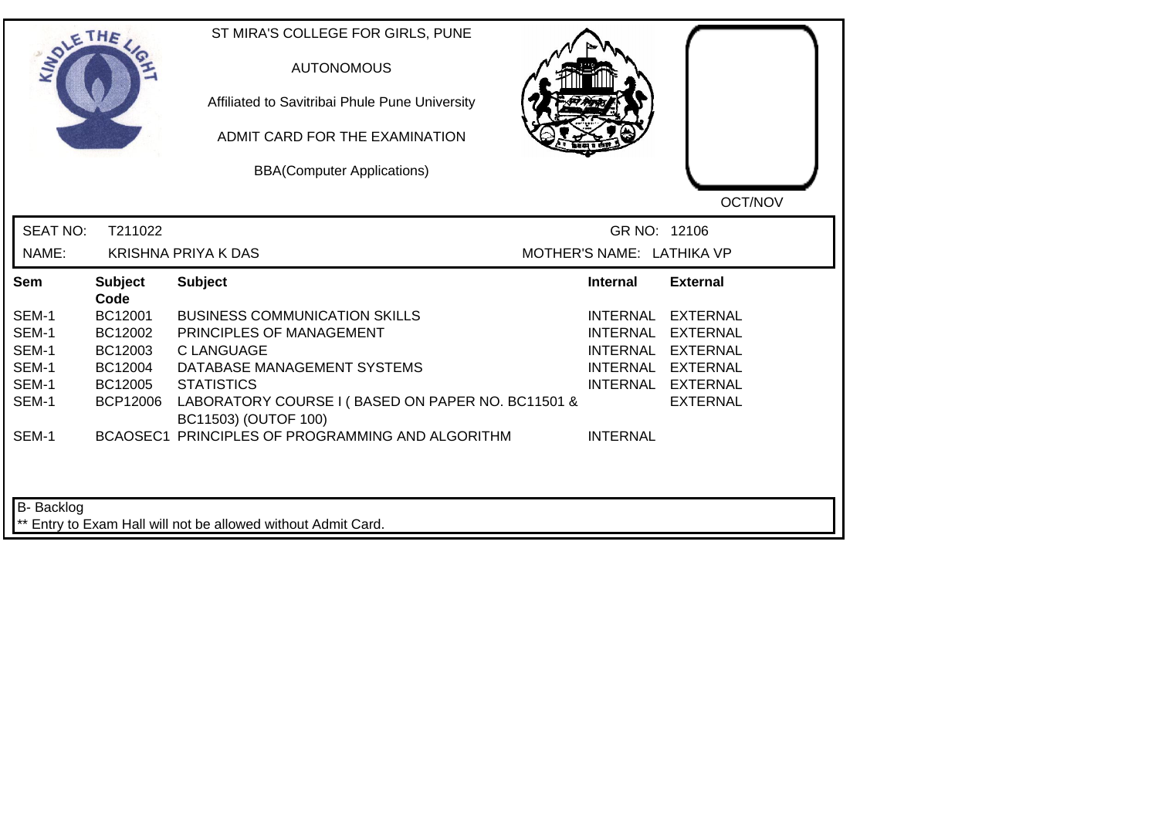|                 | THE                    | ST MIRA'S COLLEGE FOR GIRLS, PUNE<br><b>AUTONOMOUS</b><br>Affiliated to Savitribai Phule Pune University<br>ADMIT CARD FOR THE EXAMINATION<br><b>BBA(Computer Applications)</b> |                           | OCT/NOV           |
|-----------------|------------------------|---------------------------------------------------------------------------------------------------------------------------------------------------------------------------------|---------------------------|-------------------|
| <b>SEAT NO:</b> | T211022                |                                                                                                                                                                                 | GR NO: 12106              |                   |
| NAME:           |                        | <b>KRISHNA PRIYA K DAS</b>                                                                                                                                                      | MOTHER'S NAME: LATHIKA VP |                   |
| Sem             | <b>Subject</b><br>Code | <b>Subject</b>                                                                                                                                                                  | <b>Internal</b>           | <b>External</b>   |
| SEM-1           | BC12001                | <b>BUSINESS COMMUNICATION SKILLS</b>                                                                                                                                            | INTERNAL                  | EXTERNAL          |
| SEM-1           | BC12002                | PRINCIPLES OF MANAGEMENT                                                                                                                                                        | INTERNAL                  | EXTERNAL          |
| SEM-1           | BC12003                | <b>CLANGUAGE</b>                                                                                                                                                                |                           | INTERNAL EXTERNAL |
| SEM-1           | BC12004                | DATABASE MANAGEMENT SYSTEMS                                                                                                                                                     |                           | INTERNAL EXTERNAL |
| SEM-1           | BC12005                | <b>STATISTICS</b>                                                                                                                                                               |                           | INTERNAL EXTERNAL |
| SEM-1           | <b>BCP12006</b>        | LABORATORY COURSE I (BASED ON PAPER NO. BC11501 &<br>BC11503) (OUTOF 100)                                                                                                       |                           | <b>EXTERNAL</b>   |
| SEM-1           |                        | BCAOSEC1 PRINCIPLES OF PROGRAMMING AND ALGORITHM                                                                                                                                | <b>INTERNAL</b>           |                   |
| B- Backlog      |                        | ** Entry to Exam Hall will not be allowed without Admit Card.                                                                                                                   |                           |                   |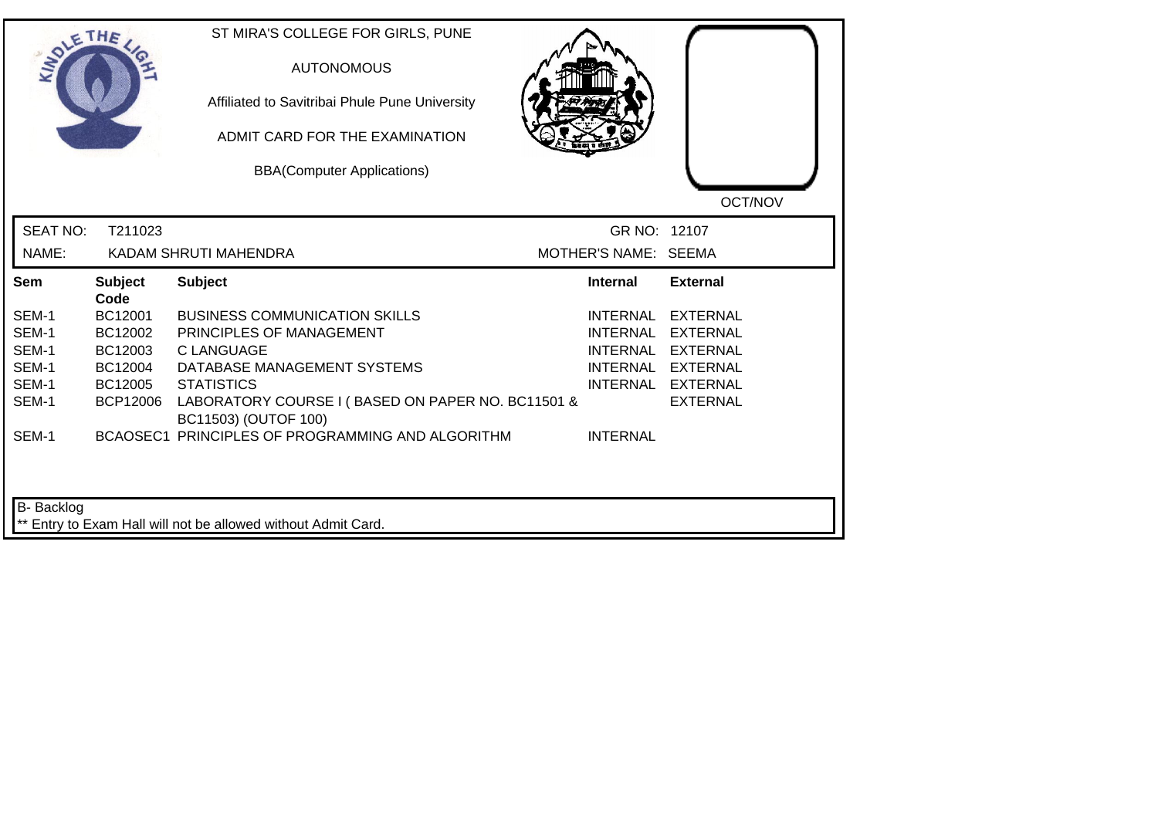| SOLE THE                 |                        | ST MIRA'S COLLEGE FOR GIRLS, PUNE<br><b>AUTONOMOUS</b><br>Affiliated to Savitribai Phule Pune University<br>ADMIT CARD FOR THE EXAMINATION<br><b>BBA(Computer Applications)</b> |                      | OCT/NOV           |
|--------------------------|------------------------|---------------------------------------------------------------------------------------------------------------------------------------------------------------------------------|----------------------|-------------------|
| <b>SEAT NO:</b><br>NAME: | T211023                | KADAM SHRUTI MAHENDRA                                                                                                                                                           | MOTHER'S NAME: SEEMA | GR NO: 12107      |
|                          |                        |                                                                                                                                                                                 |                      |                   |
| Sem                      | <b>Subject</b><br>Code | <b>Subject</b>                                                                                                                                                                  | <b>Internal</b>      | <b>External</b>   |
| SEM-1                    | BC12001                | <b>BUSINESS COMMUNICATION SKILLS</b>                                                                                                                                            | <b>INTERNAL</b>      | <b>EXTERNAL</b>   |
| SEM-1                    | BC12002                | PRINCIPLES OF MANAGEMENT                                                                                                                                                        | <b>INTERNAL</b>      | <b>EXTERNAL</b>   |
| SEM-1                    | BC12003                | C LANGUAGE                                                                                                                                                                      | <b>INTERNAL</b>      | <b>EXTERNAL</b>   |
| SEM-1                    | BC12004                | DATABASE MANAGEMENT SYSTEMS                                                                                                                                                     |                      | INTERNAL EXTERNAL |
| SEM-1                    | BC12005                | <b>STATISTICS</b>                                                                                                                                                               |                      | INTERNAL EXTERNAL |
| SEM-1                    | <b>BCP12006</b>        | LABORATORY COURSE I (BASED ON PAPER NO. BC11501 &<br>BC11503) (OUTOF 100)                                                                                                       |                      | <b>EXTERNAL</b>   |
| SEM-1                    |                        | BCAOSEC1 PRINCIPLES OF PROGRAMMING AND ALGORITHM                                                                                                                                | <b>INTERNAL</b>      |                   |
|                          |                        |                                                                                                                                                                                 |                      |                   |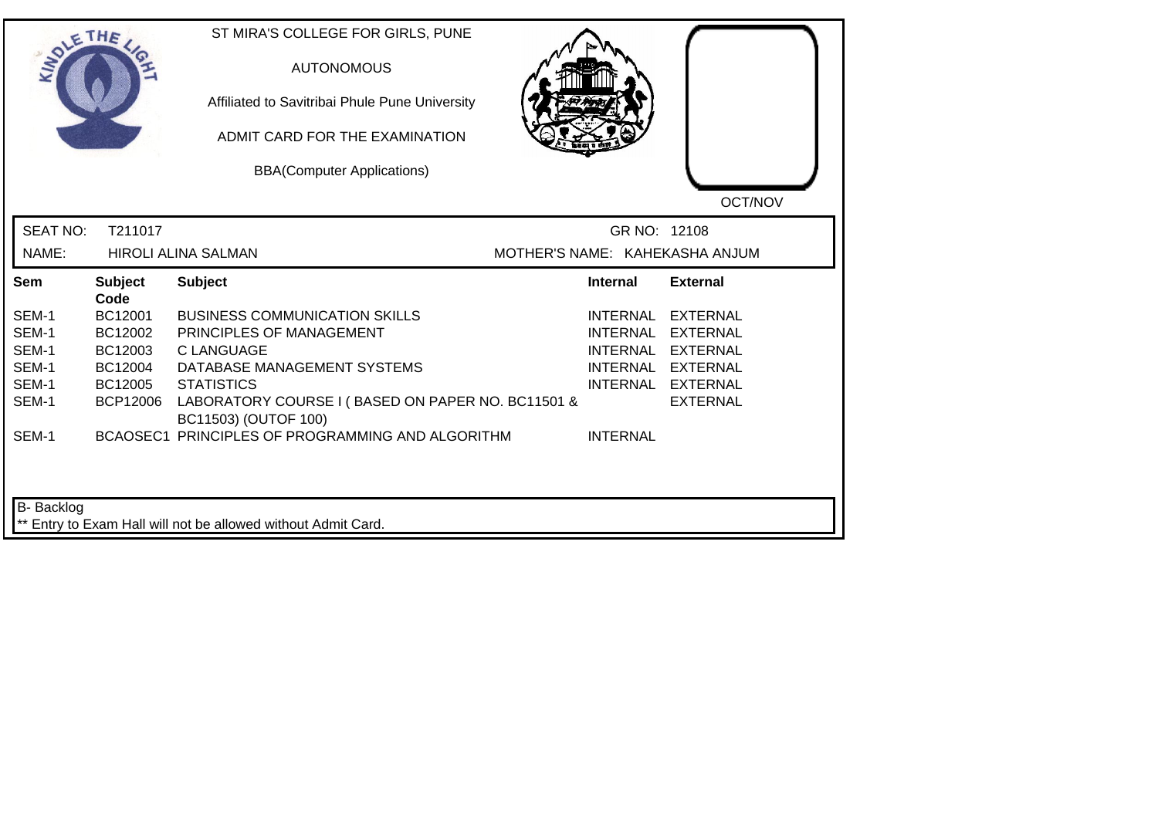| <b>LANDLE</b>     | THE                    | ST MIRA'S COLLEGE FOR GIRLS, PUNE<br><b>AUTONOMOUS</b><br>Affiliated to Savitribai Phule Pune University<br>ADMIT CARD FOR THE EXAMINATION<br><b>BBA(Computer Applications)</b> |                                | OCT/NOV           |
|-------------------|------------------------|---------------------------------------------------------------------------------------------------------------------------------------------------------------------------------|--------------------------------|-------------------|
| <b>SEAT NO:</b>   | T211017                |                                                                                                                                                                                 | GR NO: 12108                   |                   |
| NAME:             |                        | <b>HIROLI ALINA SALMAN</b>                                                                                                                                                      | MOTHER'S NAME: KAHEKASHA ANJUM |                   |
| Sem               | <b>Subject</b><br>Code | <b>Subject</b>                                                                                                                                                                  | <b>Internal</b>                | <b>External</b>   |
| SEM-1             | BC12001                | <b>BUSINESS COMMUNICATION SKILLS</b>                                                                                                                                            | INTERNAL                       | <b>EXTERNAL</b>   |
| SEM-1             | BC12002                | PRINCIPLES OF MANAGEMENT                                                                                                                                                        | <b>INTERNAL</b>                | <b>EXTERNAL</b>   |
| SEM-1             | BC12003                | <b>CLANGUAGE</b>                                                                                                                                                                | <b>INTERNAL</b>                | <b>EXTERNAL</b>   |
| SEM-1             | BC12004                | DATABASE MANAGEMENT SYSTEMS                                                                                                                                                     |                                | INTERNAL EXTERNAL |
| SEM-1             | BC12005                | <b>STATISTICS</b>                                                                                                                                                               |                                | INTERNAL EXTERNAL |
| SEM-1             | <b>BCP12006</b>        | LABORATORY COURSE I (BASED ON PAPER NO. BC11501 &<br>BC11503) (OUTOF 100)                                                                                                       |                                | <b>EXTERNAL</b>   |
| SEM-1             |                        | BCAOSEC1 PRINCIPLES OF PROGRAMMING AND ALGORITHM                                                                                                                                | <b>INTERNAL</b>                |                   |
| <b>B-</b> Backlog |                        | ** Entry to Exam Hall will not be allowed without Admit Card.                                                                                                                   |                                |                   |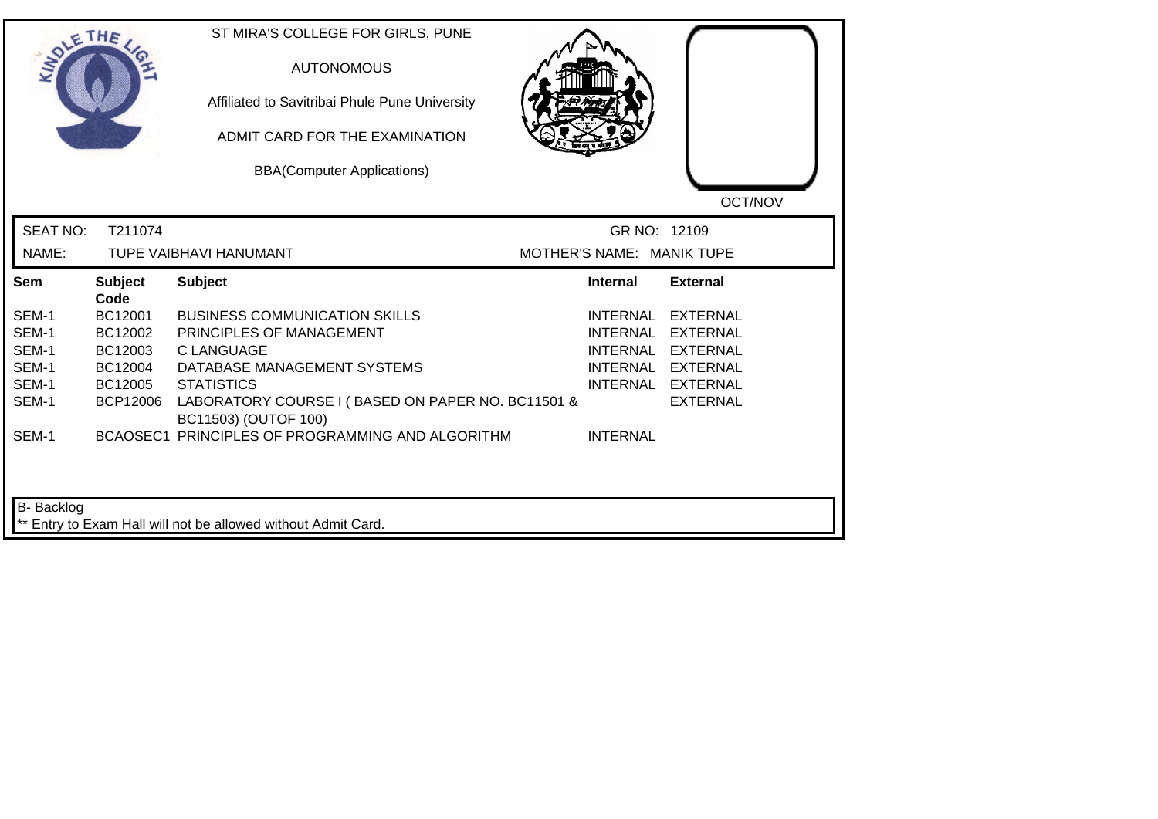| <b>SIDLE</b>      | THE                    | ST MIRA'S COLLEGE FOR GIRLS, PUNE<br><b>AUTONOMOUS</b><br>Affiliated to Savitribai Phule Pune University<br>ADMIT CARD FOR THE EXAMINATION<br><b>BBA(Computer Applications)</b> |                           | OCT/NOV           |
|-------------------|------------------------|---------------------------------------------------------------------------------------------------------------------------------------------------------------------------------|---------------------------|-------------------|
| <b>SEAT NO:</b>   | T211074                |                                                                                                                                                                                 | GR NO: 12109              |                   |
| NAME:             |                        | TUPE VAIBHAVI HANUMANT                                                                                                                                                          | MOTHER'S NAME: MANIK TUPE |                   |
| Sem               | <b>Subject</b><br>Code | <b>Subject</b>                                                                                                                                                                  | Internal                  | <b>External</b>   |
| SEM-1             | BC12001                | <b>BUSINESS COMMUNICATION SKILLS</b>                                                                                                                                            | <b>INTERNAL</b>           | <b>EXTERNAL</b>   |
| SEM-1             | BC12002                | PRINCIPLES OF MANAGEMENT                                                                                                                                                        | <b>INTERNAL</b>           | <b>EXTERNAL</b>   |
| SEM-1             | BC12003                | <b>C LANGUAGE</b>                                                                                                                                                               | INTERNAL                  | <b>EXTERNAL</b>   |
| SEM-1             | BC12004                | DATABASE MANAGEMENT SYSTEMS                                                                                                                                                     |                           | INTERNAL EXTERNAL |
| SEM-1             | BC12005                | <b>STATISTICS</b>                                                                                                                                                               |                           | INTERNAL EXTERNAL |
| SEM-1             | BCP12006               | LABORATORY COURSE I (BASED ON PAPER NO. BC11501 &<br>BC11503) (OUTOF 100)                                                                                                       |                           | <b>EXTERNAL</b>   |
| SEM-1             |                        | BCAOSEC1 PRINCIPLES OF PROGRAMMING AND ALGORITHM                                                                                                                                | <b>INTERNAL</b>           |                   |
| <b>B-</b> Backlog |                        | ** Entry to Exam Hall will not be allowed without Admit Card.                                                                                                                   |                           |                   |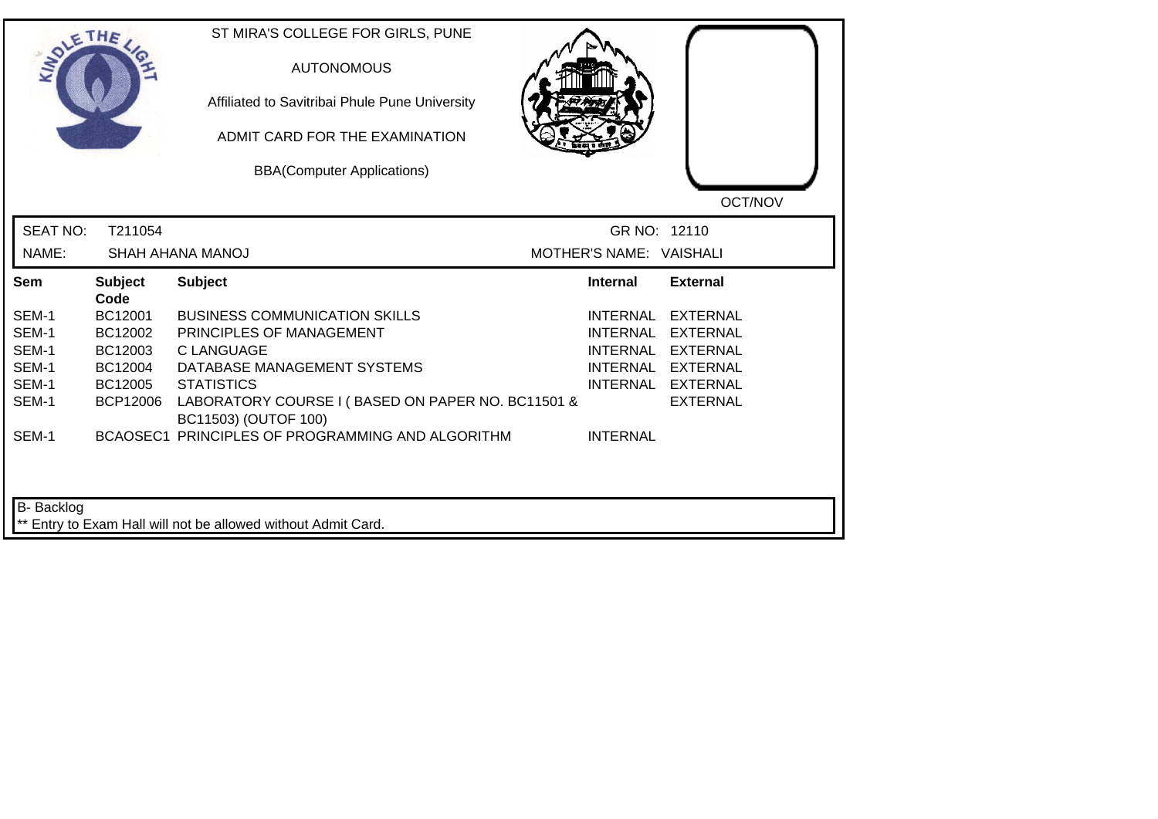|                 | THE                    | ST MIRA'S COLLEGE FOR GIRLS, PUNE<br><b>AUTONOMOUS</b><br>Affiliated to Savitribai Phule Pune University<br>ADMIT CARD FOR THE EXAMINATION<br><b>BBA(Computer Applications)</b> |                         | OCT/NOV           |
|-----------------|------------------------|---------------------------------------------------------------------------------------------------------------------------------------------------------------------------------|-------------------------|-------------------|
| <b>SEAT NO:</b> | T211054                |                                                                                                                                                                                 | GR NO: 12110            |                   |
| NAME:           |                        | SHAH AHANA MANOJ                                                                                                                                                                | MOTHER'S NAME: VAISHALI |                   |
| Sem             | <b>Subject</b><br>Code | <b>Subject</b>                                                                                                                                                                  | <b>Internal</b>         | <b>External</b>   |
| SEM-1           | BC12001                | <b>BUSINESS COMMUNICATION SKILLS</b>                                                                                                                                            | INTERNAL                | <b>EXTERNAL</b>   |
| SEM-1           | BC12002                | PRINCIPLES OF MANAGEMENT                                                                                                                                                        | <b>INTERNAL</b>         | <b>EXTERNAL</b>   |
| SEM-1           | BC12003                | <b>CLANGUAGE</b>                                                                                                                                                                | <b>INTERNAL</b>         | <b>EXTERNAL</b>   |
| SEM-1           | BC12004                | DATABASE MANAGEMENT SYSTEMS                                                                                                                                                     |                         | INTERNAL EXTERNAL |
| SEM-1           | BC12005                | <b>STATISTICS</b>                                                                                                                                                               |                         | INTERNAL EXTERNAL |
| SEM-1           | <b>BCP12006</b>        | LABORATORY COURSE I (BASED ON PAPER NO. BC11501 &<br>BC11503) (OUTOF 100)                                                                                                       |                         | <b>EXTERNAL</b>   |
| SEM-1           |                        | BCAOSEC1 PRINCIPLES OF PROGRAMMING AND ALGORITHM                                                                                                                                | <b>INTERNAL</b>         |                   |
| B- Backlog      |                        | ** Entry to Exam Hall will not be allowed without Admit Card.                                                                                                                   |                         |                   |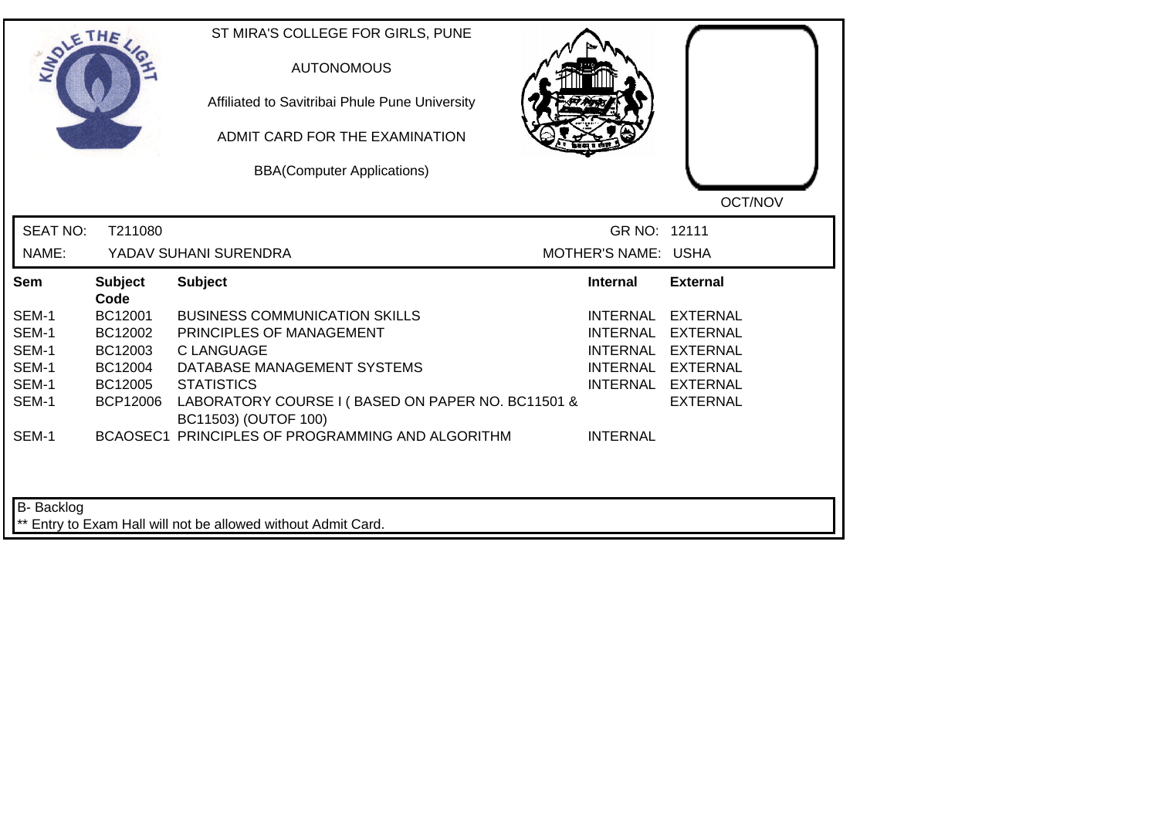| SOLE THE        |                        | ST MIRA'S COLLEGE FOR GIRLS, PUNE<br><b>AUTONOMOUS</b><br>Affiliated to Savitribai Phule Pune University<br>ADMIT CARD FOR THE EXAMINATION<br><b>BBA(Computer Applications)</b> |                     | OCT/NOV           |
|-----------------|------------------------|---------------------------------------------------------------------------------------------------------------------------------------------------------------------------------|---------------------|-------------------|
| <b>SEAT NO:</b> | T211080                |                                                                                                                                                                                 | GR NO: 12111        |                   |
| NAME:           |                        | YADAV SUHANI SURENDRA                                                                                                                                                           | MOTHER'S NAME: USHA |                   |
| Sem             | <b>Subject</b><br>Code | <b>Subject</b>                                                                                                                                                                  | <b>Internal</b>     | <b>External</b>   |
| SEM-1           | BC12001                | <b>BUSINESS COMMUNICATION SKILLS</b>                                                                                                                                            | <b>INTERNAL</b>     | <b>EXTERNAL</b>   |
| SEM-1           | BC12002                | PRINCIPLES OF MANAGEMENT                                                                                                                                                        | <b>INTERNAL</b>     | <b>EXTERNAL</b>   |
| SEM-1           | BC12003                | <b>C LANGUAGE</b>                                                                                                                                                               |                     | INTERNAL EXTERNAL |
| SEM-1           | BC12004                | DATABASE MANAGEMENT SYSTEMS                                                                                                                                                     |                     | INTERNAL EXTERNAL |
| SEM-1           | BC12005                | <b>STATISTICS</b>                                                                                                                                                               |                     | INTERNAL EXTERNAL |
| SEM-1           | BCP12006               | LABORATORY COURSE I (BASED ON PAPER NO. BC11501 &<br>BC11503) (OUTOF 100)                                                                                                       |                     | <b>EXTERNAL</b>   |
| SEM-1           |                        | BCAOSEC1 PRINCIPLES OF PROGRAMMING AND ALGORITHM                                                                                                                                | <b>INTERNAL</b>     |                   |
| B- Backlog      |                        | ** Entry to Exam Hall will not be allowed without Admit Card.                                                                                                                   |                     |                   |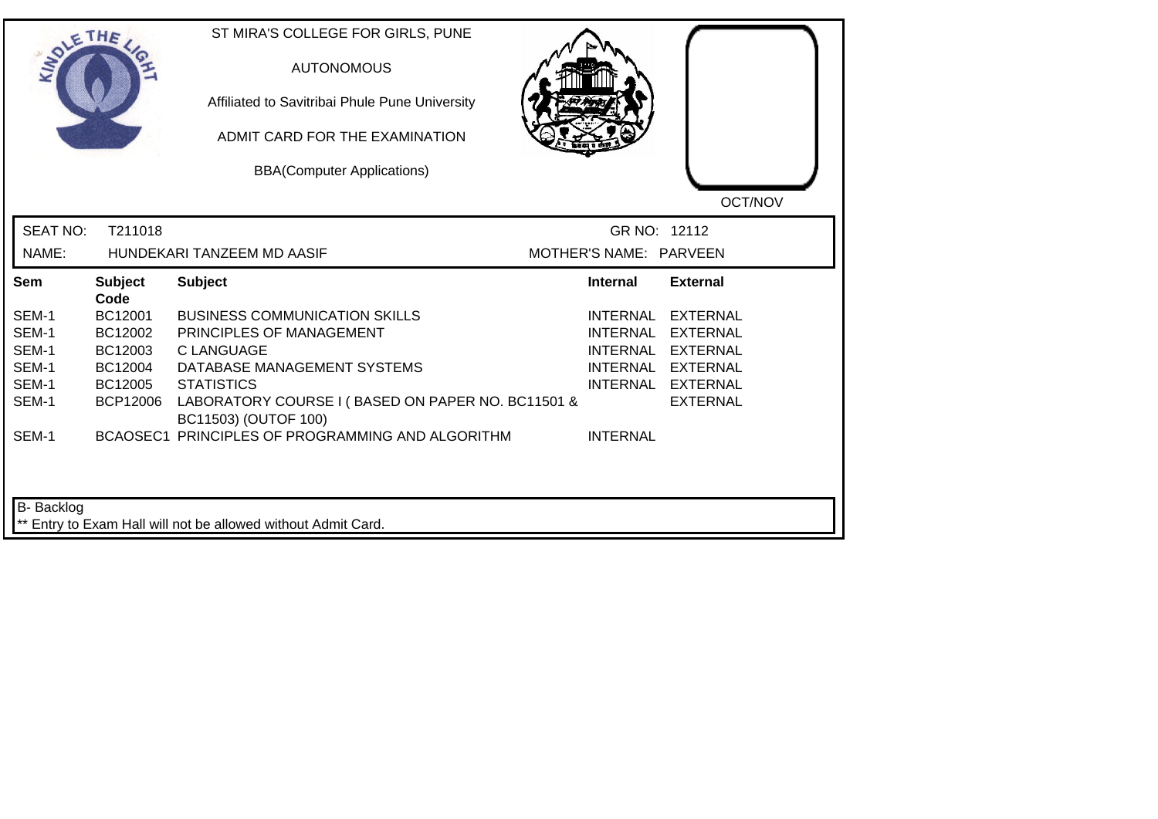| <b>LANDLE</b>   | THE                    | ST MIRA'S COLLEGE FOR GIRLS, PUNE<br><b>AUTONOMOUS</b><br>Affiliated to Savitribai Phule Pune University<br>ADMIT CARD FOR THE EXAMINATION<br><b>BBA(Computer Applications)</b> |                        | OCT/NOV           |
|-----------------|------------------------|---------------------------------------------------------------------------------------------------------------------------------------------------------------------------------|------------------------|-------------------|
| <b>SEAT NO:</b> | T211018                |                                                                                                                                                                                 | GR NO: 12112           |                   |
| NAME:           |                        | HUNDEKARI TANZEEM MD AASIF                                                                                                                                                      | MOTHER'S NAME: PARVEEN |                   |
| Sem             | <b>Subject</b><br>Code | <b>Subject</b>                                                                                                                                                                  | Internal               | <b>External</b>   |
| SEM-1           | BC12001                | <b>BUSINESS COMMUNICATION SKILLS</b>                                                                                                                                            | INTERNAL               | <b>EXTERNAL</b>   |
| SEM-1           | BC12002                | PRINCIPLES OF MANAGEMENT                                                                                                                                                        | <b>INTERNAL</b>        | <b>EXTERNAL</b>   |
| SEM-1           | BC12003                | C LANGUAGE                                                                                                                                                                      | <b>INTERNAL</b>        | EXTERNAL          |
| SEM-1           | BC12004                | DATABASE MANAGEMENT SYSTEMS                                                                                                                                                     |                        | INTERNAL EXTERNAL |
| SEM-1           | BC12005                | <b>STATISTICS</b>                                                                                                                                                               |                        | INTERNAL EXTERNAL |
| SEM-1           | <b>BCP12006</b>        | LABORATORY COURSE I (BASED ON PAPER NO. BC11501 &<br>BC11503) (OUTOF 100)                                                                                                       |                        | <b>EXTERNAL</b>   |
| SEM-1           |                        | BCAOSEC1 PRINCIPLES OF PROGRAMMING AND ALGORITHM                                                                                                                                | <b>INTERNAL</b>        |                   |
| B- Backlog      |                        | ** Entry to Exam Hall will not be allowed without Admit Card.                                                                                                                   |                        |                   |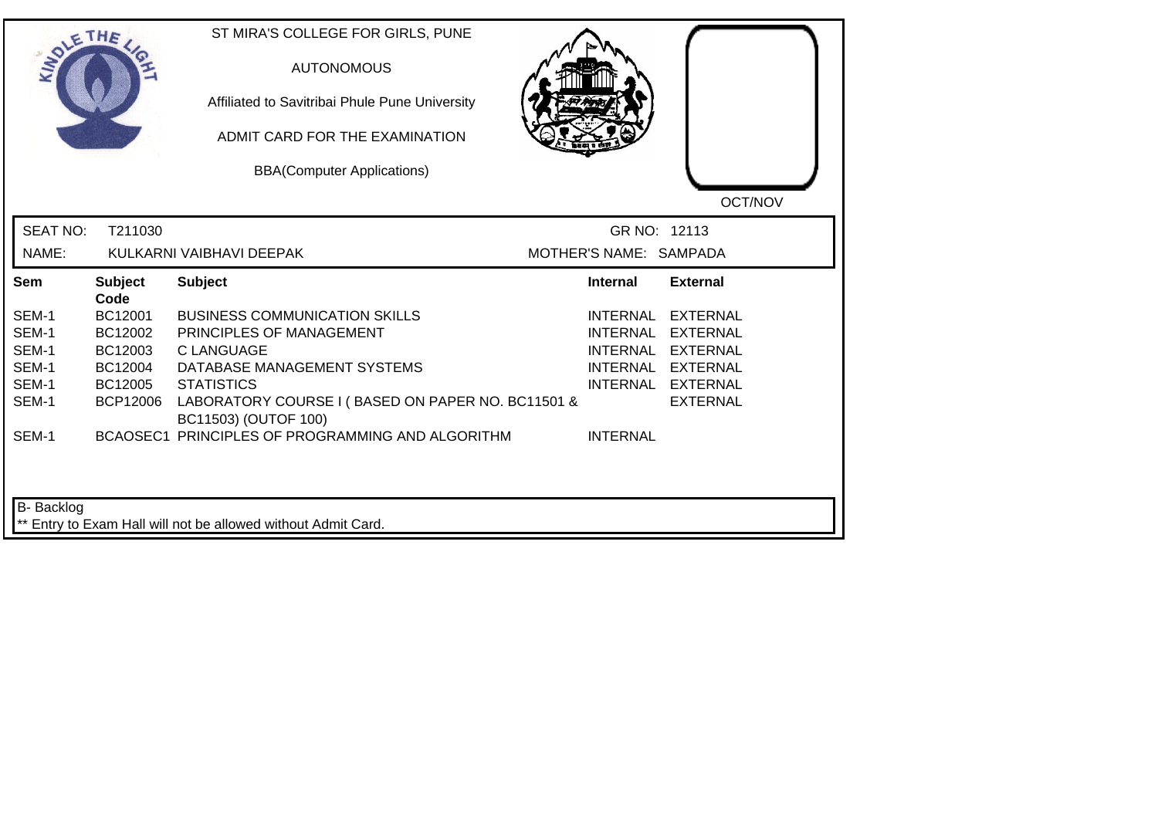| <b>LANDLE</b>   | THE                    | ST MIRA'S COLLEGE FOR GIRLS, PUNE<br><b>AUTONOMOUS</b><br>Affiliated to Savitribai Phule Pune University<br>ADMIT CARD FOR THE EXAMINATION<br><b>BBA(Computer Applications)</b> |                        | OCT/NOV           |
|-----------------|------------------------|---------------------------------------------------------------------------------------------------------------------------------------------------------------------------------|------------------------|-------------------|
| <b>SEAT NO:</b> | T211030                |                                                                                                                                                                                 | GR NO: 12113           |                   |
| NAME:           |                        | KULKARNI VAIBHAVI DEEPAK                                                                                                                                                        | MOTHER'S NAME: SAMPADA |                   |
| Sem             | <b>Subject</b><br>Code | <b>Subject</b>                                                                                                                                                                  | Internal               | <b>External</b>   |
| SEM-1           | BC12001                | <b>BUSINESS COMMUNICATION SKILLS</b>                                                                                                                                            | <b>INTERNAL</b>        | <b>EXTERNAL</b>   |
| SEM-1           | BC12002                | PRINCIPLES OF MANAGEMENT                                                                                                                                                        | <b>INTERNAL</b>        | <b>EXTERNAL</b>   |
| SEM-1           | BC12003                | C LANGUAGE                                                                                                                                                                      | <b>INTERNAL</b>        | <b>EXTERNAL</b>   |
| SEM-1           | BC12004                | DATABASE MANAGEMENT SYSTEMS                                                                                                                                                     |                        | INTERNAL EXTERNAL |
| SEM-1           | BC12005                | <b>STATISTICS</b>                                                                                                                                                               |                        | INTERNAL EXTERNAL |
| SEM-1           | <b>BCP12006</b>        | LABORATORY COURSE I (BASED ON PAPER NO. BC11501 &<br>BC11503) (OUTOF 100)                                                                                                       |                        | <b>EXTERNAL</b>   |
| SEM-1           |                        | BCAOSEC1 PRINCIPLES OF PROGRAMMING AND ALGORITHM                                                                                                                                | <b>INTERNAL</b>        |                   |
| B- Backlog      |                        | ** Entry to Exam Hall will not be allowed without Admit Card.                                                                                                                   |                        |                   |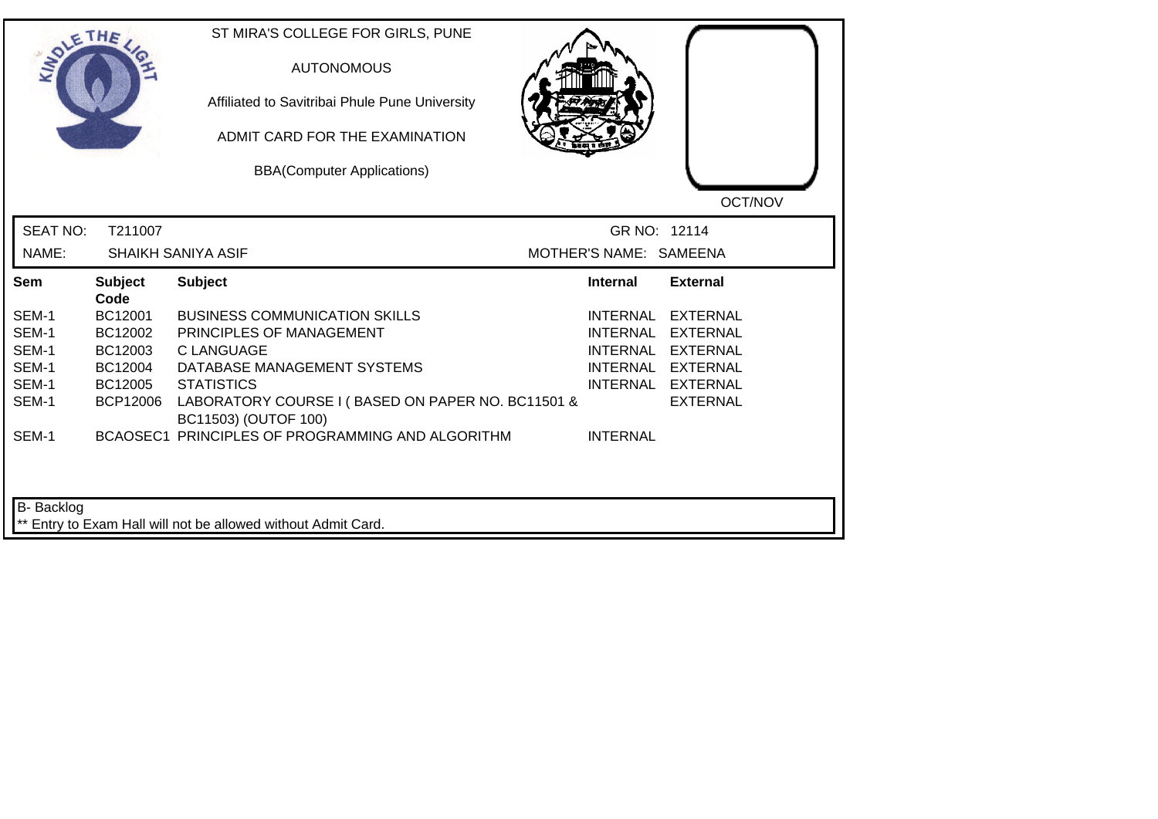|                 | THE                    | ST MIRA'S COLLEGE FOR GIRLS, PUNE<br><b>AUTONOMOUS</b><br>Affiliated to Savitribai Phule Pune University<br>ADMIT CARD FOR THE EXAMINATION<br><b>BBA(Computer Applications)</b> |                        | OCT/NOV           |
|-----------------|------------------------|---------------------------------------------------------------------------------------------------------------------------------------------------------------------------------|------------------------|-------------------|
| <b>SEAT NO:</b> | T211007                |                                                                                                                                                                                 | GR NO: 12114           |                   |
| NAME:           |                        | SHAIKH SANIYA ASIF                                                                                                                                                              | MOTHER'S NAME: SAMEENA |                   |
| Sem             | <b>Subject</b><br>Code | <b>Subject</b>                                                                                                                                                                  | <b>Internal</b>        | <b>External</b>   |
| SEM-1           | BC12001                | <b>BUSINESS COMMUNICATION SKILLS</b>                                                                                                                                            | <b>INTERNAL</b>        | <b>EXTERNAL</b>   |
| SEM-1           | BC12002                | PRINCIPLES OF MANAGEMENT                                                                                                                                                        | <b>INTERNAL</b>        | EXTERNAL          |
| SEM-1           | BC12003                | <b>C LANGUAGE</b>                                                                                                                                                               | <b>INTERNAL</b>        | <b>EXTERNAL</b>   |
| SEM-1           | BC12004                | DATABASE MANAGEMENT SYSTEMS                                                                                                                                                     |                        | INTERNAL EXTERNAL |
| SEM-1           | BC12005                | <b>STATISTICS</b>                                                                                                                                                               |                        | INTERNAL EXTERNAL |
| SEM-1           | <b>BCP12006</b>        | LABORATORY COURSE I (BASED ON PAPER NO. BC11501 &<br>BC11503) (OUTOF 100)                                                                                                       |                        | <b>EXTERNAL</b>   |
| SEM-1           |                        | BCAOSEC1 PRINCIPLES OF PROGRAMMING AND ALGORITHM                                                                                                                                | <b>INTERNAL</b>        |                   |
| B- Backlog      |                        | ** Entry to Exam Hall will not be allowed without Admit Card.                                                                                                                   |                        |                   |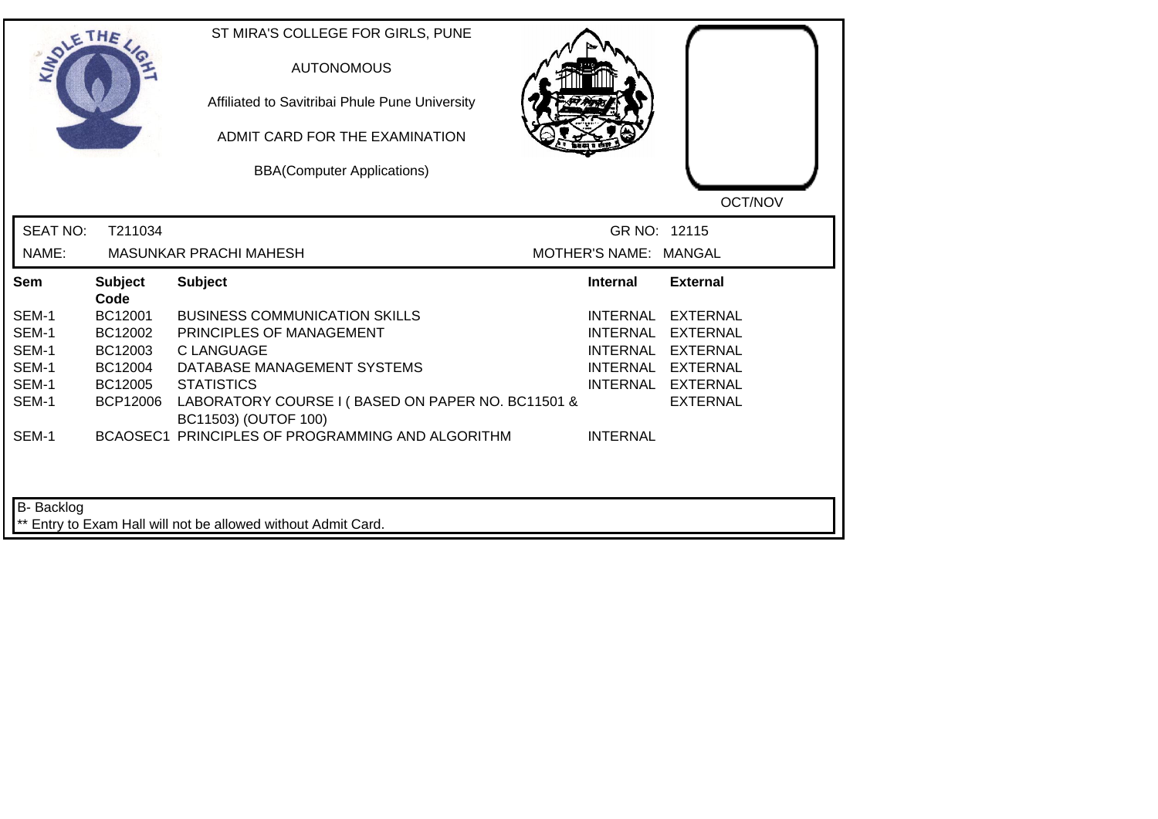|                 | THE                    | ST MIRA'S COLLEGE FOR GIRLS, PUNE<br><b>AUTONOMOUS</b><br>Affiliated to Savitribai Phule Pune University<br>ADMIT CARD FOR THE EXAMINATION<br><b>BBA(Computer Applications)</b> |                       | OCT/NOV           |
|-----------------|------------------------|---------------------------------------------------------------------------------------------------------------------------------------------------------------------------------|-----------------------|-------------------|
| <b>SEAT NO:</b> | T211034                |                                                                                                                                                                                 | GR NO: 12115          |                   |
| NAME:           |                        | <b>MASUNKAR PRACHI MAHESH</b>                                                                                                                                                   | MOTHER'S NAME: MANGAL |                   |
| Sem             | <b>Subject</b><br>Code | <b>Subject</b>                                                                                                                                                                  | <b>Internal</b>       | <b>External</b>   |
| SEM-1           | BC12001                | <b>BUSINESS COMMUNICATION SKILLS</b>                                                                                                                                            | INTERNAL              | <b>EXTERNAL</b>   |
| SEM-1           | BC12002                | PRINCIPLES OF MANAGEMENT                                                                                                                                                        | <b>INTERNAL</b>       | <b>EXTERNAL</b>   |
| SEM-1           | BC12003                | <b>CLANGUAGE</b>                                                                                                                                                                | <b>INTERNAL</b>       | <b>EXTERNAL</b>   |
| SEM-1           | BC12004                | DATABASE MANAGEMENT SYSTEMS                                                                                                                                                     |                       | INTERNAL EXTERNAL |
| SEM-1           | BC12005                | <b>STATISTICS</b>                                                                                                                                                               |                       | INTERNAL EXTERNAL |
| SEM-1           | <b>BCP12006</b>        | LABORATORY COURSE I (BASED ON PAPER NO. BC11501 &<br>BC11503) (OUTOF 100)                                                                                                       |                       | <b>EXTERNAL</b>   |
| SEM-1           |                        | BCAOSEC1 PRINCIPLES OF PROGRAMMING AND ALGORITHM                                                                                                                                | <b>INTERNAL</b>       |                   |
| B- Backlog      |                        | ** Entry to Exam Hall will not be allowed without Admit Card.                                                                                                                   |                       |                   |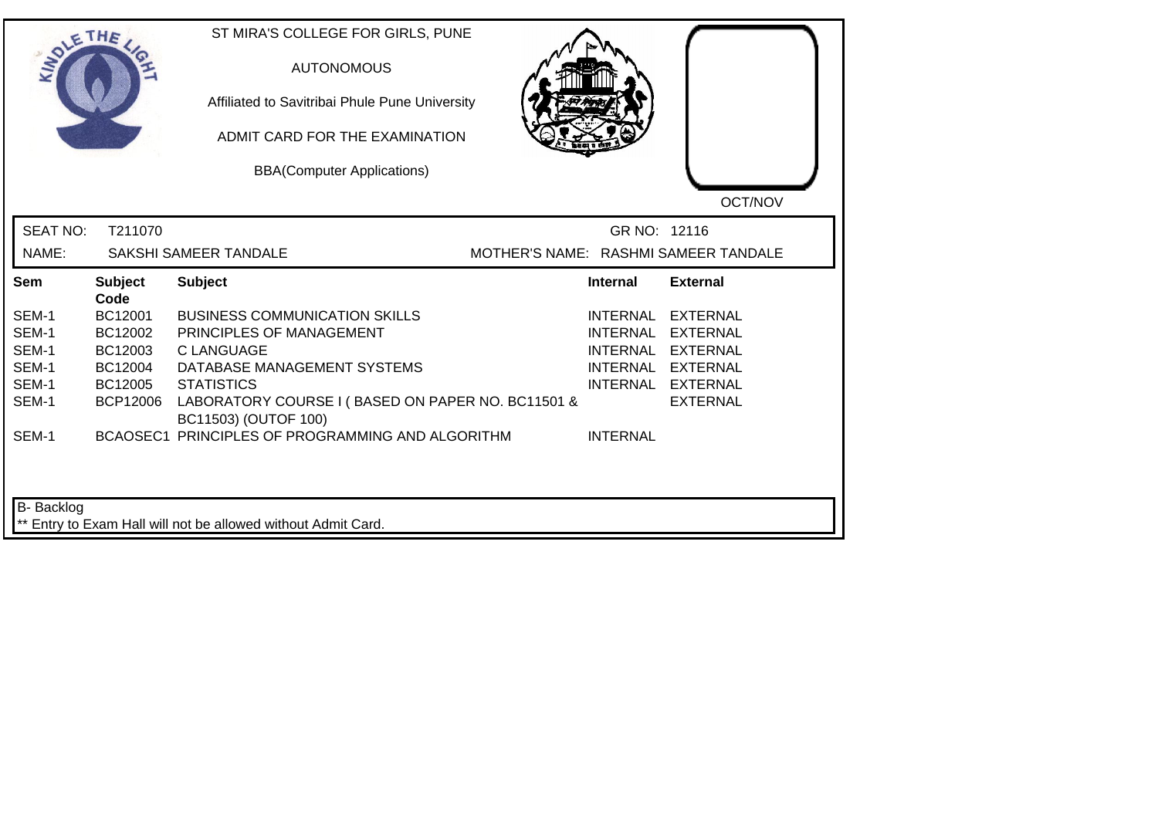| SOLE THE                 |                        | ST MIRA'S COLLEGE FOR GIRLS, PUNE<br><b>AUTONOMOUS</b><br>Affiliated to Savitribai Phule Pune University<br>ADMIT CARD FOR THE EXAMINATION<br><b>BBA(Computer Applications)</b> |                 | OCT/NOV                              |
|--------------------------|------------------------|---------------------------------------------------------------------------------------------------------------------------------------------------------------------------------|-----------------|--------------------------------------|
| <b>SEAT NO:</b><br>NAME: | T211070                | SAKSHI SAMEER TANDALE                                                                                                                                                           | GR NO: 12116    | MOTHER'S NAME: RASHMI SAMEER TANDALE |
| Sem                      | <b>Subject</b><br>Code | <b>Subject</b>                                                                                                                                                                  | <b>Internal</b> | <b>External</b>                      |
| SEM-1                    | BC12001                | <b>BUSINESS COMMUNICATION SKILLS</b>                                                                                                                                            |                 | INTERNAL EXTERNAL                    |
| SEM-1                    | BC12002                | PRINCIPLES OF MANAGEMENT                                                                                                                                                        | <b>INTERNAL</b> | EXTERNAL                             |
| SEM-1                    | BC12003                | <b>CLANGUAGE</b>                                                                                                                                                                |                 | INTERNAL EXTERNAL                    |
| SEM-1                    | BC12004                | DATABASE MANAGEMENT SYSTEMS                                                                                                                                                     |                 | INTERNAL EXTERNAL                    |
| SEM-1                    | BC12005                | <b>STATISTICS</b>                                                                                                                                                               |                 | INTERNAL EXTERNAL                    |
| SEM-1                    | <b>BCP12006</b>        | LABORATORY COURSE I (BASED ON PAPER NO. BC11501 &<br>BC11503) (OUTOF 100)                                                                                                       |                 | <b>EXTERNAL</b>                      |
| SEM-1                    |                        | BCAOSEC1 PRINCIPLES OF PROGRAMMING AND ALGORITHM                                                                                                                                | <b>INTERNAL</b> |                                      |
| <b>B-</b> Backlog        |                        | ** Entry to Exam Hall will not be allowed without Admit Card.                                                                                                                   |                 |                                      |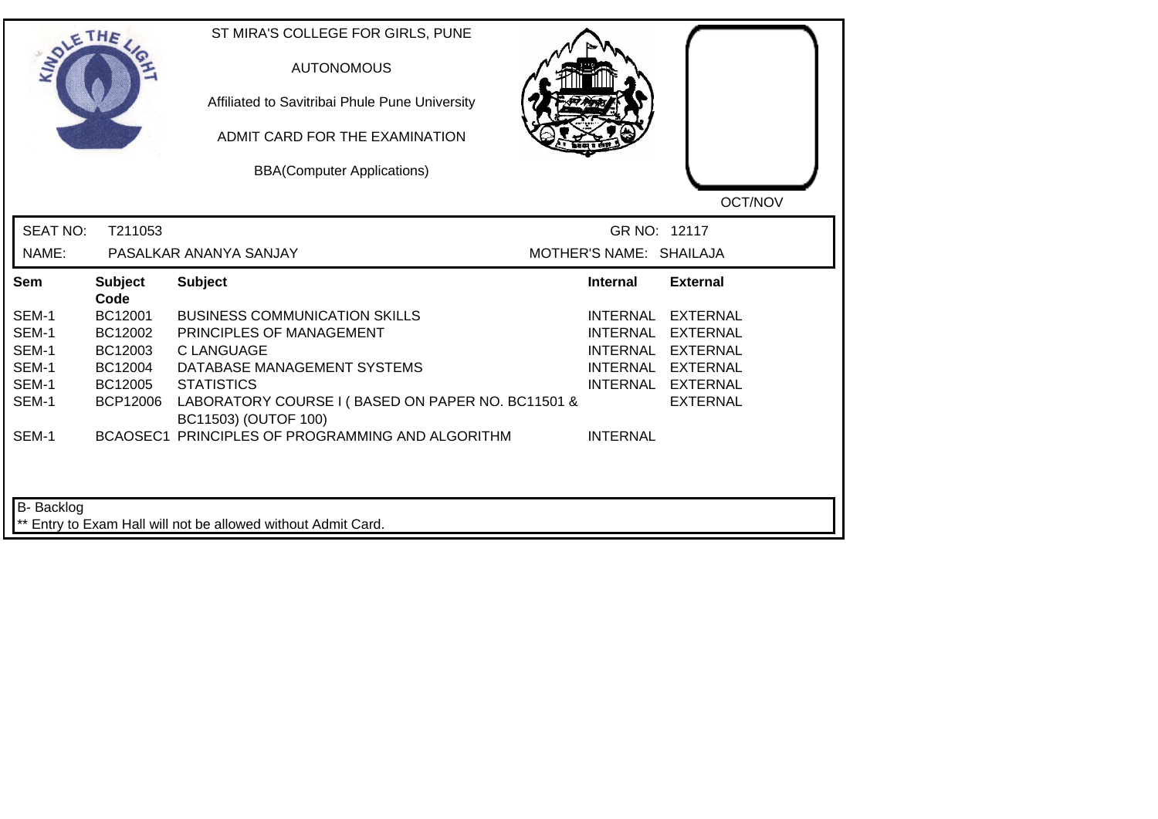| <b>LANDLE</b>   | THE                    | ST MIRA'S COLLEGE FOR GIRLS, PUNE<br><b>AUTONOMOUS</b><br>Affiliated to Savitribai Phule Pune University<br>ADMIT CARD FOR THE EXAMINATION<br><b>BBA(Computer Applications)</b> |                         | OCT/NOV           |
|-----------------|------------------------|---------------------------------------------------------------------------------------------------------------------------------------------------------------------------------|-------------------------|-------------------|
| <b>SEAT NO:</b> | T211053                |                                                                                                                                                                                 | GR NO: 12117            |                   |
| NAME:           |                        | PASALKAR ANANYA SANJAY                                                                                                                                                          | MOTHER'S NAME: SHAILAJA |                   |
| Sem             | <b>Subject</b><br>Code | <b>Subject</b>                                                                                                                                                                  | Internal                | <b>External</b>   |
| SEM-1           | BC12001                | <b>BUSINESS COMMUNICATION SKILLS</b>                                                                                                                                            | INTERNAL                | <b>EXTERNAL</b>   |
| SEM-1           | BC12002                | PRINCIPLES OF MANAGEMENT                                                                                                                                                        | <b>INTERNAL</b>         | <b>EXTERNAL</b>   |
| SEM-1           | BC12003                | C LANGUAGE                                                                                                                                                                      | INTERNAL                | EXTERNAL          |
| SEM-1           | BC12004                | DATABASE MANAGEMENT SYSTEMS                                                                                                                                                     |                         | INTERNAL EXTERNAL |
| SEM-1           | BC12005                | <b>STATISTICS</b>                                                                                                                                                               |                         | INTERNAL EXTERNAL |
| SEM-1           | <b>BCP12006</b>        | LABORATORY COURSE I (BASED ON PAPER NO. BC11501 &<br>BC11503) (OUTOF 100)                                                                                                       |                         | <b>EXTERNAL</b>   |
| SEM-1           |                        | BCAOSEC1 PRINCIPLES OF PROGRAMMING AND ALGORITHM                                                                                                                                | <b>INTERNAL</b>         |                   |
| B- Backlog      |                        | ** Entry to Exam Hall will not be allowed without Admit Card.                                                                                                                   |                         |                   |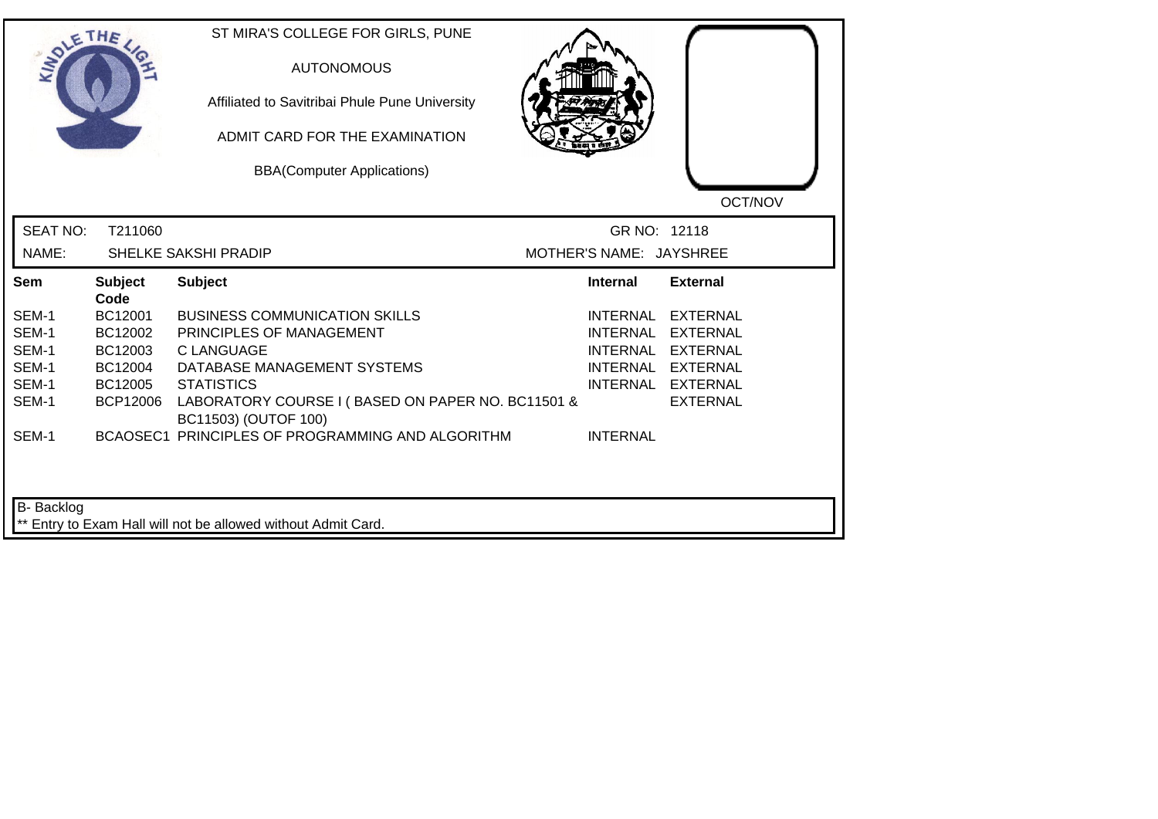| <b>MOLE</b>     | THE                    | ST MIRA'S COLLEGE FOR GIRLS, PUNE<br><b>AUTONOMOUS</b><br>Affiliated to Savitribai Phule Pune University<br>ADMIT CARD FOR THE EXAMINATION<br><b>BBA(Computer Applications)</b> |                         | OCT/NOV           |
|-----------------|------------------------|---------------------------------------------------------------------------------------------------------------------------------------------------------------------------------|-------------------------|-------------------|
| <b>SEAT NO:</b> | T211060                |                                                                                                                                                                                 | GR NO: 12118            |                   |
| NAME:           |                        | SHELKE SAKSHI PRADIP                                                                                                                                                            | MOTHER'S NAME: JAYSHREE |                   |
| Sem             | <b>Subject</b><br>Code | <b>Subject</b>                                                                                                                                                                  | <b>Internal</b>         | <b>External</b>   |
| SEM-1           | BC12001                | <b>BUSINESS COMMUNICATION SKILLS</b>                                                                                                                                            | INTERNAL                | <b>EXTERNAL</b>   |
| SEM-1           | BC12002                | PRINCIPLES OF MANAGEMENT                                                                                                                                                        | <b>INTERNAL</b>         | <b>EXTERNAL</b>   |
| SEM-1           | BC12003                | <b>CLANGUAGE</b>                                                                                                                                                                | <b>INTERNAL</b>         | <b>EXTERNAL</b>   |
| SEM-1           | BC12004                | DATABASE MANAGEMENT SYSTEMS                                                                                                                                                     |                         | INTERNAL EXTERNAL |
| SEM-1           | BC12005                | <b>STATISTICS</b>                                                                                                                                                               |                         | INTERNAL EXTERNAL |
| SEM-1           | <b>BCP12006</b>        | LABORATORY COURSE I (BASED ON PAPER NO. BC11501 &<br>BC11503) (OUTOF 100)                                                                                                       |                         | <b>EXTERNAL</b>   |
| SEM-1           |                        | BCAOSEC1 PRINCIPLES OF PROGRAMMING AND ALGORITHM                                                                                                                                | <b>INTERNAL</b>         |                   |
| B- Backlog      |                        | ** Entry to Exam Hall will not be allowed without Admit Card.                                                                                                                   |                         |                   |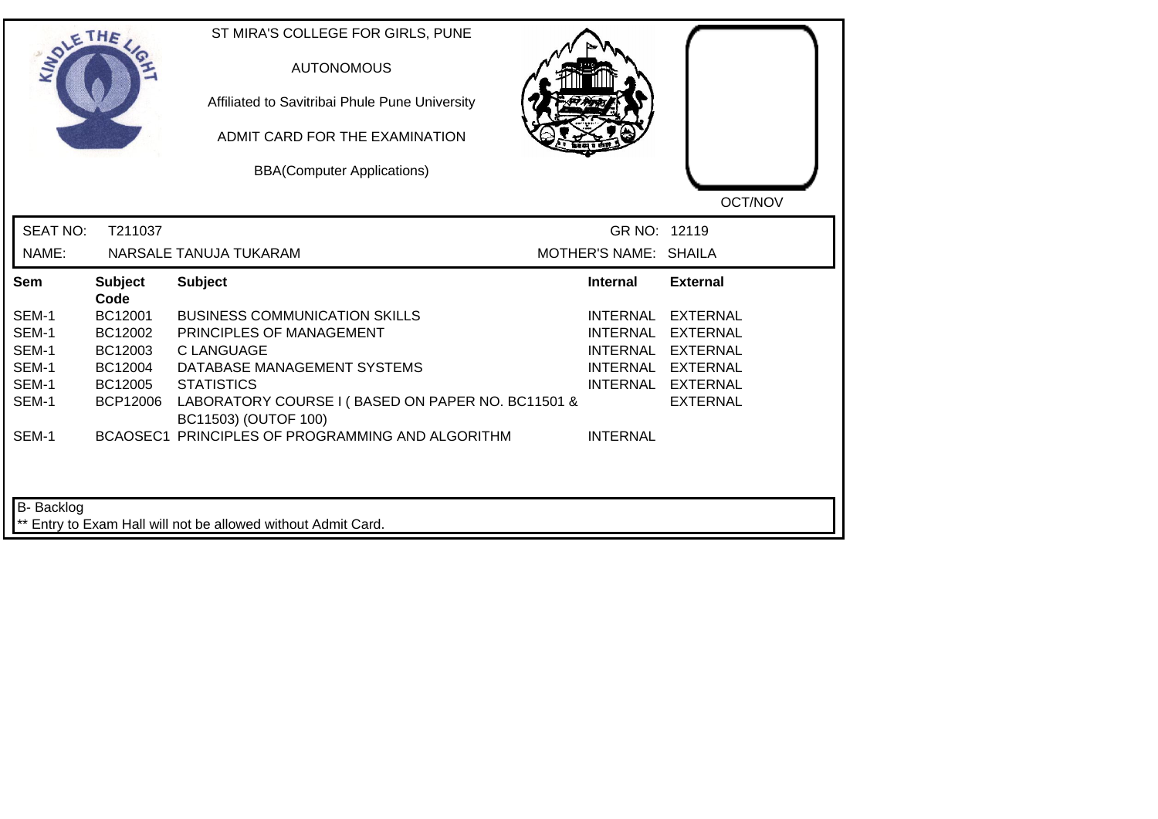|                 | THE                    | ST MIRA'S COLLEGE FOR GIRLS, PUNE<br><b>AUTONOMOUS</b><br>Affiliated to Savitribai Phule Pune University<br>ADMIT CARD FOR THE EXAMINATION<br><b>BBA(Computer Applications)</b> |                       | OCT/NOV           |
|-----------------|------------------------|---------------------------------------------------------------------------------------------------------------------------------------------------------------------------------|-----------------------|-------------------|
| <b>SEAT NO:</b> | T211037                |                                                                                                                                                                                 | GR NO: 12119          |                   |
| NAME:           |                        | NARSALE TANUJA TUKARAM                                                                                                                                                          | MOTHER'S NAME: SHAILA |                   |
| Sem             | <b>Subject</b><br>Code | <b>Subject</b>                                                                                                                                                                  | <b>Internal</b>       | <b>External</b>   |
| SEM-1           | BC12001                | <b>BUSINESS COMMUNICATION SKILLS</b>                                                                                                                                            | <b>INTERNAL</b>       | <b>EXTERNAL</b>   |
| SEM-1           | BC12002                | PRINCIPLES OF MANAGEMENT                                                                                                                                                        | <b>INTERNAL</b>       | <b>EXTERNAL</b>   |
| SEM-1           | BC12003                | <b>C LANGUAGE</b>                                                                                                                                                               | <b>INTERNAL</b>       | <b>EXTERNAL</b>   |
| SEM-1           | BC12004                | DATABASE MANAGEMENT SYSTEMS                                                                                                                                                     |                       | INTERNAL EXTERNAL |
| SEM-1           | BC12005                | <b>STATISTICS</b>                                                                                                                                                               |                       | INTERNAL EXTERNAL |
| SEM-1           | <b>BCP12006</b>        | LABORATORY COURSE I (BASED ON PAPER NO. BC11501 &<br>BC11503) (OUTOF 100)                                                                                                       |                       | <b>EXTERNAL</b>   |
| SEM-1           |                        | BCAOSEC1 PRINCIPLES OF PROGRAMMING AND ALGORITHM                                                                                                                                | <b>INTERNAL</b>       |                   |
| B- Backlog      |                        | ** Entry to Exam Hall will not be allowed without Admit Card.                                                                                                                   |                       |                   |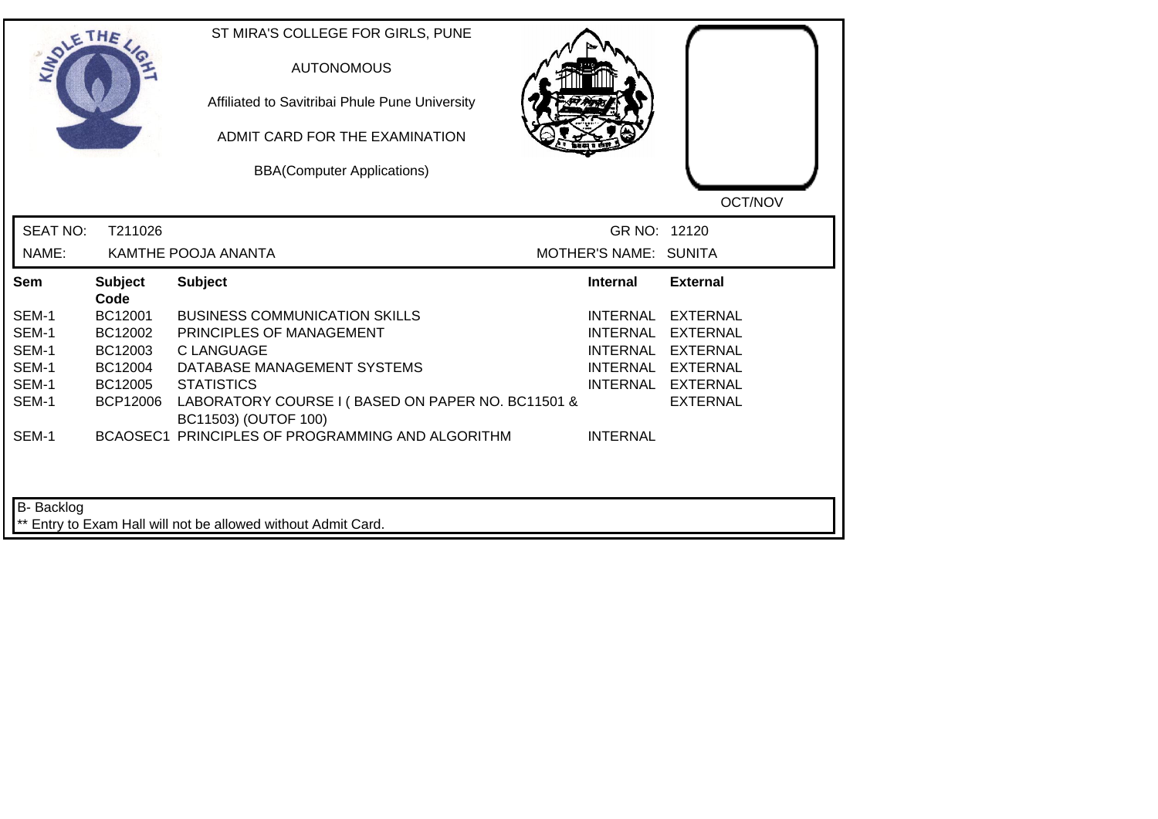|                 | THE                    | ST MIRA'S COLLEGE FOR GIRLS, PUNE<br><b>AUTONOMOUS</b><br>Affiliated to Savitribai Phule Pune University<br>ADMIT CARD FOR THE EXAMINATION<br><b>BBA(Computer Applications)</b> |                       | OCT/NOV           |
|-----------------|------------------------|---------------------------------------------------------------------------------------------------------------------------------------------------------------------------------|-----------------------|-------------------|
| <b>SEAT NO:</b> | T211026                |                                                                                                                                                                                 | GR NO: 12120          |                   |
| NAME:           |                        | KAMTHE POOJA ANANTA                                                                                                                                                             | MOTHER'S NAME: SUNITA |                   |
| Sem             | <b>Subject</b><br>Code | <b>Subject</b>                                                                                                                                                                  | <b>Internal</b>       | <b>External</b>   |
| SEM-1           | BC12001                | <b>BUSINESS COMMUNICATION SKILLS</b>                                                                                                                                            | <b>INTERNAL</b>       | <b>EXTERNAL</b>   |
| SEM-1           | BC12002                | PRINCIPLES OF MANAGEMENT                                                                                                                                                        | <b>INTERNAL</b>       | EXTERNAL          |
| SEM-1           | BC12003                | <b>C LANGUAGE</b>                                                                                                                                                               | <b>INTERNAL</b>       | <b>EXTERNAL</b>   |
| SEM-1           | BC12004                | DATABASE MANAGEMENT SYSTEMS                                                                                                                                                     |                       | INTERNAL EXTERNAL |
| SEM-1           | BC12005                | <b>STATISTICS</b>                                                                                                                                                               |                       | INTERNAL EXTERNAL |
| SEM-1           | <b>BCP12006</b>        | LABORATORY COURSE I (BASED ON PAPER NO. BC11501 &<br>BC11503) (OUTOF 100)                                                                                                       |                       | <b>EXTERNAL</b>   |
| SEM-1           |                        | BCAOSEC1 PRINCIPLES OF PROGRAMMING AND ALGORITHM                                                                                                                                | <b>INTERNAL</b>       |                   |
| B- Backlog      |                        |                                                                                                                                                                                 |                       |                   |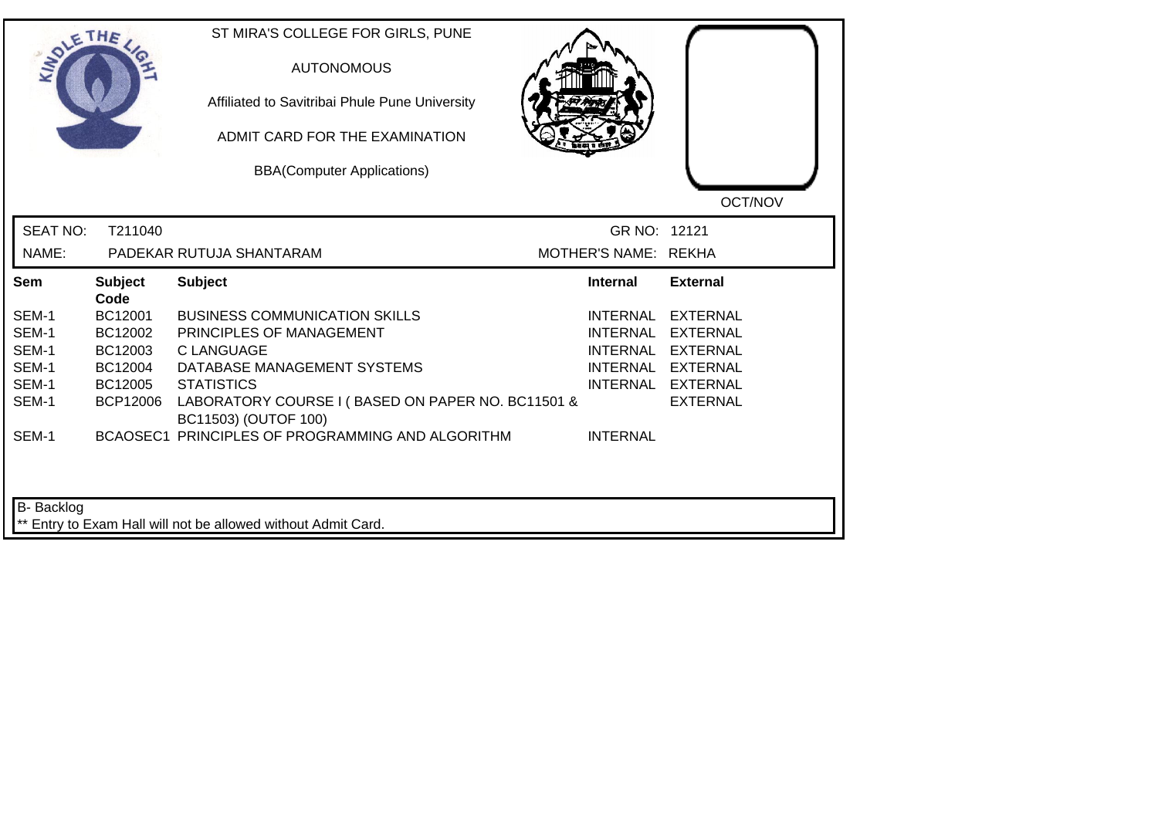|                 | THE                    | ST MIRA'S COLLEGE FOR GIRLS, PUNE<br><b>AUTONOMOUS</b><br>Affiliated to Savitribai Phule Pune University<br>ADMIT CARD FOR THE EXAMINATION<br><b>BBA(Computer Applications)</b> |                      | OCT/NOV           |
|-----------------|------------------------|---------------------------------------------------------------------------------------------------------------------------------------------------------------------------------|----------------------|-------------------|
| <b>SEAT NO:</b> | T211040                |                                                                                                                                                                                 | GR NO: 12121         |                   |
| NAME:           |                        | PADEKAR RUTUJA SHANTARAM                                                                                                                                                        | MOTHER'S NAME: REKHA |                   |
| Sem             | <b>Subject</b><br>Code | <b>Subject</b>                                                                                                                                                                  | <b>Internal</b>      | <b>External</b>   |
| SEM-1           | BC12001                | <b>BUSINESS COMMUNICATION SKILLS</b>                                                                                                                                            | INTERNAL             | <b>EXTERNAL</b>   |
| SEM-1           | BC12002                | PRINCIPLES OF MANAGEMENT                                                                                                                                                        | <b>INTERNAL</b>      | <b>EXTERNAL</b>   |
| SEM-1           | BC12003                | <b>CLANGUAGE</b>                                                                                                                                                                |                      | INTERNAL EXTERNAL |
| SEM-1           | BC12004                | DATABASE MANAGEMENT SYSTEMS                                                                                                                                                     |                      | INTERNAL EXTERNAL |
| SEM-1           | BC12005                | <b>STATISTICS</b>                                                                                                                                                               |                      | INTERNAL EXTERNAL |
| SEM-1           | <b>BCP12006</b>        | LABORATORY COURSE I (BASED ON PAPER NO. BC11501 &<br>BC11503) (OUTOF 100)                                                                                                       |                      | <b>EXTERNAL</b>   |
| SEM-1           |                        | BCAOSEC1 PRINCIPLES OF PROGRAMMING AND ALGORITHM                                                                                                                                | <b>INTERNAL</b>      |                   |
| B- Backlog      |                        | ** Entry to Exam Hall will not be allowed without Admit Card.                                                                                                                   |                      |                   |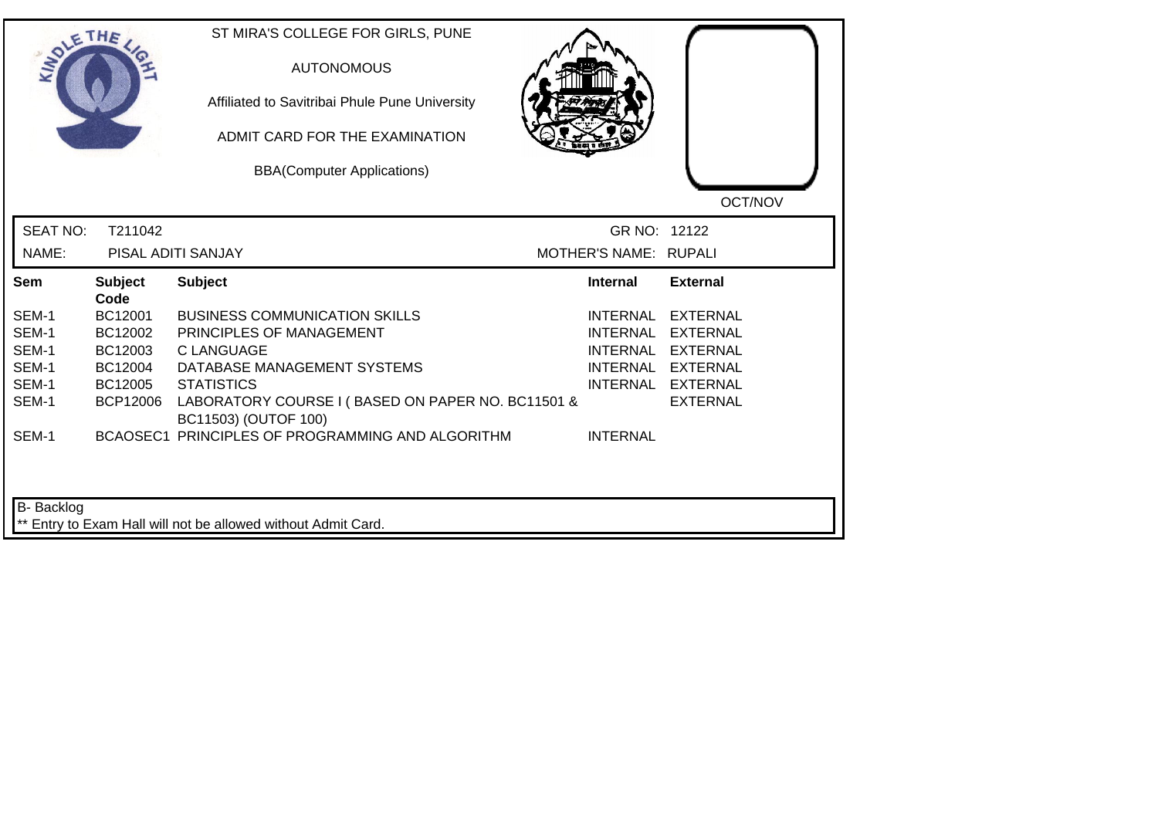|                 | THE                    | ST MIRA'S COLLEGE FOR GIRLS, PUNE<br><b>AUTONOMOUS</b><br>Affiliated to Savitribai Phule Pune University<br>ADMIT CARD FOR THE EXAMINATION<br><b>BBA(Computer Applications)</b> |                       | OCT/NOV           |
|-----------------|------------------------|---------------------------------------------------------------------------------------------------------------------------------------------------------------------------------|-----------------------|-------------------|
| <b>SEAT NO:</b> | T211042                |                                                                                                                                                                                 | GR NO: 12122          |                   |
| NAME:           |                        | PISAL ADITI SANJAY                                                                                                                                                              | MOTHER'S NAME: RUPALI |                   |
| Sem             | <b>Subject</b><br>Code | <b>Subject</b>                                                                                                                                                                  | <b>Internal</b>       | <b>External</b>   |
| SEM-1           | BC12001                | <b>BUSINESS COMMUNICATION SKILLS</b>                                                                                                                                            |                       | INTERNAL EXTERNAL |
| SEM-1           | BC12002                | PRINCIPLES OF MANAGEMENT                                                                                                                                                        |                       | INTERNAL EXTERNAL |
| SEM-1           | BC12003                | <b>CLANGUAGE</b>                                                                                                                                                                |                       | INTERNAL EXTERNAL |
| SEM-1           | BC12004                | DATABASE MANAGEMENT SYSTEMS                                                                                                                                                     |                       | INTERNAL EXTERNAL |
| SEM-1           | BC12005                | <b>STATISTICS</b>                                                                                                                                                               |                       | INTERNAL EXTERNAL |
| SEM-1           | <b>BCP12006</b>        | LABORATORY COURSE I (BASED ON PAPER NO. BC11501 &<br>BC11503) (OUTOF 100)                                                                                                       |                       | <b>EXTERNAL</b>   |
| SEM-1           |                        | BCAOSEC1 PRINCIPLES OF PROGRAMMING AND ALGORITHM                                                                                                                                | <b>INTERNAL</b>       |                   |
| B- Backlog      |                        | ** Entry to Exam Hall will not be allowed without Admit Card.                                                                                                                   |                       |                   |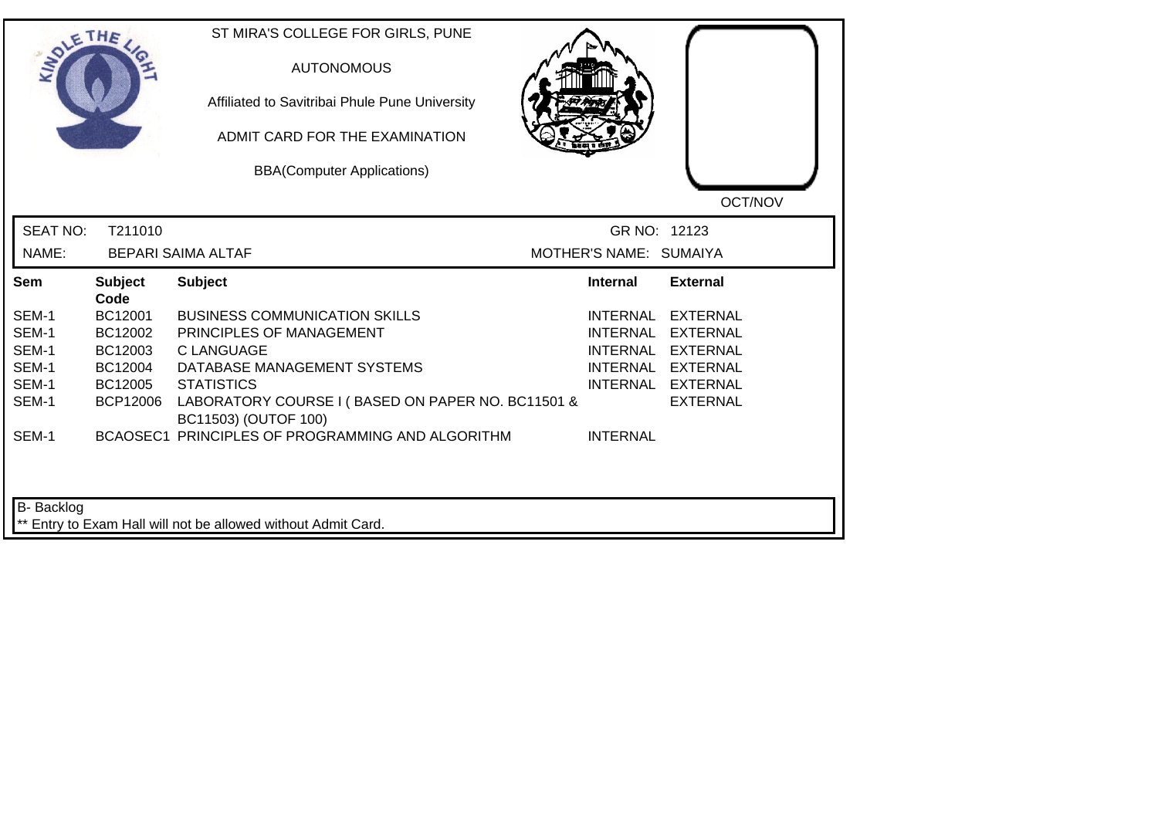|                 | THE                    | ST MIRA'S COLLEGE FOR GIRLS, PUNE<br><b>AUTONOMOUS</b><br>Affiliated to Savitribai Phule Pune University<br>ADMIT CARD FOR THE EXAMINATION<br><b>BBA(Computer Applications)</b> |                        | OCT/NOV           |
|-----------------|------------------------|---------------------------------------------------------------------------------------------------------------------------------------------------------------------------------|------------------------|-------------------|
| <b>SEAT NO:</b> | T211010                |                                                                                                                                                                                 | GR NO: 12123           |                   |
| NAME:           |                        | <b>BEPARI SAIMA ALTAF</b>                                                                                                                                                       | MOTHER'S NAME: SUMAIYA |                   |
| Sem             | <b>Subject</b><br>Code | <b>Subject</b>                                                                                                                                                                  | <b>Internal</b>        | <b>External</b>   |
| SEM-1           | BC12001                | <b>BUSINESS COMMUNICATION SKILLS</b>                                                                                                                                            | INTERNAL               | EXTERNAL          |
| SEM-1           | BC12002                | PRINCIPLES OF MANAGEMENT                                                                                                                                                        | <b>INTERNAL</b>        | <b>EXTERNAL</b>   |
| SEM-1           | BC12003                | <b>CLANGUAGE</b>                                                                                                                                                                |                        | INTERNAL EXTERNAL |
| SEM-1           | BC12004                | DATABASE MANAGEMENT SYSTEMS                                                                                                                                                     |                        | INTERNAL EXTERNAL |
| SEM-1           | BC12005                | <b>STATISTICS</b>                                                                                                                                                               |                        | INTERNAL EXTERNAL |
| SEM-1           | <b>BCP12006</b>        | LABORATORY COURSE I (BASED ON PAPER NO. BC11501 &<br>BC11503) (OUTOF 100)                                                                                                       |                        | <b>EXTERNAL</b>   |
| SEM-1           |                        | BCAOSEC1 PRINCIPLES OF PROGRAMMING AND ALGORITHM                                                                                                                                | <b>INTERNAL</b>        |                   |
| B- Backlog      |                        | ** Entry to Exam Hall will not be allowed without Admit Card.                                                                                                                   |                        |                   |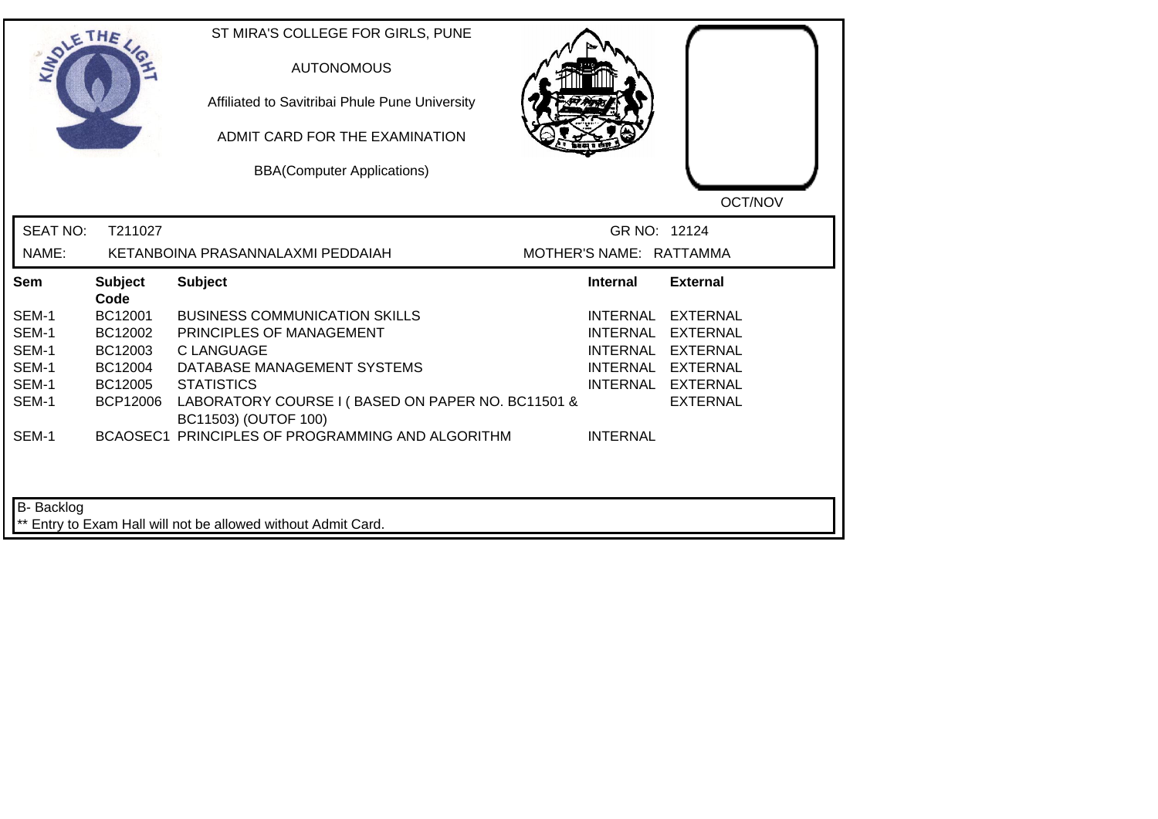| <b>LANDLE</b>   | THE                    | ST MIRA'S COLLEGE FOR GIRLS, PUNE<br><b>AUTONOMOUS</b><br>Affiliated to Savitribai Phule Pune University<br>ADMIT CARD FOR THE EXAMINATION<br><b>BBA(Computer Applications)</b> |                         | OCT/NOV           |
|-----------------|------------------------|---------------------------------------------------------------------------------------------------------------------------------------------------------------------------------|-------------------------|-------------------|
| <b>SEAT NO:</b> | T211027                |                                                                                                                                                                                 | GR NO: 12124            |                   |
| NAME:           |                        | KETANBOINA PRASANNALAXMI PEDDAIAH                                                                                                                                               | MOTHER'S NAME: RATTAMMA |                   |
| Sem             | <b>Subject</b><br>Code | <b>Subject</b>                                                                                                                                                                  | <b>Internal</b>         | <b>External</b>   |
| SEM-1           | BC12001                | <b>BUSINESS COMMUNICATION SKILLS</b>                                                                                                                                            | <b>INTERNAL</b>         | <b>EXTERNAL</b>   |
| SEM-1           | BC12002                | PRINCIPLES OF MANAGEMENT                                                                                                                                                        | <b>INTERNAL</b>         | EXTERNAL          |
| SEM-1           | BC12003                | <b>C LANGUAGE</b>                                                                                                                                                               | <b>INTERNAL</b>         | <b>EXTERNAL</b>   |
| SEM-1           | BC12004                | DATABASE MANAGEMENT SYSTEMS                                                                                                                                                     |                         | INTERNAL EXTERNAL |
| SEM-1           | BC12005                | <b>STATISTICS</b>                                                                                                                                                               |                         | INTERNAL EXTERNAL |
| SEM-1           | <b>BCP12006</b>        | LABORATORY COURSE I (BASED ON PAPER NO. BC11501 &<br>BC11503) (OUTOF 100)                                                                                                       |                         | <b>EXTERNAL</b>   |
| SEM-1           |                        | BCAOSEC1 PRINCIPLES OF PROGRAMMING AND ALGORITHM                                                                                                                                | <b>INTERNAL</b>         |                   |
| B- Backlog      |                        | ** Entry to Exam Hall will not be allowed without Admit Card.                                                                                                                   |                         |                   |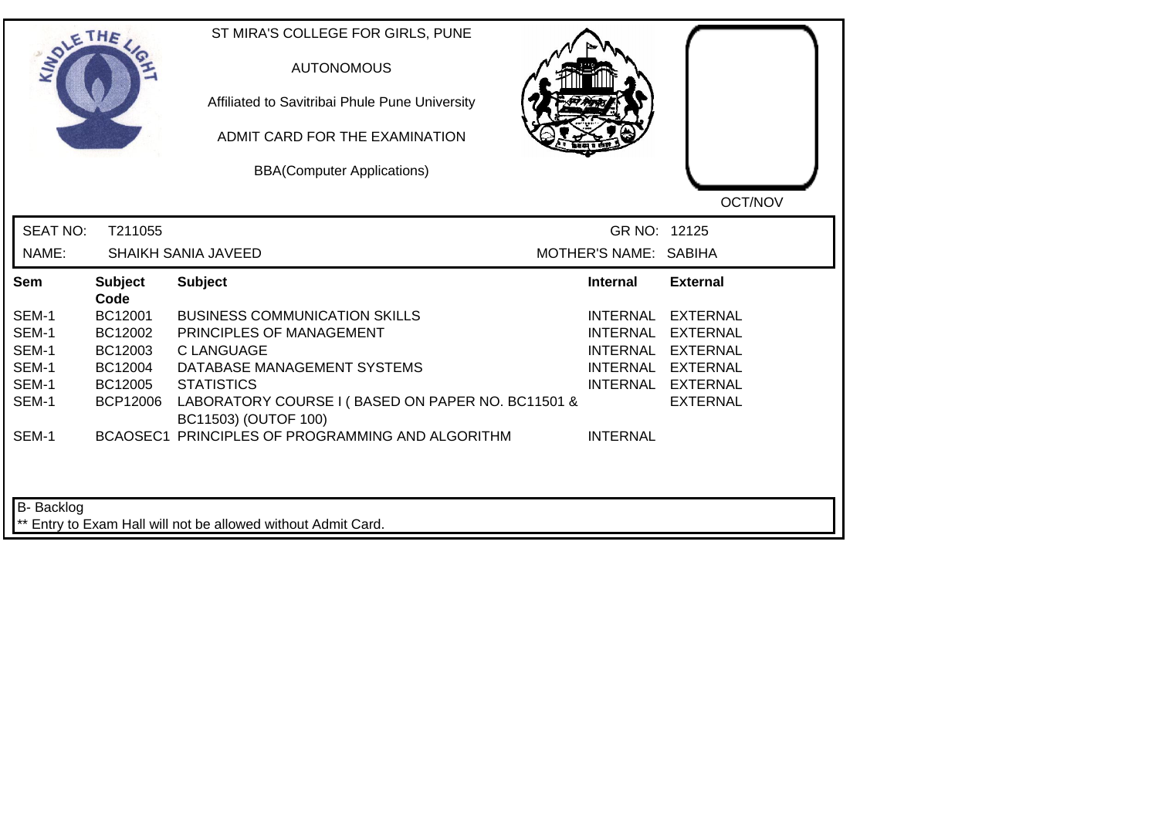|                 | THE                    | ST MIRA'S COLLEGE FOR GIRLS, PUNE<br><b>AUTONOMOUS</b><br>Affiliated to Savitribai Phule Pune University<br>ADMIT CARD FOR THE EXAMINATION<br><b>BBA(Computer Applications)</b> |                       | OCT/NOV           |
|-----------------|------------------------|---------------------------------------------------------------------------------------------------------------------------------------------------------------------------------|-----------------------|-------------------|
| <b>SEAT NO:</b> | T211055                |                                                                                                                                                                                 | GR NO: 12125          |                   |
| NAME:           |                        | <b>SHAIKH SANIA JAVEED</b>                                                                                                                                                      | MOTHER'S NAME: SABIHA |                   |
| Sem             | <b>Subject</b><br>Code | <b>Subject</b>                                                                                                                                                                  | <b>Internal</b>       | <b>External</b>   |
| SEM-1           | BC12001                | <b>BUSINESS COMMUNICATION SKILLS</b>                                                                                                                                            | <b>INTERNAL</b>       | <b>EXTERNAL</b>   |
| SEM-1           | BC12002                | PRINCIPLES OF MANAGEMENT                                                                                                                                                        | <b>INTERNAL</b>       | <b>EXTERNAL</b>   |
| SEM-1           | BC12003                | <b>C LANGUAGE</b>                                                                                                                                                               | <b>INTERNAL</b>       | <b>EXTERNAL</b>   |
| SEM-1           | BC12004                | DATABASE MANAGEMENT SYSTEMS                                                                                                                                                     |                       | INTERNAL EXTERNAL |
| SEM-1           | BC12005                | <b>STATISTICS</b>                                                                                                                                                               |                       | INTERNAL EXTERNAL |
| SEM-1           | <b>BCP12006</b>        | LABORATORY COURSE I (BASED ON PAPER NO. BC11501 &<br>BC11503) (OUTOF 100)                                                                                                       |                       | <b>EXTERNAL</b>   |
| SEM-1           |                        | BCAOSEC1 PRINCIPLES OF PROGRAMMING AND ALGORITHM                                                                                                                                | <b>INTERNAL</b>       |                   |
| B- Backlog      |                        | ** Entry to Exam Hall will not be allowed without Admit Card.                                                                                                                   |                       |                   |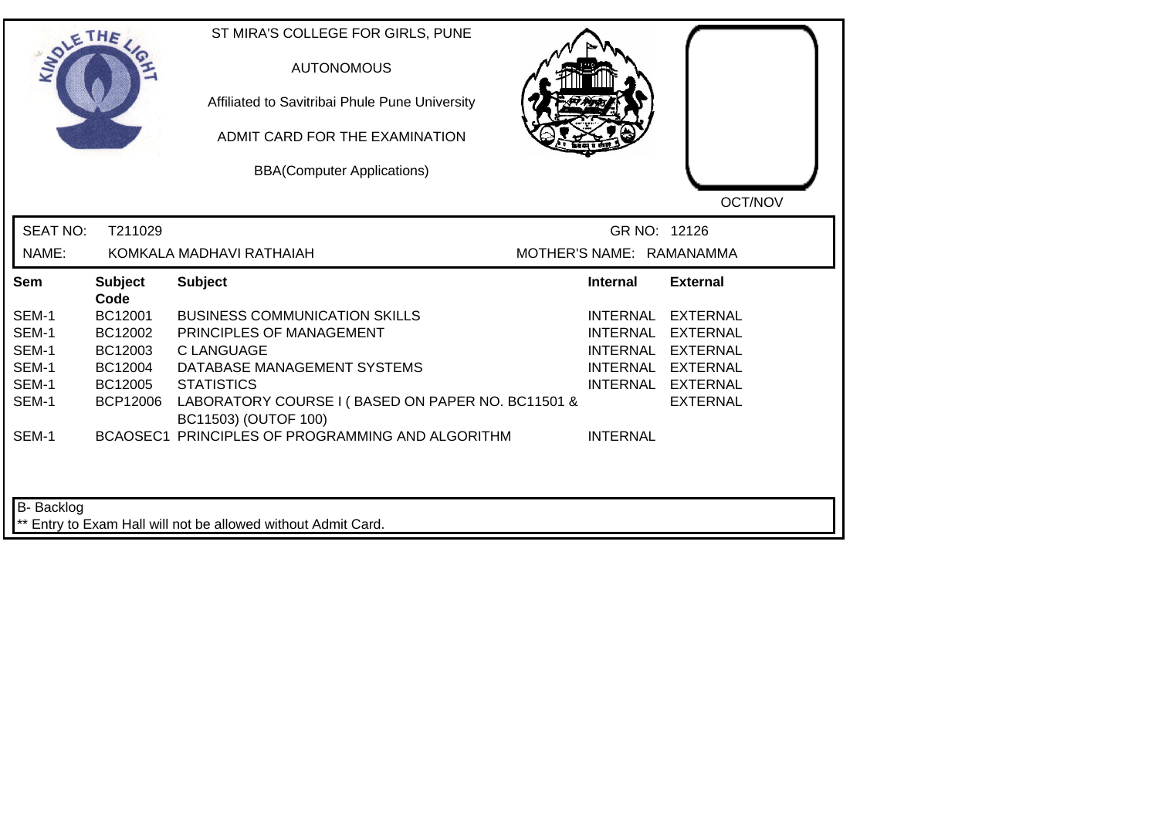| <b>LANDLE</b>   | THE                    | ST MIRA'S COLLEGE FOR GIRLS, PUNE<br><b>AUTONOMOUS</b><br>Affiliated to Savitribai Phule Pune University<br>ADMIT CARD FOR THE EXAMINATION<br><b>BBA(Computer Applications)</b> |                          | OCT/NOV           |
|-----------------|------------------------|---------------------------------------------------------------------------------------------------------------------------------------------------------------------------------|--------------------------|-------------------|
| <b>SEAT NO:</b> | T211029                |                                                                                                                                                                                 | GR NO: 12126             |                   |
| NAME:           |                        | KOMKALA MADHAVI RATHAIAH                                                                                                                                                        | MOTHER'S NAME: RAMANAMMA |                   |
| Sem             | <b>Subject</b><br>Code | <b>Subject</b>                                                                                                                                                                  | <b>Internal</b>          | <b>External</b>   |
| SEM-1           | BC12001                | <b>BUSINESS COMMUNICATION SKILLS</b>                                                                                                                                            | INTERNAL                 | <b>EXTERNAL</b>   |
| SEM-1           | BC12002                | PRINCIPLES OF MANAGEMENT                                                                                                                                                        | <b>INTERNAL</b>          | <b>EXTERNAL</b>   |
| SEM-1           | BC12003                | C LANGUAGE                                                                                                                                                                      | <b>INTERNAL</b>          | EXTERNAL          |
| SEM-1           | BC12004                | DATABASE MANAGEMENT SYSTEMS                                                                                                                                                     |                          | INTERNAL EXTERNAL |
| SEM-1           | BC12005                | <b>STATISTICS</b>                                                                                                                                                               |                          | INTERNAL EXTERNAL |
| SEM-1           | <b>BCP12006</b>        | LABORATORY COURSE I (BASED ON PAPER NO. BC11501 &<br>BC11503) (OUTOF 100)                                                                                                       |                          | <b>EXTERNAL</b>   |
| SEM-1           |                        | BCAOSEC1 PRINCIPLES OF PROGRAMMING AND ALGORITHM                                                                                                                                | <b>INTERNAL</b>          |                   |
| B- Backlog      |                        | ** Entry to Exam Hall will not be allowed without Admit Card.                                                                                                                   |                          |                   |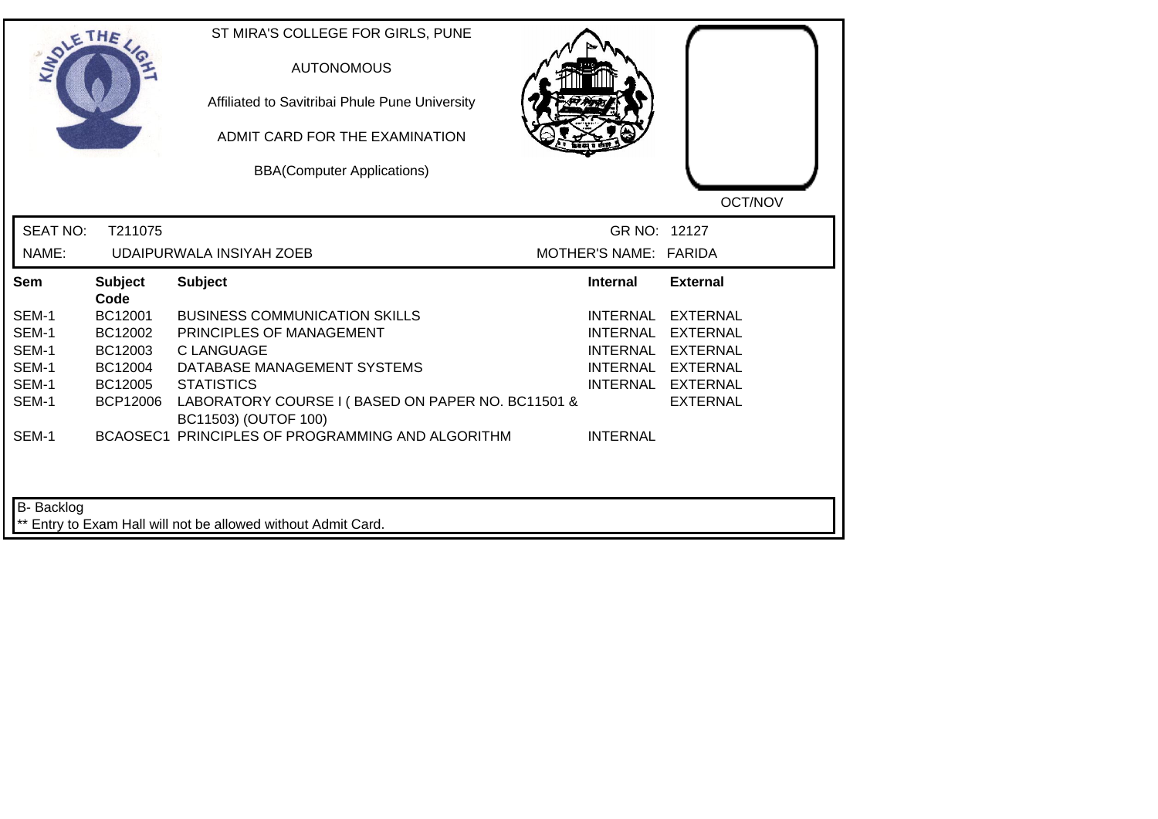| <b>SIDLE</b>                                                | THE                                                                    | ST MIRA'S COLLEGE FOR GIRLS, PUNE<br><b>AUTONOMOUS</b><br>Affiliated to Savitribai Phule Pune University<br>ADMIT CARD FOR THE EXAMINATION<br><b>BBA(Computer Applications)</b>                                                                                     |                                                                          | OCT/NOV                                                                                                            |
|-------------------------------------------------------------|------------------------------------------------------------------------|---------------------------------------------------------------------------------------------------------------------------------------------------------------------------------------------------------------------------------------------------------------------|--------------------------------------------------------------------------|--------------------------------------------------------------------------------------------------------------------|
| <b>SEAT NO:</b><br>NAME:                                    | T211075                                                                | UDAIPURWALA INSIYAH ZOEB                                                                                                                                                                                                                                            | GR NO: 12127<br>MOTHER'S NAME: FARIDA                                    |                                                                                                                    |
| Sem                                                         | <b>Subject</b><br>Code                                                 | <b>Subject</b>                                                                                                                                                                                                                                                      | <b>Internal</b>                                                          | <b>External</b>                                                                                                    |
| SEM-1<br>SEM-1<br>SEM-1<br>SEM-1<br>SEM-1<br>SEM-1<br>SEM-1 | BC12001<br>BC12002<br>BC12003<br>BC12004<br>BC12005<br><b>BCP12006</b> | <b>BUSINESS COMMUNICATION SKILLS</b><br>PRINCIPLES OF MANAGEMENT<br>C LANGUAGE<br>DATABASE MANAGEMENT SYSTEMS<br><b>STATISTICS</b><br>LABORATORY COURSE I (BASED ON PAPER NO. BC11501 &<br>BC11503) (OUTOF 100)<br>BCAOSEC1 PRINCIPLES OF PROGRAMMING AND ALGORITHM | <b>INTERNAL</b><br><b>INTERNAL</b><br><b>INTERNAL</b><br><b>INTERNAL</b> | <b>EXTERNAL</b><br><b>EXTERNAL</b><br><b>EXTERNAL</b><br>INTERNAL EXTERNAL<br>INTERNAL EXTERNAL<br><b>EXTERNAL</b> |
| B- Backlog                                                  |                                                                        | ** Entry to Exam Hall will not be allowed without Admit Card.                                                                                                                                                                                                       |                                                                          |                                                                                                                    |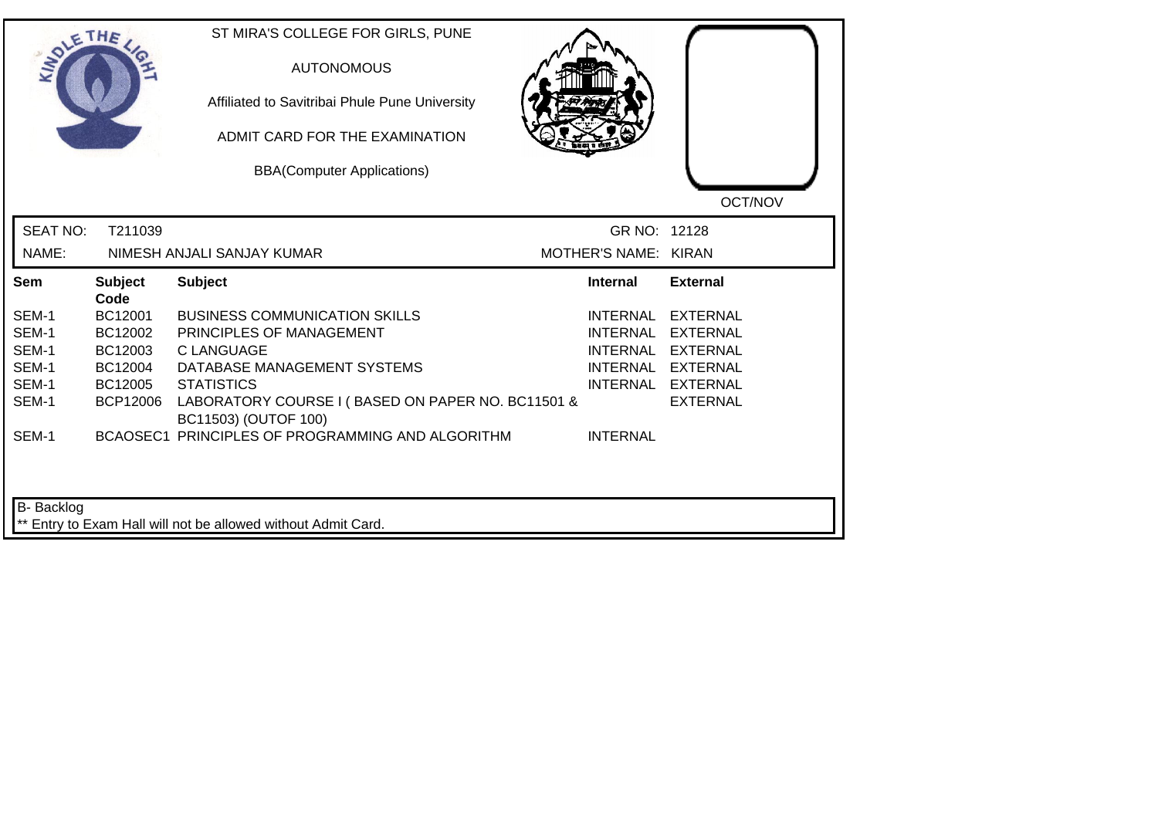|                 | THE                    | ST MIRA'S COLLEGE FOR GIRLS, PUNE<br><b>AUTONOMOUS</b><br>Affiliated to Savitribai Phule Pune University<br>ADMIT CARD FOR THE EXAMINATION<br><b>BBA(Computer Applications)</b> |                      | OCT/NOV           |
|-----------------|------------------------|---------------------------------------------------------------------------------------------------------------------------------------------------------------------------------|----------------------|-------------------|
| <b>SEAT NO:</b> | T211039                |                                                                                                                                                                                 | GR NO: 12128         |                   |
| NAME:           |                        | NIMESH ANJALI SANJAY KUMAR                                                                                                                                                      | MOTHER'S NAME: KIRAN |                   |
| Sem             | <b>Subject</b><br>Code | <b>Subject</b>                                                                                                                                                                  | <b>Internal</b>      | <b>External</b>   |
| SEM-1           | BC12001                | <b>BUSINESS COMMUNICATION SKILLS</b>                                                                                                                                            | INTERNAL             | <b>EXTERNAL</b>   |
| SEM-1           | BC12002                | PRINCIPLES OF MANAGEMENT                                                                                                                                                        | <b>INTERNAL</b>      | <b>EXTERNAL</b>   |
| SEM-1           | BC12003                | <b>CLANGUAGE</b>                                                                                                                                                                | <b>INTERNAL</b>      | <b>EXTERNAL</b>   |
| SEM-1           | BC12004                | DATABASE MANAGEMENT SYSTEMS                                                                                                                                                     |                      | INTERNAL EXTERNAL |
| SEM-1           | BC12005                | <b>STATISTICS</b>                                                                                                                                                               |                      | INTERNAL EXTERNAL |
| SEM-1           | <b>BCP12006</b>        | LABORATORY COURSE I (BASED ON PAPER NO. BC11501 &<br>BC11503) (OUTOF 100)                                                                                                       |                      | <b>EXTERNAL</b>   |
| SEM-1           |                        | BCAOSEC1 PRINCIPLES OF PROGRAMMING AND ALGORITHM                                                                                                                                | <b>INTERNAL</b>      |                   |
| B- Backlog      |                        | ** Entry to Exam Hall will not be allowed without Admit Card.                                                                                                                   |                      |                   |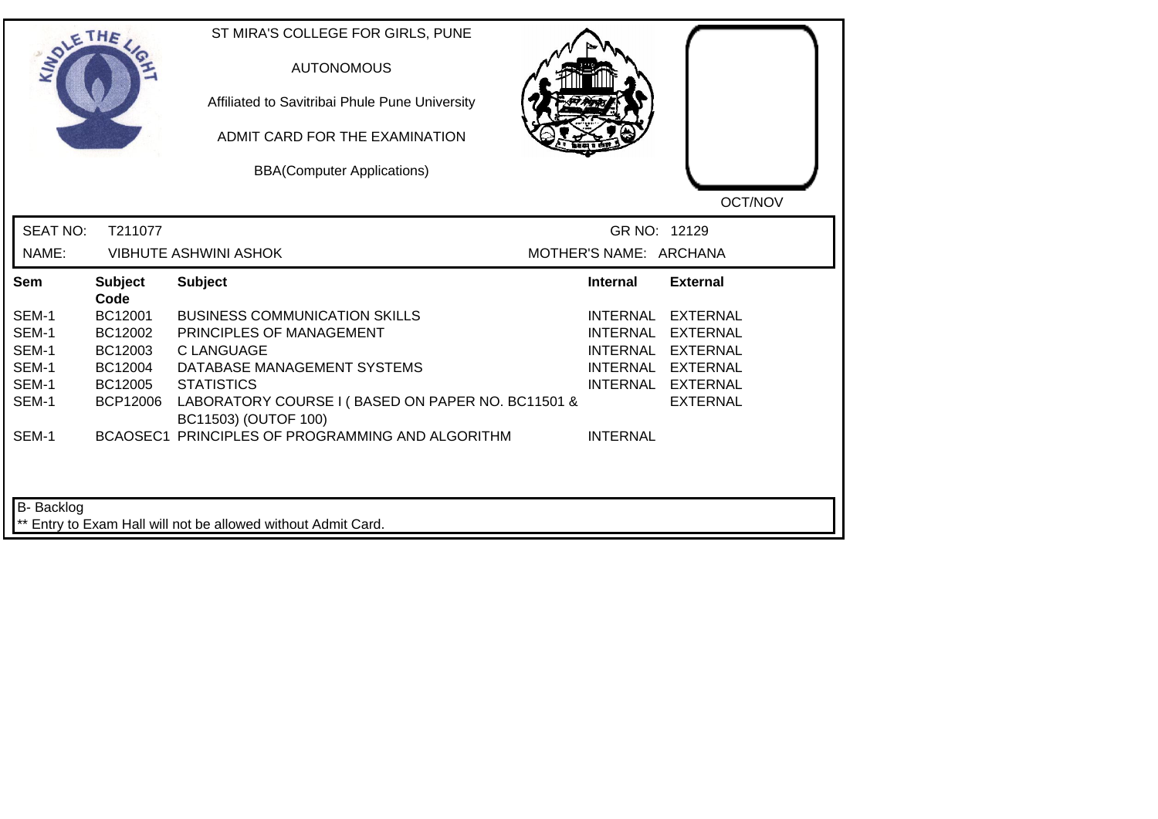| <b>LANDLE</b>            | THE             | ST MIRA'S COLLEGE FOR GIRLS, PUNE<br><b>AUTONOMOUS</b><br>Affiliated to Savitribai Phule Pune University<br>ADMIT CARD FOR THE EXAMINATION<br><b>BBA(Computer Applications)</b> |                                        | OCT/NOV           |
|--------------------------|-----------------|---------------------------------------------------------------------------------------------------------------------------------------------------------------------------------|----------------------------------------|-------------------|
| <b>SEAT NO:</b><br>NAME: | T211077         | <b>VIBHUTE ASHWINI ASHOK</b>                                                                                                                                                    | GR NO: 12129<br>MOTHER'S NAME: ARCHANA |                   |
|                          |                 |                                                                                                                                                                                 |                                        |                   |
| <b>Sem</b>               | <b>Subject</b>  | <b>Subject</b>                                                                                                                                                                  | <b>Internal</b>                        | <b>External</b>   |
| SEM-1                    | Code<br>BC12001 | <b>BUSINESS COMMUNICATION SKILLS</b>                                                                                                                                            | <b>INTERNAL</b>                        | <b>EXTERNAL</b>   |
| SEM-1                    | BC12002         | PRINCIPLES OF MANAGEMENT                                                                                                                                                        | <b>INTERNAL</b>                        | <b>EXTERNAL</b>   |
| SEM-1                    | BC12003         | <b>C LANGUAGE</b>                                                                                                                                                               | <b>INTERNAL</b>                        | <b>EXTERNAL</b>   |
| SEM-1                    | BC12004         | DATABASE MANAGEMENT SYSTEMS                                                                                                                                                     |                                        | INTERNAL EXTERNAL |
| SEM-1                    | BC12005         | <b>STATISTICS</b>                                                                                                                                                               |                                        | INTERNAL EXTERNAL |
| SEM-1                    | BCP12006        | LABORATORY COURSE I (BASED ON PAPER NO. BC11501 &<br>BC11503) (OUTOF 100)                                                                                                       |                                        | <b>EXTERNAL</b>   |
| SEM-1                    |                 | BCAOSEC1 PRINCIPLES OF PROGRAMMING AND ALGORITHM                                                                                                                                | <b>INTERNAL</b>                        |                   |
| B- Backlog               |                 | ** Entry to Exam Hall will not be allowed without Admit Card.                                                                                                                   |                                        |                   |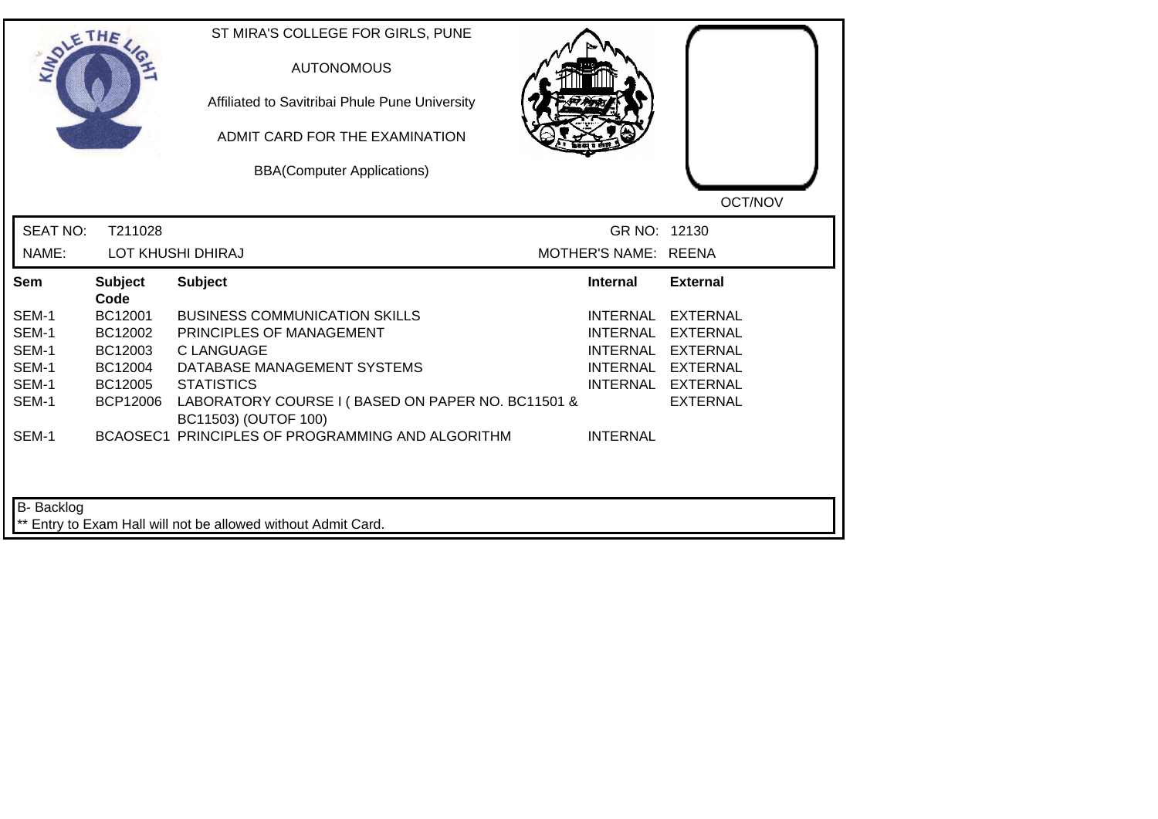| SOLETHE .                                                   |                                                                                | ST MIRA'S COLLEGE FOR GIRLS, PUNE<br><b>AUTONOMOUS</b><br>Affiliated to Savitribai Phule Pune University<br>ADMIT CARD FOR THE EXAMINATION<br><b>BBA(Computer Applications)</b>                                                                                            |                                                       | OCT/NOV                                                                                                              |
|-------------------------------------------------------------|--------------------------------------------------------------------------------|----------------------------------------------------------------------------------------------------------------------------------------------------------------------------------------------------------------------------------------------------------------------------|-------------------------------------------------------|----------------------------------------------------------------------------------------------------------------------|
| <b>SEAT NO:</b><br>NAME:                                    | T211028                                                                        | LOT KHUSHI DHIRAJ                                                                                                                                                                                                                                                          | GR NO: 12130<br>MOTHER'S NAME: REENA                  |                                                                                                                      |
| Sem                                                         | <b>Subject</b>                                                                 | <b>Subject</b>                                                                                                                                                                                                                                                             | <b>Internal</b>                                       | <b>External</b>                                                                                                      |
| SEM-1<br>SEM-1<br>SEM-1<br>SEM-1<br>SEM-1<br>SEM-1<br>SEM-1 | Code<br>BC12001<br>BC12002<br>BC12003<br>BC12004<br>BC12005<br><b>BCP12006</b> | <b>BUSINESS COMMUNICATION SKILLS</b><br>PRINCIPLES OF MANAGEMENT<br><b>C LANGUAGE</b><br>DATABASE MANAGEMENT SYSTEMS<br><b>STATISTICS</b><br>LABORATORY COURSE I (BASED ON PAPER NO. BC11501 &<br>BC11503) (OUTOF 100)<br>BCAOSEC1 PRINCIPLES OF PROGRAMMING AND ALGORITHM | <b>INTERNAL</b><br><b>INTERNAL</b><br><b>INTERNAL</b> | <b>EXTERNAL</b><br>INTERNAL EXTERNAL<br><b>EXTERNAL</b><br>INTERNAL EXTERNAL<br>INTERNAL EXTERNAL<br><b>EXTERNAL</b> |
| B- Backlog                                                  |                                                                                | ** Entry to Exam Hall will not be allowed without Admit Card.                                                                                                                                                                                                              |                                                       |                                                                                                                      |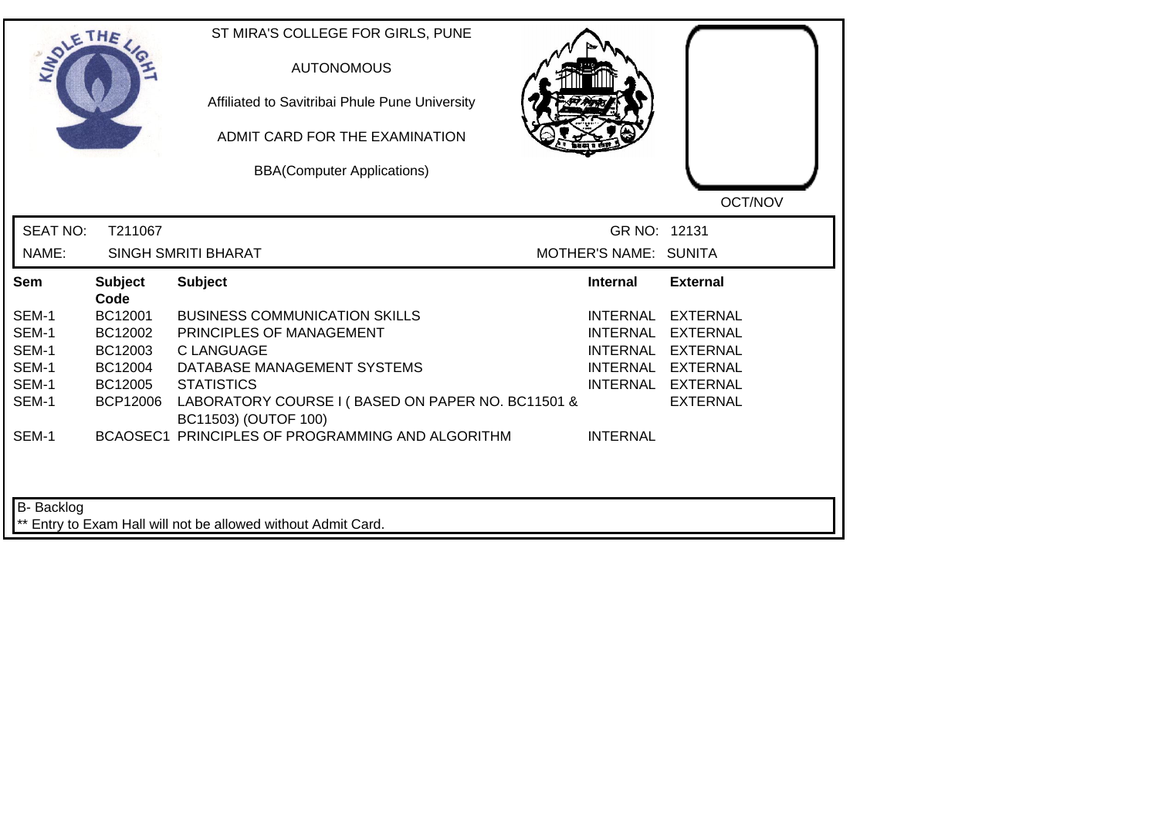|                                                             | THE                                                                            | ST MIRA'S COLLEGE FOR GIRLS, PUNE<br><b>AUTONOMOUS</b><br>Affiliated to Savitribai Phule Pune University<br>ADMIT CARD FOR THE EXAMINATION<br><b>BBA(Computer Applications)</b>                                                                                            |                                                                   | OCT/NOV                                                                                                            |
|-------------------------------------------------------------|--------------------------------------------------------------------------------|----------------------------------------------------------------------------------------------------------------------------------------------------------------------------------------------------------------------------------------------------------------------------|-------------------------------------------------------------------|--------------------------------------------------------------------------------------------------------------------|
| <b>SEAT NO:</b><br>NAME:                                    | T211067                                                                        | <b>SINGH SMRITI BHARAT</b>                                                                                                                                                                                                                                                 | GR NO: 12131<br>MOTHER'S NAME: SUNITA                             |                                                                                                                    |
| Sem                                                         | <b>Subject</b>                                                                 | <b>Subject</b>                                                                                                                                                                                                                                                             | <b>Internal</b>                                                   | <b>External</b>                                                                                                    |
| SEM-1<br>SEM-1<br>SEM-1<br>SEM-1<br>SEM-1<br>SEM-1<br>SEM-1 | Code<br>BC12001<br>BC12002<br>BC12003<br>BC12004<br>BC12005<br><b>BCP12006</b> | <b>BUSINESS COMMUNICATION SKILLS</b><br>PRINCIPLES OF MANAGEMENT<br><b>C LANGUAGE</b><br>DATABASE MANAGEMENT SYSTEMS<br><b>STATISTICS</b><br>LABORATORY COURSE I (BASED ON PAPER NO. BC11501 &<br>BC11503) (OUTOF 100)<br>BCAOSEC1 PRINCIPLES OF PROGRAMMING AND ALGORITHM | INTERNAL<br><b>INTERNAL</b><br><b>INTERNAL</b><br><b>INTERNAL</b> | <b>EXTERNAL</b><br><b>EXTERNAL</b><br><b>EXTERNAL</b><br>INTERNAL EXTERNAL<br>INTERNAL EXTERNAL<br><b>EXTERNAL</b> |
| B- Backlog                                                  |                                                                                | ** Entry to Exam Hall will not be allowed without Admit Card.                                                                                                                                                                                                              |                                                                   |                                                                                                                    |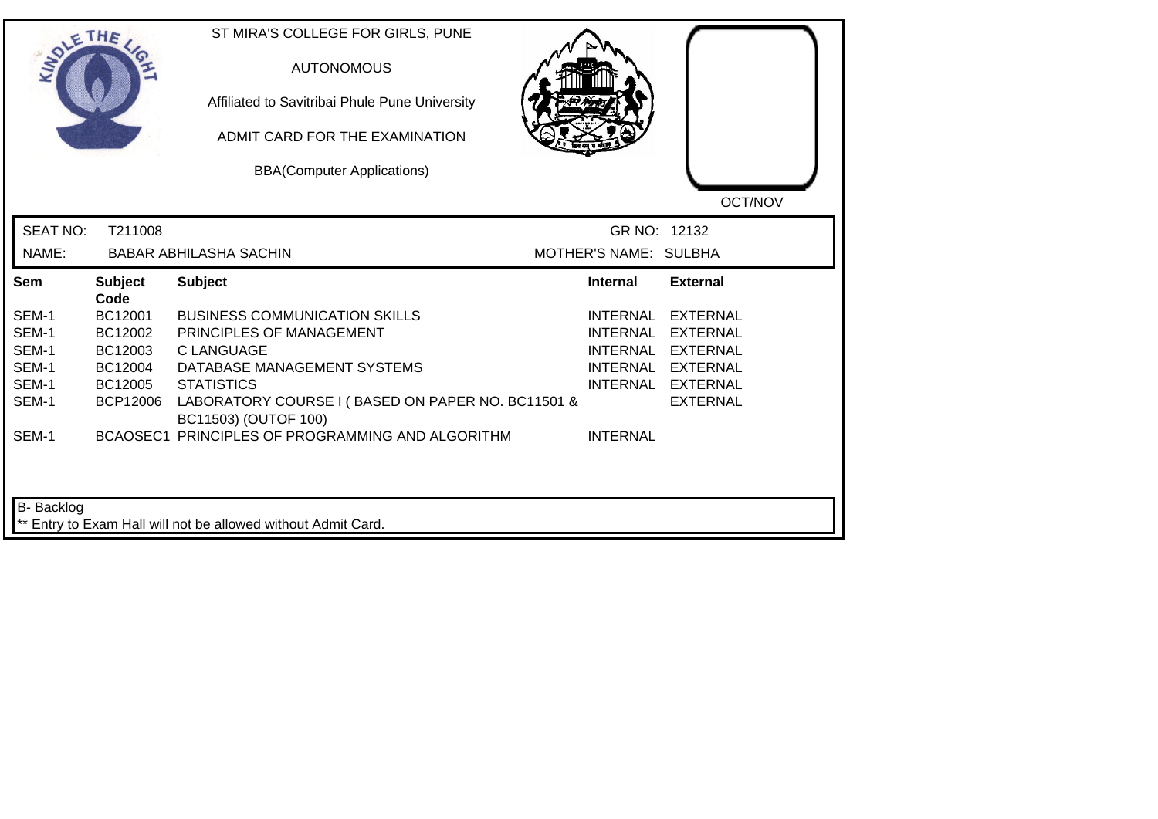| <b>LANDLE</b>                                               | THE                                                                     | ST MIRA'S COLLEGE FOR GIRLS, PUNE<br><b>AUTONOMOUS</b><br>Affiliated to Savitribai Phule Pune University<br>ADMIT CARD FOR THE EXAMINATION<br><b>BBA(Computer Applications)</b>                                                                                            |                                                                          | OCT/NOV                                                                                                            |
|-------------------------------------------------------------|-------------------------------------------------------------------------|----------------------------------------------------------------------------------------------------------------------------------------------------------------------------------------------------------------------------------------------------------------------------|--------------------------------------------------------------------------|--------------------------------------------------------------------------------------------------------------------|
| <b>SEAT NO:</b><br>NAME:                                    | T211008                                                                 | <b>BABAR ABHILASHA SACHIN</b>                                                                                                                                                                                                                                              | GR NO: 12132<br>MOTHER'S NAME: SULBHA                                    |                                                                                                                    |
| <b>Sem</b>                                                  | <b>Subject</b>                                                          | <b>Subject</b>                                                                                                                                                                                                                                                             | <b>Internal</b>                                                          | <b>External</b>                                                                                                    |
| SEM-1<br>SEM-1<br>SEM-1<br>SEM-1<br>SEM-1<br>SEM-1<br>SEM-1 | Code<br>BC12001<br>BC12002<br>BC12003<br>BC12004<br>BC12005<br>BCP12006 | <b>BUSINESS COMMUNICATION SKILLS</b><br>PRINCIPLES OF MANAGEMENT<br><b>C LANGUAGE</b><br>DATABASE MANAGEMENT SYSTEMS<br><b>STATISTICS</b><br>LABORATORY COURSE I (BASED ON PAPER NO. BC11501 &<br>BC11503) (OUTOF 100)<br>BCAOSEC1 PRINCIPLES OF PROGRAMMING AND ALGORITHM | <b>INTERNAL</b><br><b>INTERNAL</b><br><b>INTERNAL</b><br><b>INTERNAL</b> | <b>EXTERNAL</b><br><b>EXTERNAL</b><br><b>EXTERNAL</b><br>INTERNAL EXTERNAL<br>INTERNAL EXTERNAL<br><b>EXTERNAL</b> |
| B- Backlog                                                  |                                                                         | ** Entry to Exam Hall will not be allowed without Admit Card.                                                                                                                                                                                                              |                                                                          |                                                                                                                    |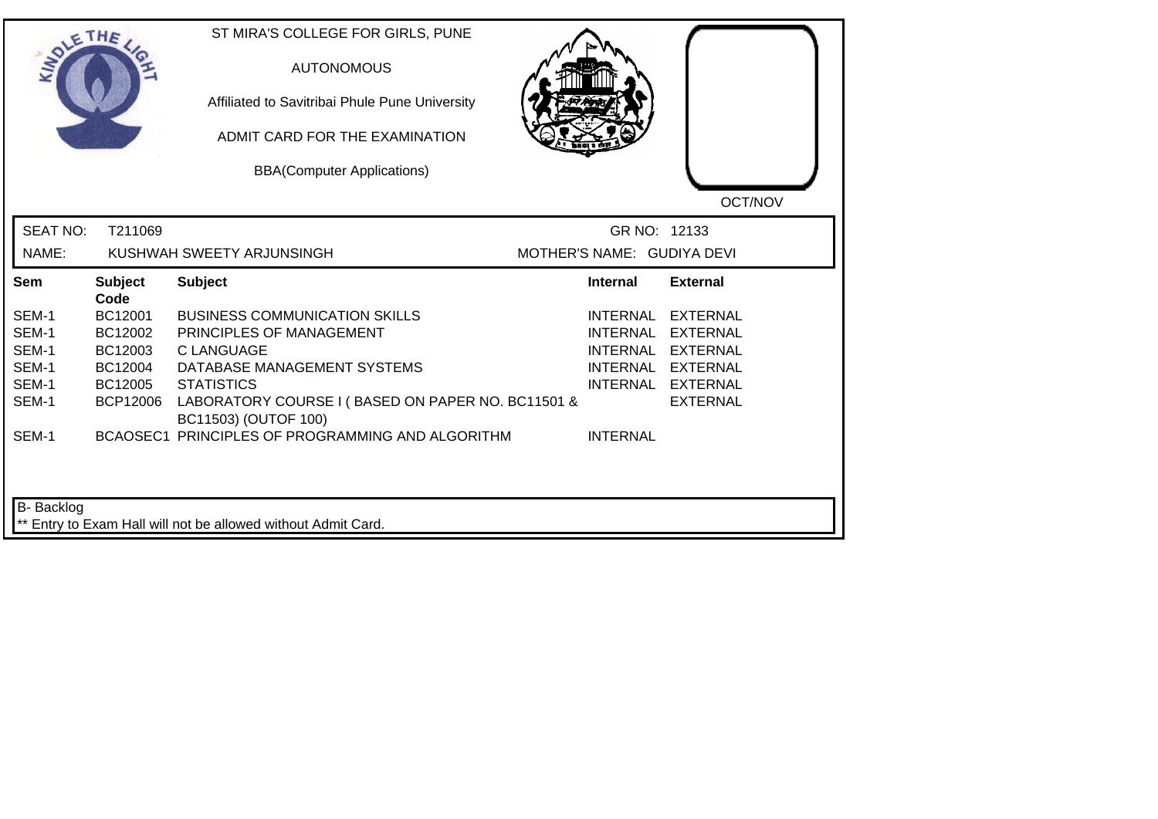| <b>LANDLE</b>   | THE                    | ST MIRA'S COLLEGE FOR GIRLS, PUNE<br><b>AUTONOMOUS</b><br>Affiliated to Savitribai Phule Pune University<br>ADMIT CARD FOR THE EXAMINATION<br><b>BBA(Computer Applications)</b> |                            | OCT/NOV           |
|-----------------|------------------------|---------------------------------------------------------------------------------------------------------------------------------------------------------------------------------|----------------------------|-------------------|
| <b>SEAT NO:</b> | T211069                |                                                                                                                                                                                 | GR NO: 12133               |                   |
| NAME:           |                        | KUSHWAH SWEETY ARJUNSINGH                                                                                                                                                       | MOTHER'S NAME: GUDIYA DEVI |                   |
| Sem             | <b>Subject</b><br>Code | <b>Subject</b>                                                                                                                                                                  | Internal                   | <b>External</b>   |
| SEM-1           | BC12001                | <b>BUSINESS COMMUNICATION SKILLS</b>                                                                                                                                            | INTERNAL                   | <b>EXTERNAL</b>   |
| SEM-1           | BC12002                | PRINCIPLES OF MANAGEMENT                                                                                                                                                        | <b>INTERNAL</b>            | <b>EXTERNAL</b>   |
| SEM-1           | BC12003                | C LANGUAGE                                                                                                                                                                      | <b>INTERNAL</b>            | EXTERNAL          |
| SEM-1           | BC12004                | DATABASE MANAGEMENT SYSTEMS                                                                                                                                                     |                            | INTERNAL EXTERNAL |
| SEM-1           | BC12005                | <b>STATISTICS</b>                                                                                                                                                               |                            | INTERNAL EXTERNAL |
| SEM-1           | <b>BCP12006</b>        | LABORATORY COURSE I (BASED ON PAPER NO. BC11501 &<br>BC11503) (OUTOF 100)                                                                                                       |                            | <b>EXTERNAL</b>   |
| SEM-1           |                        | BCAOSEC1 PRINCIPLES OF PROGRAMMING AND ALGORITHM                                                                                                                                | <b>INTERNAL</b>            |                   |
| B- Backlog      |                        | ** Entry to Exam Hall will not be allowed without Admit Card.                                                                                                                   |                            |                   |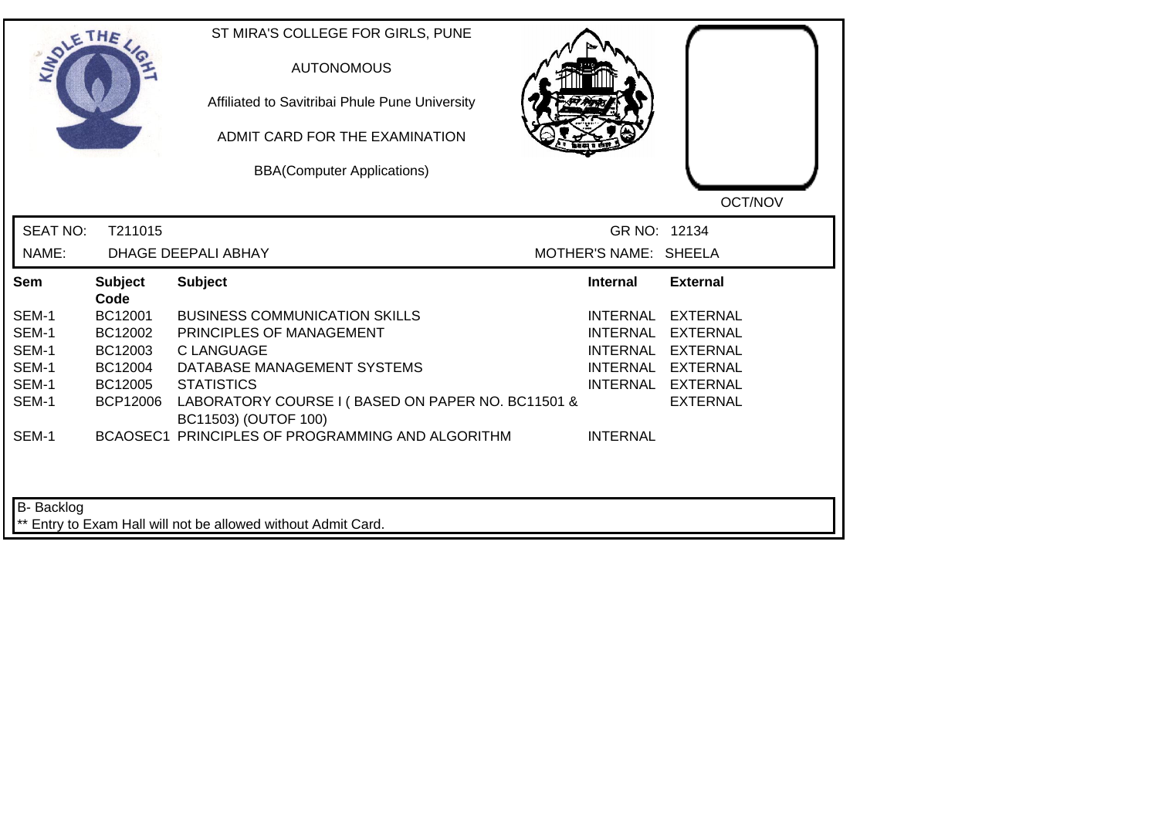| <b>SIMOLE</b>   | THE                    | ST MIRA'S COLLEGE FOR GIRLS, PUNE<br><b>AUTONOMOUS</b><br>Affiliated to Savitribai Phule Pune University<br>ADMIT CARD FOR THE EXAMINATION<br><b>BBA(Computer Applications)</b> |                       | OCT/NOV           |
|-----------------|------------------------|---------------------------------------------------------------------------------------------------------------------------------------------------------------------------------|-----------------------|-------------------|
| <b>SEAT NO:</b> | T211015                |                                                                                                                                                                                 | GR NO: 12134          |                   |
| NAME:           |                        | <b>DHAGE DEEPALI ABHAY</b>                                                                                                                                                      | MOTHER'S NAME: SHEELA |                   |
| <b>Sem</b>      | <b>Subject</b><br>Code | <b>Subject</b>                                                                                                                                                                  | <b>Internal</b>       | <b>External</b>   |
| SEM-1           | BC12001                | <b>BUSINESS COMMUNICATION SKILLS</b>                                                                                                                                            | <b>INTERNAL</b>       | <b>EXTERNAL</b>   |
| SEM-1           | BC12002                | PRINCIPLES OF MANAGEMENT                                                                                                                                                        | INTERNAL              | <b>EXTERNAL</b>   |
| SEM-1           | BC12003                | <b>C LANGUAGE</b>                                                                                                                                                               | <b>INTERNAL</b>       | <b>EXTERNAL</b>   |
| SEM-1           | BC12004                | DATABASE MANAGEMENT SYSTEMS                                                                                                                                                     |                       | INTERNAL EXTERNAL |
| SEM-1           | BC12005                | <b>STATISTICS</b>                                                                                                                                                               |                       | INTERNAL EXTERNAL |
| SEM-1           | <b>BCP12006</b>        | LABORATORY COURSE I (BASED ON PAPER NO. BC11501 &<br>BC11503) (OUTOF 100)                                                                                                       |                       | <b>EXTERNAL</b>   |
| SEM-1           |                        | BCAOSEC1 PRINCIPLES OF PROGRAMMING AND ALGORITHM                                                                                                                                | <b>INTERNAL</b>       |                   |
| B- Backlog      |                        | ** Entry to Exam Hall will not be allowed without Admit Card.                                                                                                                   |                       |                   |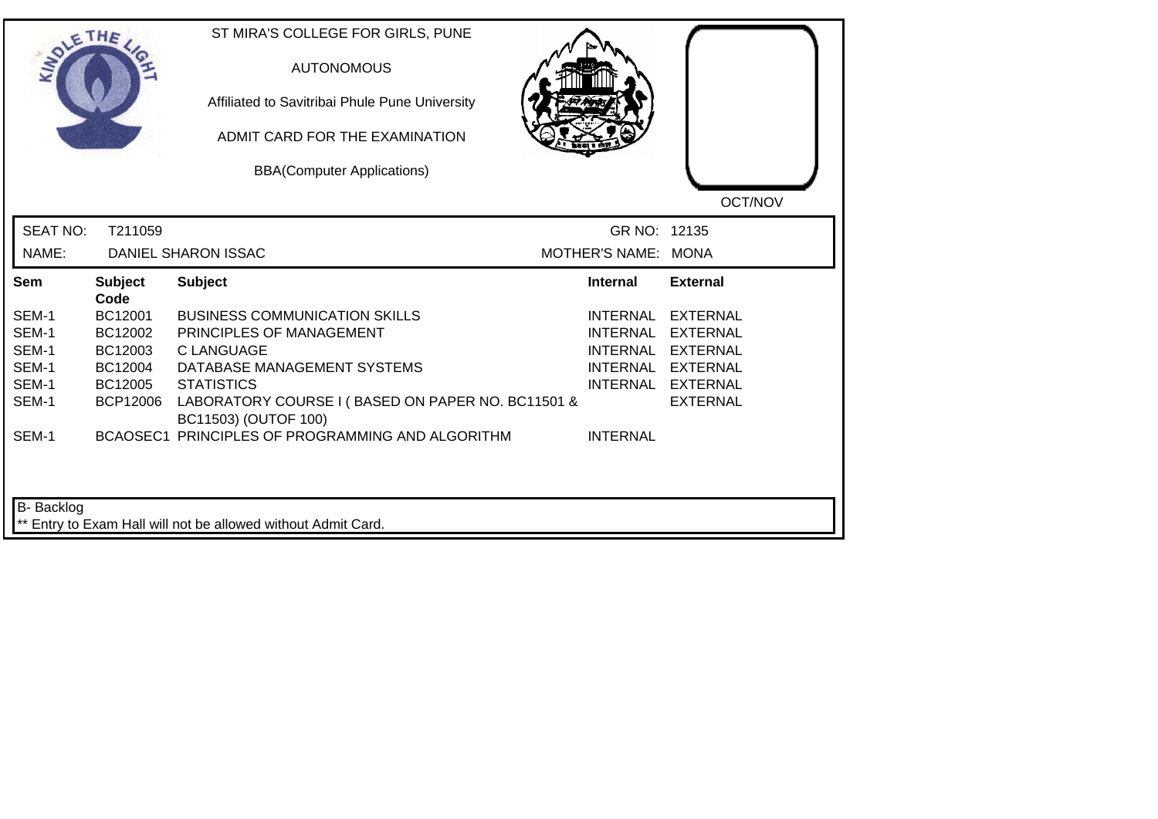| <b>SIMOLE</b>   | THE                    | ST MIRA'S COLLEGE FOR GIRLS, PUNE<br><b>AUTONOMOUS</b><br>Affiliated to Savitribai Phule Pune University<br>ADMIT CARD FOR THE EXAMINATION<br><b>BBA(Computer Applications)</b> |                     | OCT/NOV           |
|-----------------|------------------------|---------------------------------------------------------------------------------------------------------------------------------------------------------------------------------|---------------------|-------------------|
| <b>SEAT NO:</b> | T211059                |                                                                                                                                                                                 | GR NO: 12135        |                   |
| NAME:           |                        | <b>DANIEL SHARON ISSAC</b>                                                                                                                                                      | MOTHER'S NAME: MONA |                   |
| <b>Sem</b>      | <b>Subject</b><br>Code | <b>Subject</b>                                                                                                                                                                  | <b>Internal</b>     | <b>External</b>   |
| SEM-1           | BC12001                | <b>BUSINESS COMMUNICATION SKILLS</b>                                                                                                                                            | <b>INTERNAL</b>     | <b>EXTERNAL</b>   |
| SEM-1           | BC12002                | PRINCIPLES OF MANAGEMENT                                                                                                                                                        | <b>INTERNAL</b>     | EXTERNAL          |
| SEM-1           | BC12003                | <b>C LANGUAGE</b>                                                                                                                                                               | <b>INTERNAL</b>     | <b>EXTERNAL</b>   |
| SEM-1           | BC12004                | DATABASE MANAGEMENT SYSTEMS                                                                                                                                                     |                     | INTERNAL EXTERNAL |
| SEM-1           | BC12005                | <b>STATISTICS</b>                                                                                                                                                               |                     | INTERNAL EXTERNAL |
| SEM-1           | <b>BCP12006</b>        | LABORATORY COURSE I (BASED ON PAPER NO. BC11501 &<br>BC11503) (OUTOF 100)                                                                                                       |                     | <b>EXTERNAL</b>   |
| SEM-1           |                        | BCAOSEC1 PRINCIPLES OF PROGRAMMING AND ALGORITHM                                                                                                                                | <b>INTERNAL</b>     |                   |
| B- Backlog      |                        |                                                                                                                                                                                 |                     |                   |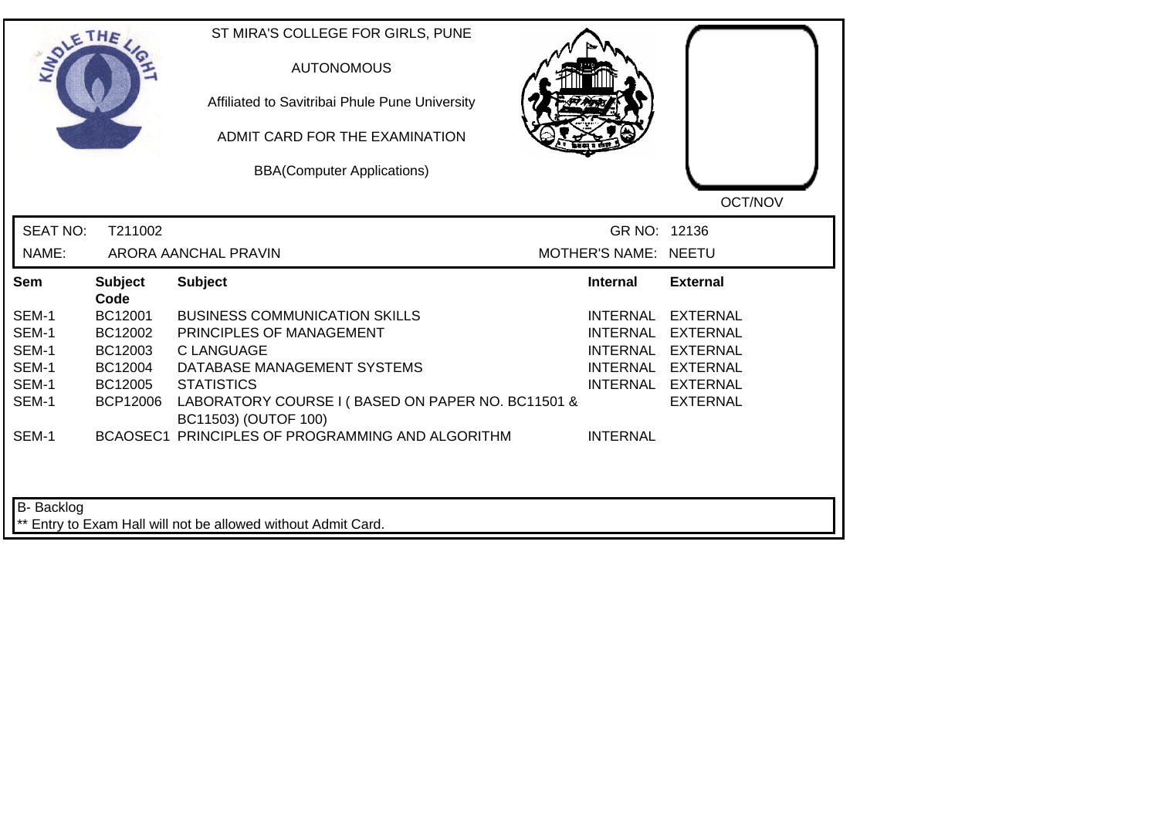|                 | THE             | ST MIRA'S COLLEGE FOR GIRLS, PUNE<br><b>AUTONOMOUS</b><br>Affiliated to Savitribai Phule Pune University<br>ADMIT CARD FOR THE EXAMINATION<br><b>BBA(Computer Applications)</b> |                      | OCT/NOV           |
|-----------------|-----------------|---------------------------------------------------------------------------------------------------------------------------------------------------------------------------------|----------------------|-------------------|
| <b>SEAT NO:</b> | T211002         |                                                                                                                                                                                 | GR NO: 12136         |                   |
| NAME:           |                 | ARORA AANCHAL PRAVIN                                                                                                                                                            | MOTHER'S NAME: NEETU |                   |
| Sem             | <b>Subject</b>  | <b>Subject</b>                                                                                                                                                                  | <b>Internal</b>      | <b>External</b>   |
|                 | Code            |                                                                                                                                                                                 |                      |                   |
| SEM-1           | BC12001         | <b>BUSINESS COMMUNICATION SKILLS</b>                                                                                                                                            | INTERNAL             | <b>EXTERNAL</b>   |
| SEM-1           | BC12002         | PRINCIPLES OF MANAGEMENT                                                                                                                                                        | <b>INTERNAL</b>      | <b>EXTERNAL</b>   |
| SEM-1           | BC12003         | <b>C LANGUAGE</b>                                                                                                                                                               | <b>INTERNAL</b>      | <b>EXTERNAL</b>   |
| SEM-1           | BC12004         | DATABASE MANAGEMENT SYSTEMS                                                                                                                                                     |                      | INTERNAL EXTERNAL |
| SEM-1           | BC12005         | <b>STATISTICS</b>                                                                                                                                                               |                      | INTERNAL EXTERNAL |
| SEM-1           | <b>BCP12006</b> | LABORATORY COURSE I (BASED ON PAPER NO. BC11501 &<br>BC11503) (OUTOF 100)                                                                                                       |                      | <b>EXTERNAL</b>   |
| SEM-1           |                 | BCAOSEC1 PRINCIPLES OF PROGRAMMING AND ALGORITHM                                                                                                                                | <b>INTERNAL</b>      |                   |
| B- Backlog      |                 |                                                                                                                                                                                 |                      |                   |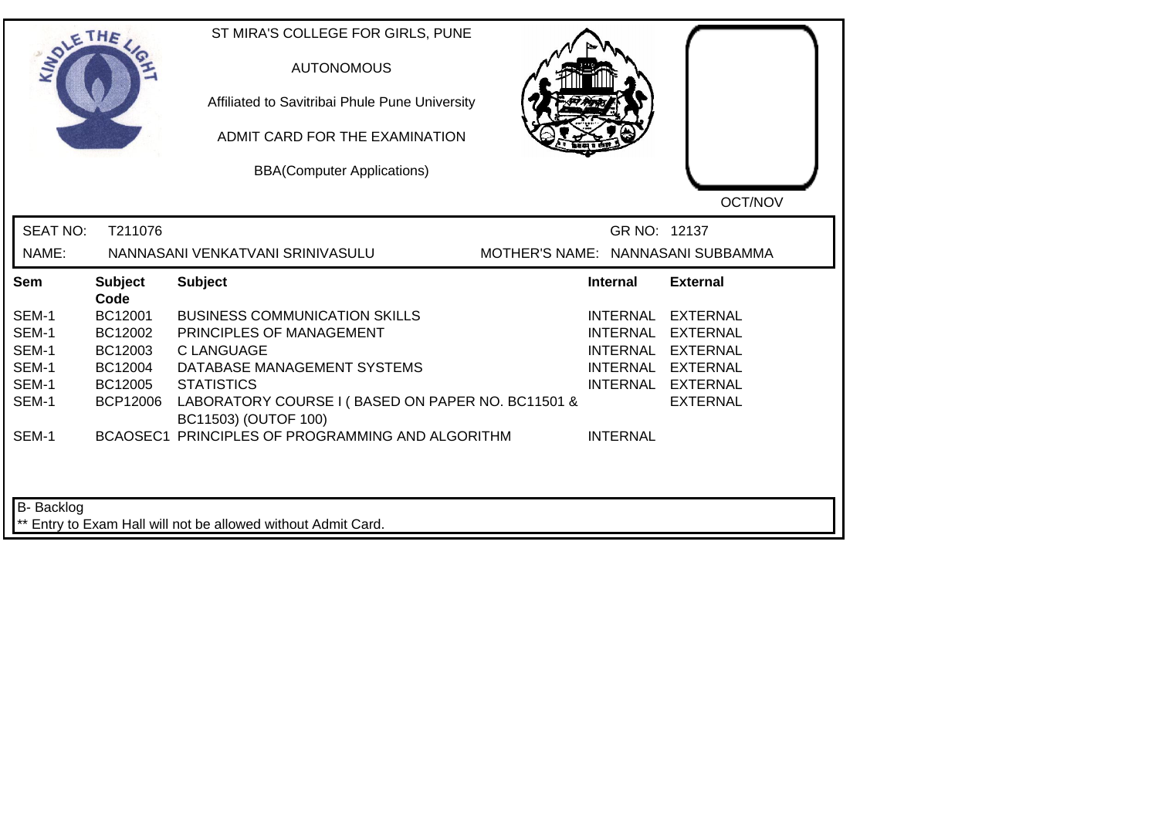| <b>LANDLE</b>     | THE                    | ST MIRA'S COLLEGE FOR GIRLS, PUNE<br><b>AUTONOMOUS</b><br>Affiliated to Savitribai Phule Pune University<br>ADMIT CARD FOR THE EXAMINATION<br><b>BBA(Computer Applications)</b> |                                   | OCT/NOV           |
|-------------------|------------------------|---------------------------------------------------------------------------------------------------------------------------------------------------------------------------------|-----------------------------------|-------------------|
| <b>SEAT NO:</b>   | T211076                |                                                                                                                                                                                 | GR NO: 12137                      |                   |
| NAME:             |                        | NANNASANI VENKATVANI SRINIVASULU                                                                                                                                                | MOTHER'S NAME: NANNASANI SUBBAMMA |                   |
| Sem               | <b>Subject</b><br>Code | <b>Subject</b>                                                                                                                                                                  | <b>Internal</b>                   | <b>External</b>   |
| SEM-1             | BC12001                | <b>BUSINESS COMMUNICATION SKILLS</b>                                                                                                                                            | INTERNAL                          | <b>EXTERNAL</b>   |
| SEM-1             | BC12002                | PRINCIPLES OF MANAGEMENT                                                                                                                                                        | <b>INTERNAL</b>                   | <b>EXTERNAL</b>   |
| SEM-1             | BC12003                | <b>CLANGUAGE</b>                                                                                                                                                                | <b>INTERNAL</b>                   | <b>EXTERNAL</b>   |
| SEM-1             | BC12004                | DATABASE MANAGEMENT SYSTEMS                                                                                                                                                     |                                   | INTERNAL EXTERNAL |
| SEM-1             | BC12005                | <b>STATISTICS</b>                                                                                                                                                               |                                   | INTERNAL EXTERNAL |
| SEM-1             | <b>BCP12006</b>        | LABORATORY COURSE I (BASED ON PAPER NO. BC11501 &<br>BC11503) (OUTOF 100)                                                                                                       |                                   | <b>EXTERNAL</b>   |
| SEM-1             |                        | BCAOSEC1 PRINCIPLES OF PROGRAMMING AND ALGORITHM                                                                                                                                | <b>INTERNAL</b>                   |                   |
| <b>B-</b> Backlog |                        | ** Entry to Exam Hall will not be allowed without Admit Card.                                                                                                                   |                                   |                   |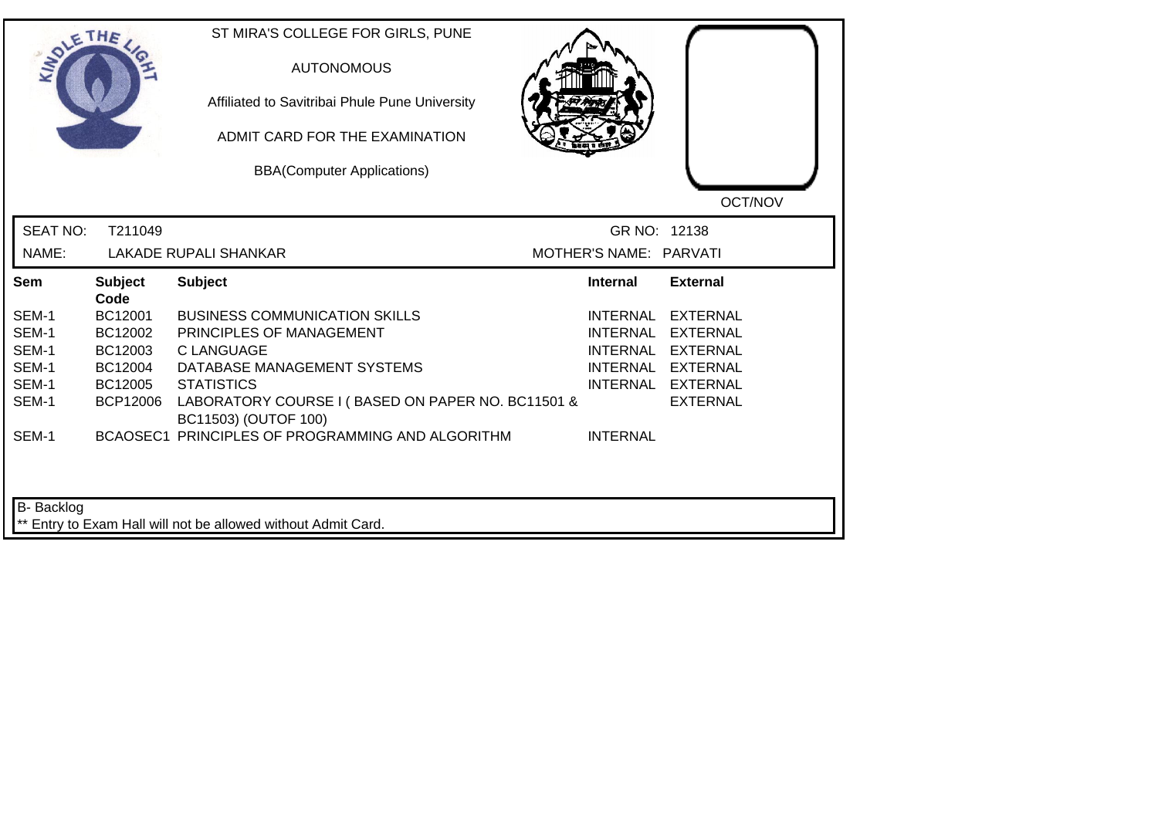| <b>LANDLE</b>   | THE                    | ST MIRA'S COLLEGE FOR GIRLS, PUNE<br><b>AUTONOMOUS</b><br>Affiliated to Savitribai Phule Pune University<br>ADMIT CARD FOR THE EXAMINATION<br><b>BBA(Computer Applications)</b> |                        | OCT/NOV           |
|-----------------|------------------------|---------------------------------------------------------------------------------------------------------------------------------------------------------------------------------|------------------------|-------------------|
| <b>SEAT NO:</b> | T211049                |                                                                                                                                                                                 | GR NO: 12138           |                   |
| NAME:           |                        | <b>LAKADE RUPALI SHANKAR</b>                                                                                                                                                    | MOTHER'S NAME: PARVATI |                   |
| Sem             | <b>Subject</b><br>Code | <b>Subject</b>                                                                                                                                                                  | Internal               | <b>External</b>   |
| SEM-1           | BC12001                | <b>BUSINESS COMMUNICATION SKILLS</b>                                                                                                                                            | <b>INTERNAL</b>        | <b>EXTERNAL</b>   |
| SEM-1           | BC12002                | PRINCIPLES OF MANAGEMENT                                                                                                                                                        | <b>INTERNAL</b>        | <b>EXTERNAL</b>   |
| SEM-1           | BC12003                | <b>CLANGUAGE</b>                                                                                                                                                                | <b>INTERNAL</b>        | <b>EXTERNAL</b>   |
| SEM-1           | BC12004                | DATABASE MANAGEMENT SYSTEMS                                                                                                                                                     |                        | INTERNAL EXTERNAL |
| SEM-1           | BC12005                | <b>STATISTICS</b>                                                                                                                                                               |                        | INTERNAL EXTERNAL |
| SEM-1           | <b>BCP12006</b>        | LABORATORY COURSE I (BASED ON PAPER NO. BC11501 &<br>BC11503) (OUTOF 100)                                                                                                       |                        | <b>EXTERNAL</b>   |
| SEM-1           |                        | BCAOSEC1 PRINCIPLES OF PROGRAMMING AND ALGORITHM                                                                                                                                | <b>INTERNAL</b>        |                   |
| B-Backlog       |                        | ** Entry to Exam Hall will not be allowed without Admit Card.                                                                                                                   |                        |                   |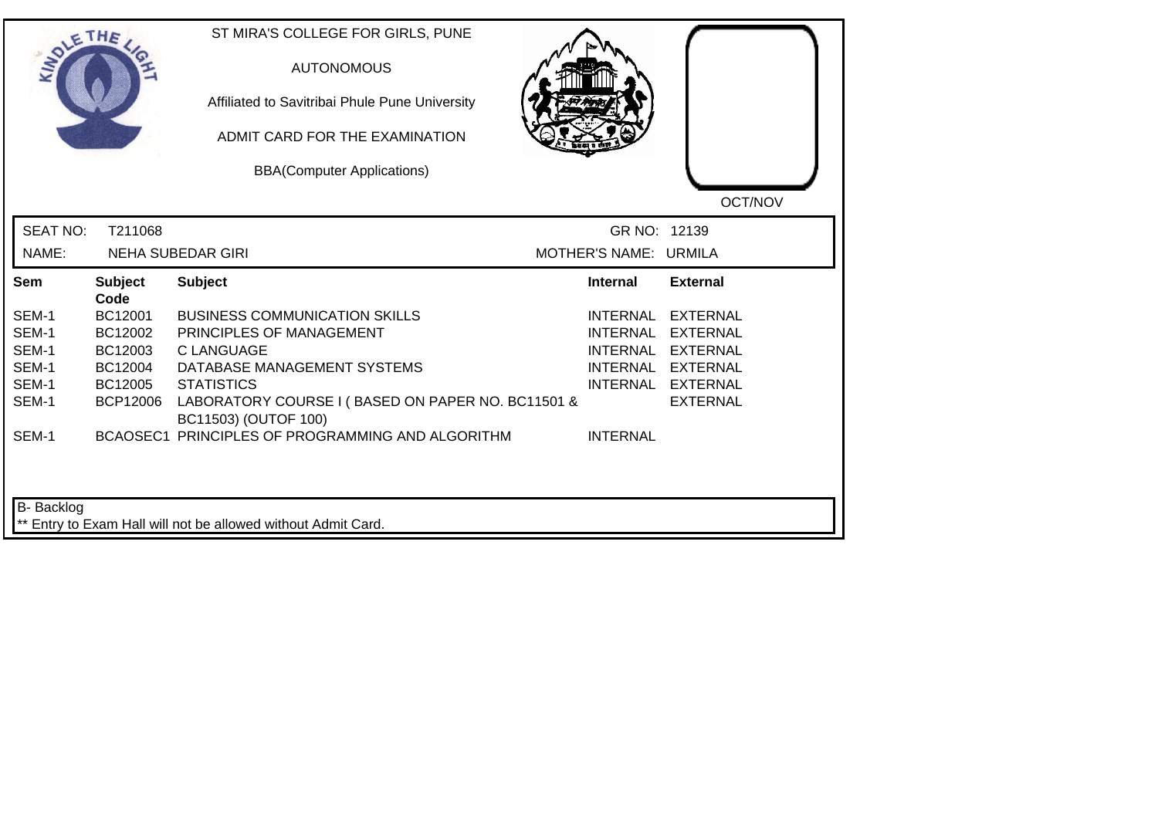| SOLETHE.        |                        | ST MIRA'S COLLEGE FOR GIRLS, PUNE<br><b>AUTONOMOUS</b><br>Affiliated to Savitribai Phule Pune University<br>ADMIT CARD FOR THE EXAMINATION<br><b>BBA(Computer Applications)</b> |                       | OCT/NOV           |
|-----------------|------------------------|---------------------------------------------------------------------------------------------------------------------------------------------------------------------------------|-----------------------|-------------------|
| <b>SEAT NO:</b> | T211068                |                                                                                                                                                                                 | GR NO: 12139          |                   |
| NAME:           |                        | <b>NEHA SUBEDAR GIRI</b>                                                                                                                                                        | MOTHER'S NAME: URMILA |                   |
| Sem             | <b>Subject</b><br>Code | <b>Subject</b>                                                                                                                                                                  | <b>Internal</b>       | <b>External</b>   |
| SEM-1           | BC12001                | <b>BUSINESS COMMUNICATION SKILLS</b>                                                                                                                                            | INTERNAL              | <b>EXTERNAL</b>   |
| SEM-1           | BC12002                | PRINCIPLES OF MANAGEMENT                                                                                                                                                        | INTERNAL              | <b>EXTERNAL</b>   |
| SEM-1           | BC12003                | <b>C LANGUAGE</b>                                                                                                                                                               | <b>INTERNAL</b>       | <b>EXTERNAL</b>   |
| SEM-1           | BC12004                | DATABASE MANAGEMENT SYSTEMS                                                                                                                                                     |                       | INTERNAL EXTERNAL |
| SEM-1           | BC12005                | <b>STATISTICS</b>                                                                                                                                                               |                       | INTERNAL EXTERNAL |
| SEM-1           | <b>BCP12006</b>        | LABORATORY COURSE I (BASED ON PAPER NO. BC11501 &<br>BC11503) (OUTOF 100)                                                                                                       |                       | <b>EXTERNAL</b>   |
| SEM-1           |                        | BCAOSEC1 PRINCIPLES OF PROGRAMMING AND ALGORITHM                                                                                                                                | <b>INTERNAL</b>       |                   |
| B- Backlog      |                        | ** Entry to Exam Hall will not be allowed without Admit Card.                                                                                                                   |                       |                   |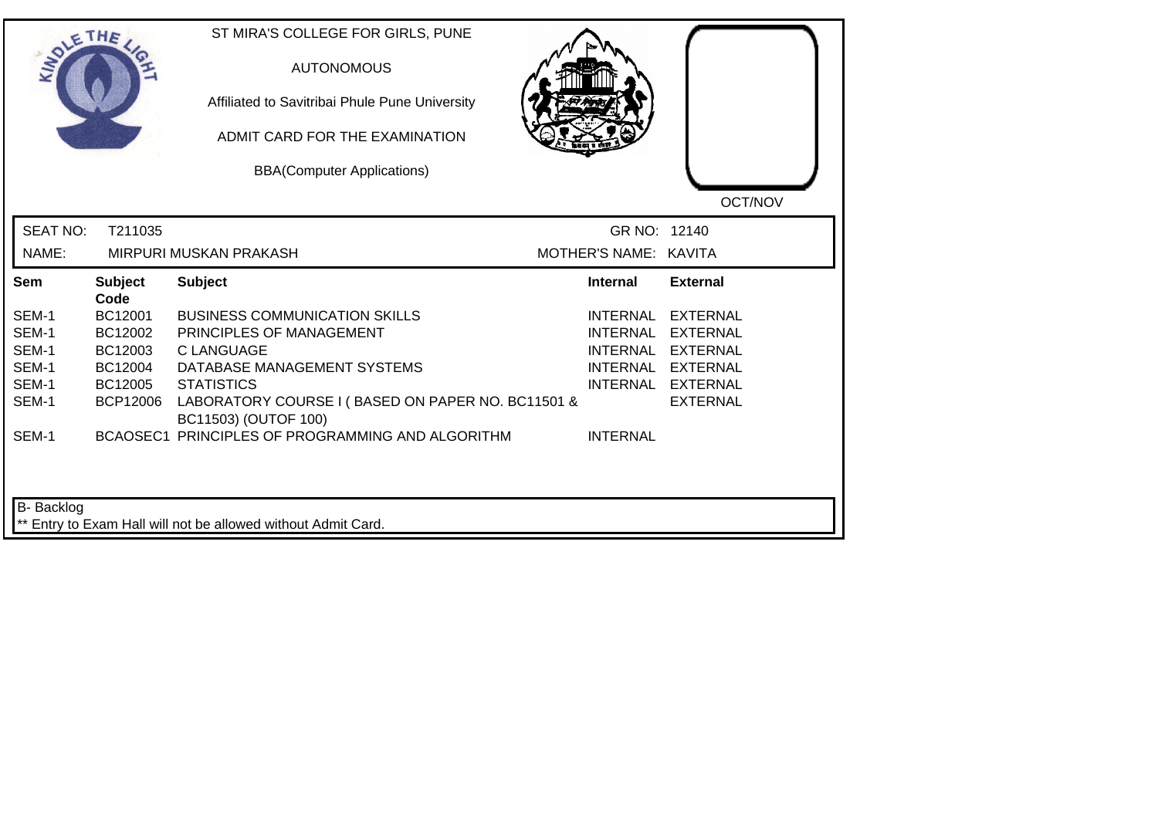| <b>LANDLE</b>                                               | THE                                                             | ST MIRA'S COLLEGE FOR GIRLS, PUNE<br><b>AUTONOMOUS</b><br>Affiliated to Savitribai Phule Pune University<br>ADMIT CARD FOR THE EXAMINATION<br><b>BBA(Computer Applications)</b>                                                                                            |                                                                          | OCT/NOV                                                                                                            |
|-------------------------------------------------------------|-----------------------------------------------------------------|----------------------------------------------------------------------------------------------------------------------------------------------------------------------------------------------------------------------------------------------------------------------------|--------------------------------------------------------------------------|--------------------------------------------------------------------------------------------------------------------|
| <b>SEAT NO:</b><br>NAME:                                    | T211035                                                         | MIRPURI MUSKAN PRAKASH                                                                                                                                                                                                                                                     | GR NO: 12140<br>MOTHER'S NAME: KAVITA                                    |                                                                                                                    |
| <b>Sem</b>                                                  | <b>Subject</b><br>Code                                          | <b>Subject</b>                                                                                                                                                                                                                                                             | <b>Internal</b>                                                          | <b>External</b>                                                                                                    |
| SEM-1<br>SEM-1<br>SEM-1<br>SEM-1<br>SEM-1<br>SEM-1<br>SEM-1 | BC12001<br>BC12002<br>BC12003<br>BC12004<br>BC12005<br>BCP12006 | <b>BUSINESS COMMUNICATION SKILLS</b><br>PRINCIPLES OF MANAGEMENT<br><b>C LANGUAGE</b><br>DATABASE MANAGEMENT SYSTEMS<br><b>STATISTICS</b><br>LABORATORY COURSE I (BASED ON PAPER NO. BC11501 &<br>BC11503) (OUTOF 100)<br>BCAOSEC1 PRINCIPLES OF PROGRAMMING AND ALGORITHM | <b>INTERNAL</b><br><b>INTERNAL</b><br><b>INTERNAL</b><br><b>INTERNAL</b> | <b>EXTERNAL</b><br><b>EXTERNAL</b><br><b>EXTERNAL</b><br>INTERNAL EXTERNAL<br>INTERNAL EXTERNAL<br><b>EXTERNAL</b> |
| B-Backlog                                                   |                                                                 | ** Entry to Exam Hall will not be allowed without Admit Card.                                                                                                                                                                                                              |                                                                          |                                                                                                                    |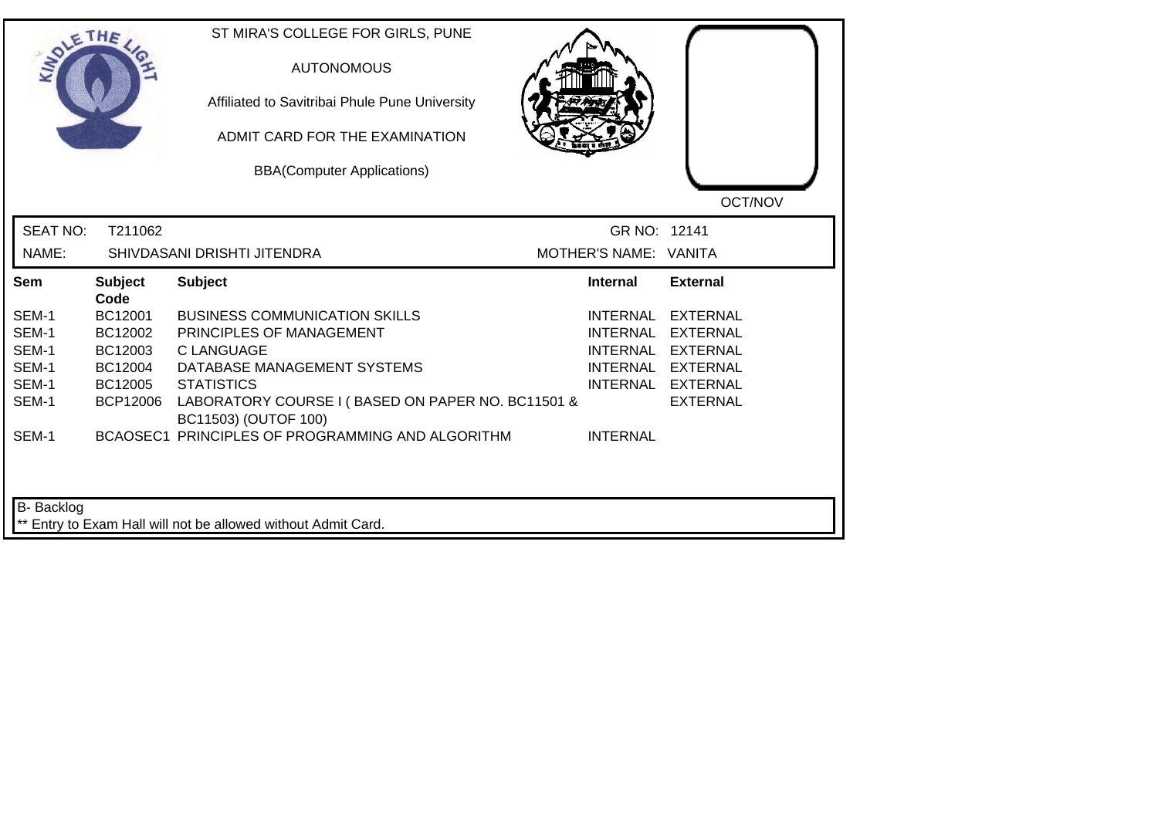| <b>LANDLE</b>   | THE                    | ST MIRA'S COLLEGE FOR GIRLS, PUNE<br><b>AUTONOMOUS</b><br>Affiliated to Savitribai Phule Pune University<br>ADMIT CARD FOR THE EXAMINATION<br><b>BBA(Computer Applications)</b> |                       | OCT/NOV           |
|-----------------|------------------------|---------------------------------------------------------------------------------------------------------------------------------------------------------------------------------|-----------------------|-------------------|
| <b>SEAT NO:</b> | T211062                |                                                                                                                                                                                 | GR NO: 12141          |                   |
| NAME:           |                        | SHIVDASANI DRISHTI JITENDRA                                                                                                                                                     | MOTHER'S NAME: VANITA |                   |
| Sem             | <b>Subject</b><br>Code | <b>Subject</b>                                                                                                                                                                  | <b>Internal</b>       | <b>External</b>   |
| SEM-1           | BC12001                | <b>BUSINESS COMMUNICATION SKILLS</b>                                                                                                                                            | INTERNAL              | <b>EXTERNAL</b>   |
| SEM-1           | BC12002                | PRINCIPLES OF MANAGEMENT                                                                                                                                                        | <b>INTERNAL</b>       | <b>EXTERNAL</b>   |
| SEM-1           | BC12003                | C LANGUAGE                                                                                                                                                                      | <b>INTERNAL</b>       | EXTERNAL          |
| SEM-1           | BC12004                | DATABASE MANAGEMENT SYSTEMS                                                                                                                                                     |                       | INTERNAL EXTERNAL |
| SEM-1           | BC12005                | <b>STATISTICS</b>                                                                                                                                                               |                       | INTERNAL EXTERNAL |
| SEM-1           | <b>BCP12006</b>        | LABORATORY COURSE I (BASED ON PAPER NO. BC11501 &<br>BC11503) (OUTOF 100)                                                                                                       |                       | <b>EXTERNAL</b>   |
| SEM-1           |                        | BCAOSEC1 PRINCIPLES OF PROGRAMMING AND ALGORITHM                                                                                                                                | <b>INTERNAL</b>       |                   |
| B-Backlog       |                        | ** Entry to Exam Hall will not be allowed without Admit Card.                                                                                                                   |                       |                   |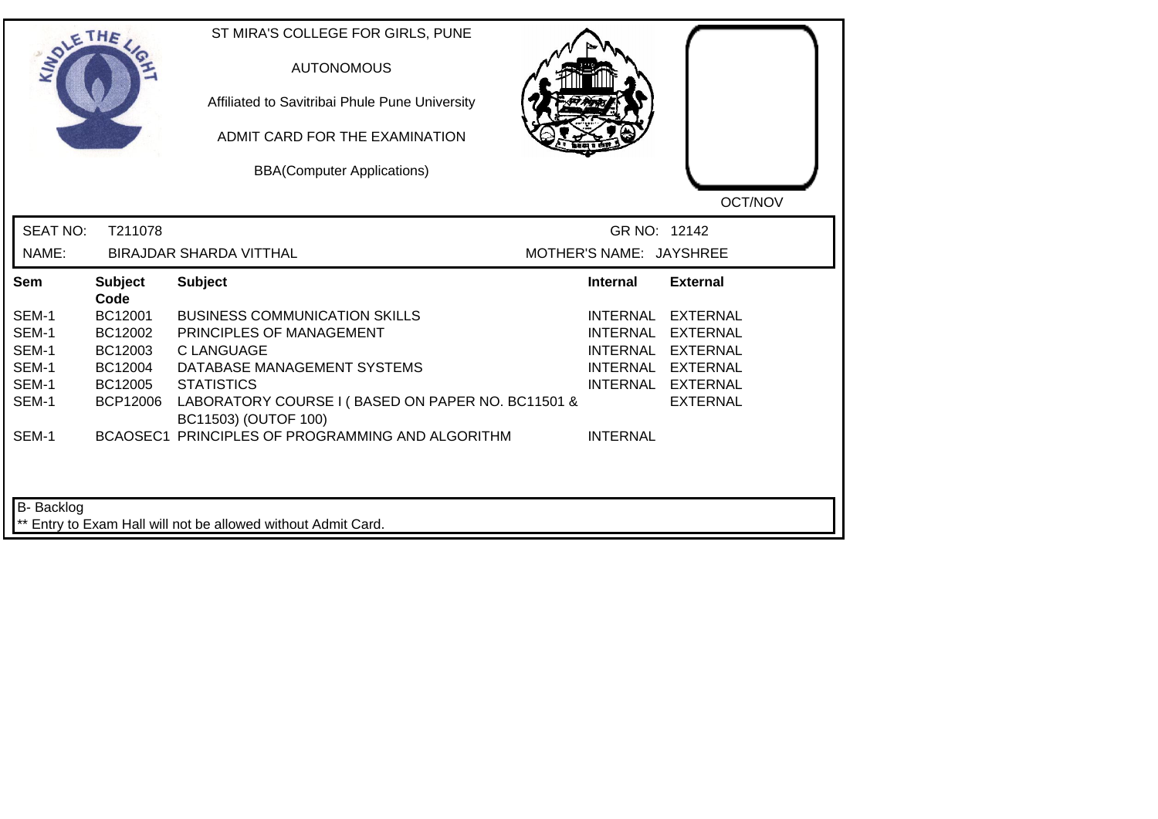| <b>LANDLE</b>   | THE                    | ST MIRA'S COLLEGE FOR GIRLS, PUNE<br><b>AUTONOMOUS</b><br>Affiliated to Savitribai Phule Pune University<br>ADMIT CARD FOR THE EXAMINATION<br><b>BBA(Computer Applications)</b> |                         | OCT/NOV           |
|-----------------|------------------------|---------------------------------------------------------------------------------------------------------------------------------------------------------------------------------|-------------------------|-------------------|
| <b>SEAT NO:</b> | T211078                |                                                                                                                                                                                 | GR NO: 12142            |                   |
| NAME:           |                        | <b>BIRAJDAR SHARDA VITTHAL</b>                                                                                                                                                  | MOTHER'S NAME: JAYSHREE |                   |
| Sem             | <b>Subject</b><br>Code | <b>Subject</b>                                                                                                                                                                  | Internal                | <b>External</b>   |
| SEM-1           | BC12001                | <b>BUSINESS COMMUNICATION SKILLS</b>                                                                                                                                            | INTERNAL                | <b>EXTERNAL</b>   |
| SEM-1           | BC12002                | PRINCIPLES OF MANAGEMENT                                                                                                                                                        | <b>INTERNAL</b>         | <b>EXTERNAL</b>   |
| SEM-1           | BC12003                | C LANGUAGE                                                                                                                                                                      | <b>INTERNAL</b>         | EXTERNAL          |
| SEM-1           | BC12004                | DATABASE MANAGEMENT SYSTEMS                                                                                                                                                     |                         | INTERNAL EXTERNAL |
| SEM-1           | BC12005                | <b>STATISTICS</b>                                                                                                                                                               |                         | INTERNAL EXTERNAL |
| SEM-1           | <b>BCP12006</b>        | LABORATORY COURSE I (BASED ON PAPER NO. BC11501 &<br>BC11503) (OUTOF 100)                                                                                                       |                         | <b>EXTERNAL</b>   |
| SEM-1           |                        | BCAOSEC1 PRINCIPLES OF PROGRAMMING AND ALGORITHM                                                                                                                                | <b>INTERNAL</b>         |                   |
| B-Backlog       |                        | ** Entry to Exam Hall will not be allowed without Admit Card.                                                                                                                   |                         |                   |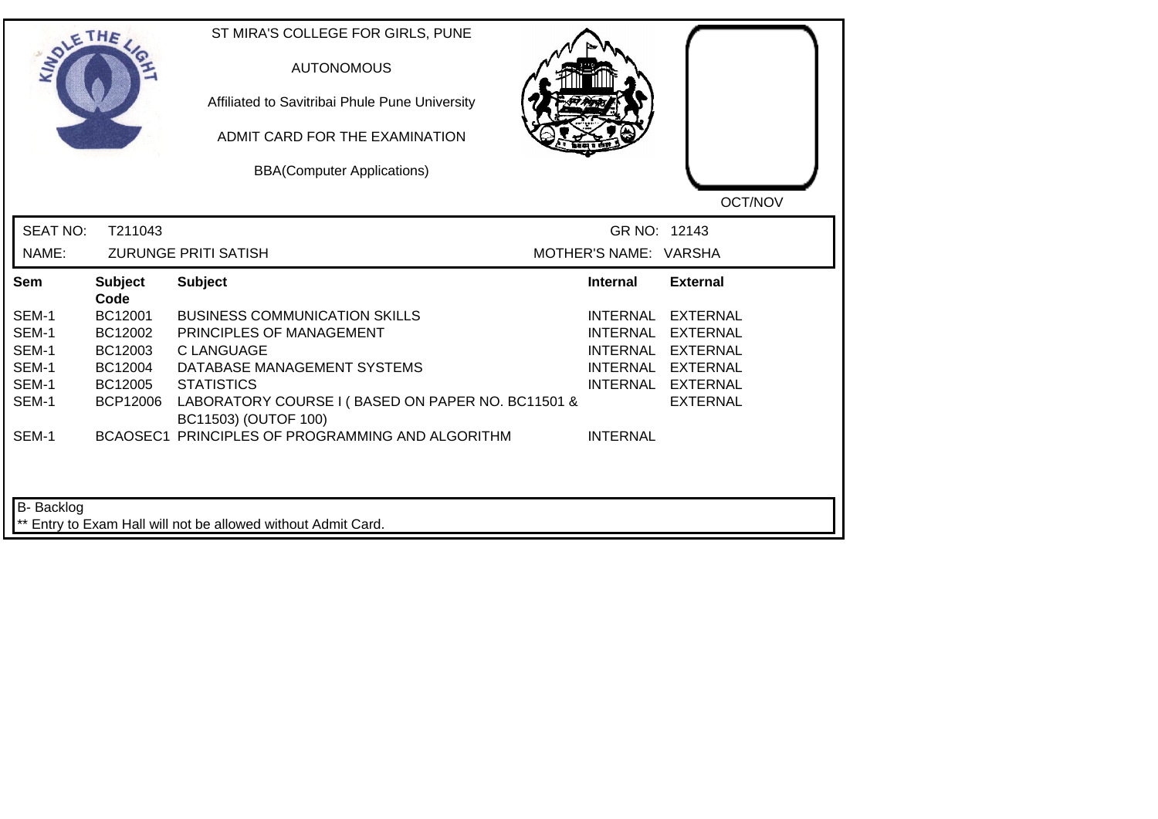| <b>LANDLE</b>   | THE                    | ST MIRA'S COLLEGE FOR GIRLS, PUNE<br><b>AUTONOMOUS</b><br>Affiliated to Savitribai Phule Pune University<br>ADMIT CARD FOR THE EXAMINATION<br><b>BBA(Computer Applications)</b> |                       | OCT/NOV           |
|-----------------|------------------------|---------------------------------------------------------------------------------------------------------------------------------------------------------------------------------|-----------------------|-------------------|
| <b>SEAT NO:</b> | T211043                |                                                                                                                                                                                 | GR NO: 12143          |                   |
| NAME:           |                        | <b>ZURUNGE PRITI SATISH</b>                                                                                                                                                     | MOTHER'S NAME: VARSHA |                   |
| Sem             | <b>Subject</b><br>Code | <b>Subject</b>                                                                                                                                                                  | <b>Internal</b>       | <b>External</b>   |
| SEM-1           | BC12001                | <b>BUSINESS COMMUNICATION SKILLS</b>                                                                                                                                            |                       | INTERNAL EXTERNAL |
| SEM-1           | BC12002                | PRINCIPLES OF MANAGEMENT                                                                                                                                                        | <b>INTERNAL</b>       | <b>EXTERNAL</b>   |
| SEM-1           | BC12003                | <b>CLANGUAGE</b>                                                                                                                                                                |                       | INTERNAL EXTERNAL |
| SEM-1           | BC12004                | DATABASE MANAGEMENT SYSTEMS                                                                                                                                                     |                       | INTERNAL EXTERNAL |
| SEM-1           | BC12005                | <b>STATISTICS</b>                                                                                                                                                               |                       | INTERNAL EXTERNAL |
| SEM-1           | <b>BCP12006</b>        | LABORATORY COURSE I (BASED ON PAPER NO. BC11501 &<br>BC11503) (OUTOF 100)                                                                                                       |                       | <b>EXTERNAL</b>   |
| SEM-1           |                        | BCAOSEC1 PRINCIPLES OF PROGRAMMING AND ALGORITHM                                                                                                                                | <b>INTERNAL</b>       |                   |
| B-Backlog       |                        | ** Entry to Exam Hall will not be allowed without Admit Card.                                                                                                                   |                       |                   |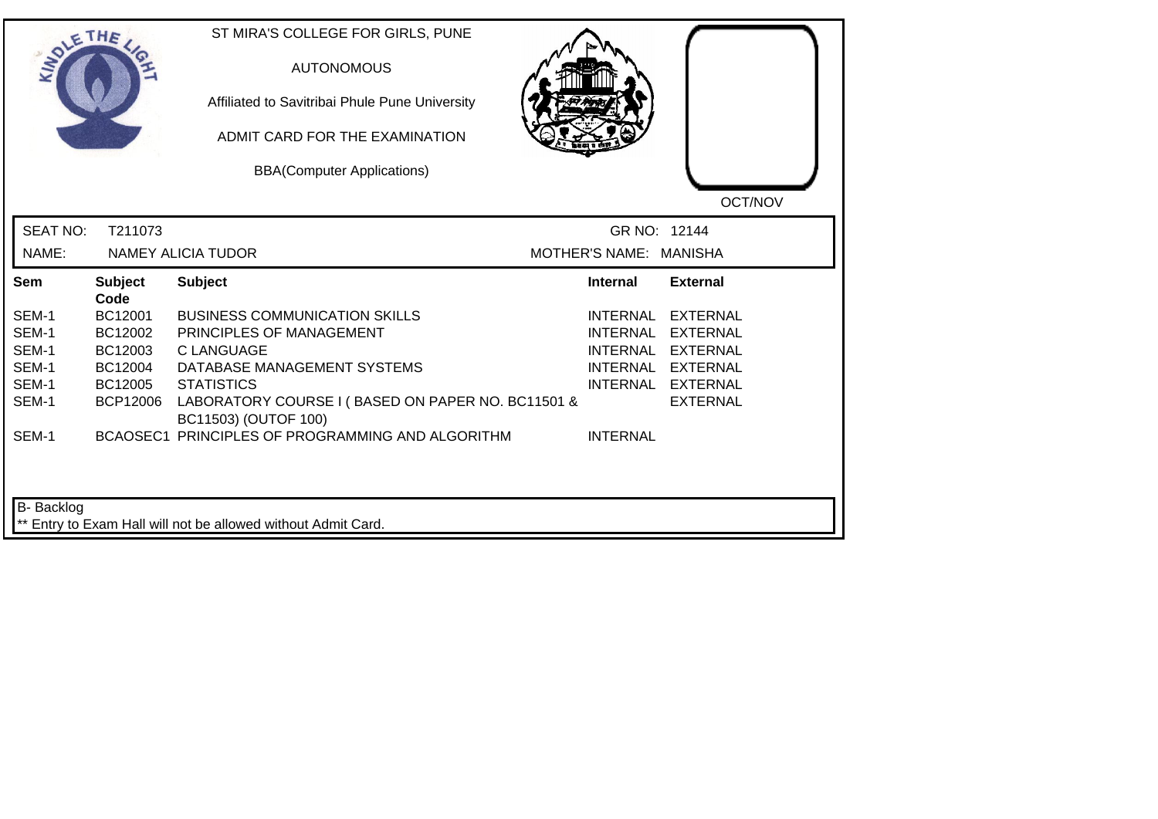| <b>LANDLE</b>   | THE                    | ST MIRA'S COLLEGE FOR GIRLS, PUNE<br><b>AUTONOMOUS</b><br>Affiliated to Savitribai Phule Pune University<br>ADMIT CARD FOR THE EXAMINATION<br><b>BBA(Computer Applications)</b> |                        | OCT/NOV           |
|-----------------|------------------------|---------------------------------------------------------------------------------------------------------------------------------------------------------------------------------|------------------------|-------------------|
| <b>SEAT NO:</b> | T211073                |                                                                                                                                                                                 | GR NO: 12144           |                   |
| NAME:           |                        | <b>NAMEY ALICIA TUDOR</b>                                                                                                                                                       | MOTHER'S NAME: MANISHA |                   |
| Sem             | <b>Subject</b><br>Code | <b>Subject</b>                                                                                                                                                                  | <b>Internal</b>        | <b>External</b>   |
| SEM-1           | BC12001                | <b>BUSINESS COMMUNICATION SKILLS</b>                                                                                                                                            |                        | INTERNAL EXTERNAL |
| SEM-1           | BC12002                | PRINCIPLES OF MANAGEMENT                                                                                                                                                        | <b>INTERNAL</b>        | <b>EXTERNAL</b>   |
| SEM-1           | BC12003                | <b>CLANGUAGE</b>                                                                                                                                                                |                        | INTERNAL EXTERNAL |
| SEM-1           | BC12004                | DATABASE MANAGEMENT SYSTEMS                                                                                                                                                     |                        | INTERNAL EXTERNAL |
| SEM-1           | BC12005                | <b>STATISTICS</b>                                                                                                                                                               |                        | INTERNAL EXTERNAL |
| SEM-1           | <b>BCP12006</b>        | LABORATORY COURSE I (BASED ON PAPER NO. BC11501 &<br>BC11503) (OUTOF 100)                                                                                                       |                        | <b>EXTERNAL</b>   |
| SEM-1           |                        | BCAOSEC1 PRINCIPLES OF PROGRAMMING AND ALGORITHM                                                                                                                                | <b>INTERNAL</b>        |                   |
| B-Backlog       |                        | ** Entry to Exam Hall will not be allowed without Admit Card.                                                                                                                   |                        |                   |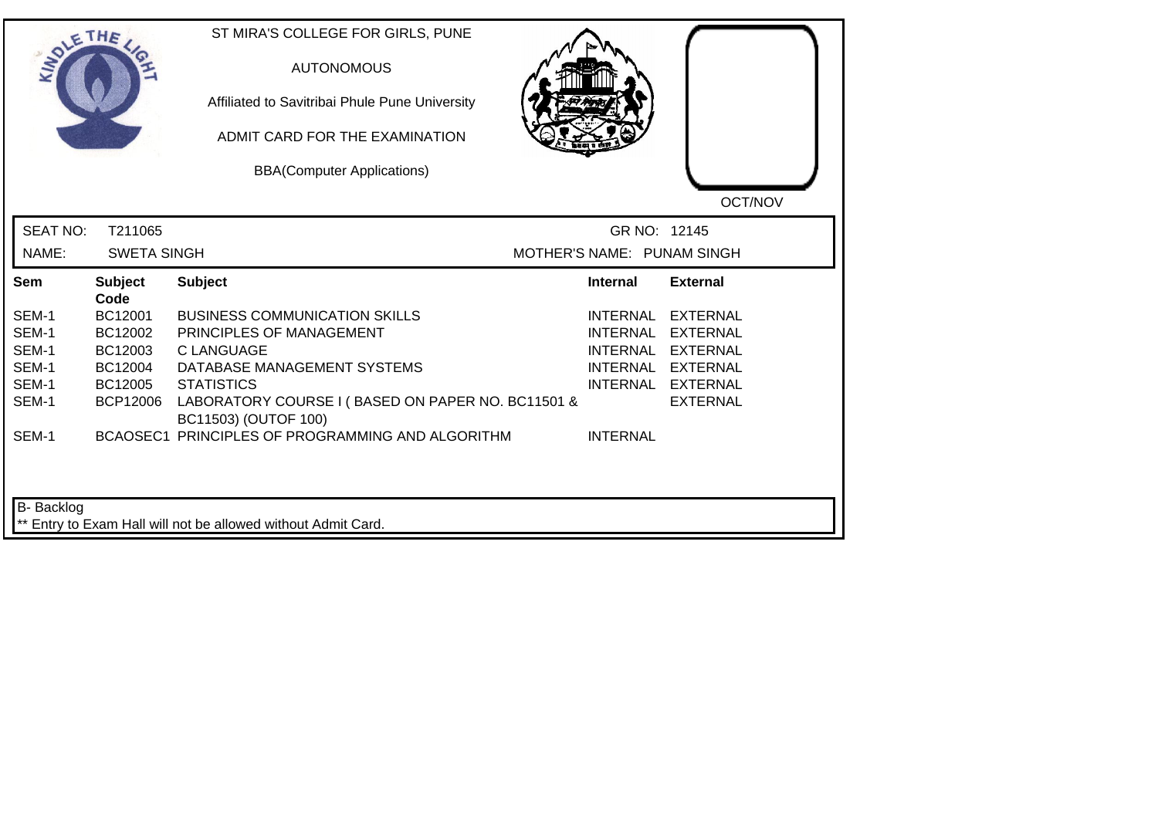| <b>LANDLE</b>   | THE                    | ST MIRA'S COLLEGE FOR GIRLS, PUNE<br><b>AUTONOMOUS</b><br>Affiliated to Savitribai Phule Pune University<br>ADMIT CARD FOR THE EXAMINATION<br><b>BBA(Computer Applications)</b> |                            | OCT/NOV           |
|-----------------|------------------------|---------------------------------------------------------------------------------------------------------------------------------------------------------------------------------|----------------------------|-------------------|
| <b>SEAT NO:</b> | T211065                |                                                                                                                                                                                 | GR NO: 12145               |                   |
| NAME:           | <b>SWETA SINGH</b>     |                                                                                                                                                                                 | MOTHER'S NAME: PUNAM SINGH |                   |
| Sem             | <b>Subject</b><br>Code | <b>Subject</b>                                                                                                                                                                  | <b>Internal</b>            | <b>External</b>   |
| SEM-1           | BC12001                | <b>BUSINESS COMMUNICATION SKILLS</b>                                                                                                                                            | INTERNAL                   | <b>EXTERNAL</b>   |
| SEM-1           | BC12002                | PRINCIPLES OF MANAGEMENT                                                                                                                                                        | <b>INTERNAL</b>            | <b>EXTERNAL</b>   |
| SEM-1           | BC12003                | C LANGUAGE                                                                                                                                                                      | <b>INTERNAL</b>            | EXTERNAL          |
| SEM-1           | BC12004                | DATABASE MANAGEMENT SYSTEMS                                                                                                                                                     |                            | INTERNAL EXTERNAL |
| SEM-1           | BC12005                | <b>STATISTICS</b>                                                                                                                                                               |                            | INTERNAL EXTERNAL |
| SEM-1           | <b>BCP12006</b>        | LABORATORY COURSE I (BASED ON PAPER NO. BC11501 &<br>BC11503) (OUTOF 100)                                                                                                       |                            | <b>EXTERNAL</b>   |
| SEM-1           |                        | BCAOSEC1 PRINCIPLES OF PROGRAMMING AND ALGORITHM                                                                                                                                | <b>INTERNAL</b>            |                   |
| B-Backlog       |                        | ** Entry to Exam Hall will not be allowed without Admit Card.                                                                                                                   |                            |                   |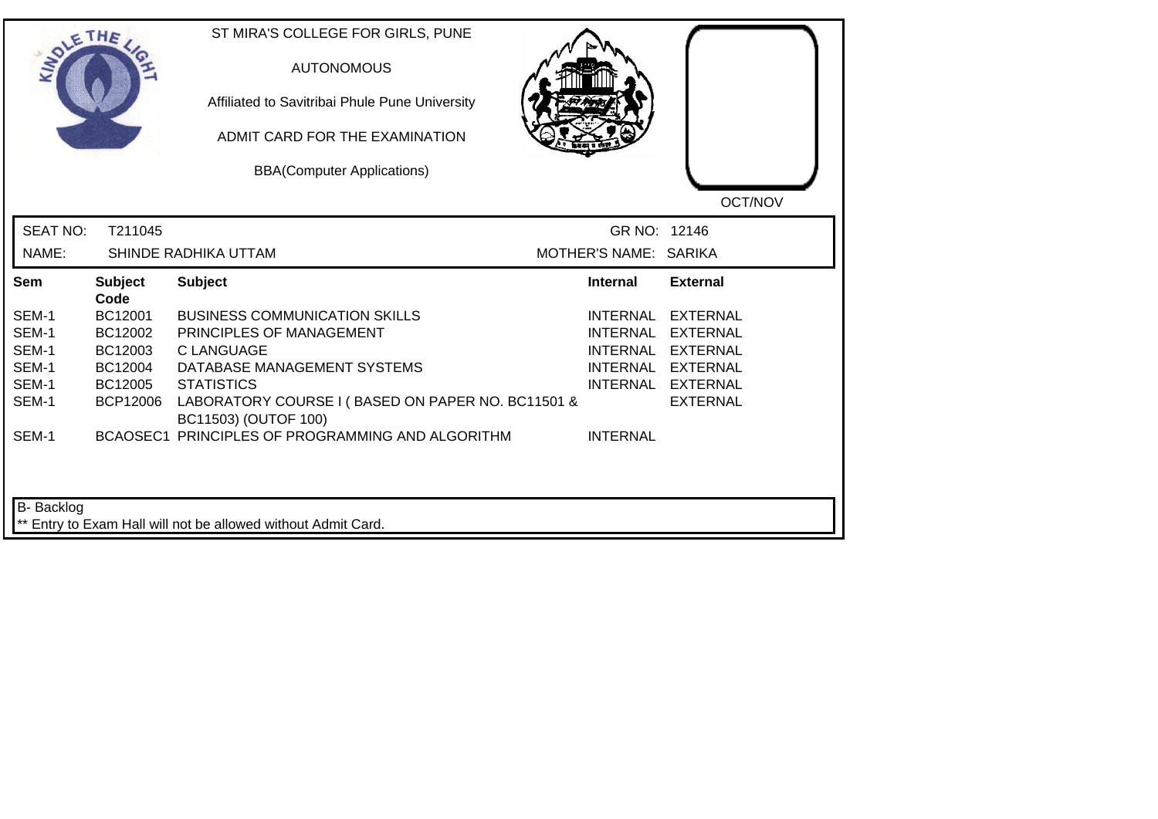|                 | THE                    | ST MIRA'S COLLEGE FOR GIRLS, PUNE<br><b>AUTONOMOUS</b><br>Affiliated to Savitribai Phule Pune University<br>ADMIT CARD FOR THE EXAMINATION<br><b>BBA(Computer Applications)</b> |                       | OCT/NOV           |
|-----------------|------------------------|---------------------------------------------------------------------------------------------------------------------------------------------------------------------------------|-----------------------|-------------------|
| <b>SEAT NO:</b> | T211045                |                                                                                                                                                                                 | GR NO: 12146          |                   |
| NAME:           |                        | SHINDE RADHIKA UTTAM                                                                                                                                                            | MOTHER'S NAME: SARIKA |                   |
| Sem             | <b>Subject</b><br>Code | <b>Subject</b>                                                                                                                                                                  | <b>Internal</b>       | <b>External</b>   |
| SEM-1           | BC12001                | <b>BUSINESS COMMUNICATION SKILLS</b>                                                                                                                                            | <b>INTERNAL</b>       | <b>EXTERNAL</b>   |
| SEM-1           | BC12002                | PRINCIPLES OF MANAGEMENT                                                                                                                                                        | <b>INTERNAL</b>       | EXTERNAL          |
| SEM-1           | BC12003                | <b>C LANGUAGE</b>                                                                                                                                                               | <b>INTERNAL</b>       | <b>EXTERNAL</b>   |
| SEM-1           | BC12004                | DATABASE MANAGEMENT SYSTEMS                                                                                                                                                     |                       | INTERNAL EXTERNAL |
| SEM-1           | BC12005                | <b>STATISTICS</b>                                                                                                                                                               |                       | INTERNAL EXTERNAL |
| SEM-1           | <b>BCP12006</b>        | LABORATORY COURSE I (BASED ON PAPER NO. BC11501 &<br>BC11503) (OUTOF 100)                                                                                                       |                       | <b>EXTERNAL</b>   |
| SEM-1           |                        | BCAOSEC1 PRINCIPLES OF PROGRAMMING AND ALGORITHM                                                                                                                                | <b>INTERNAL</b>       |                   |
|                 |                        |                                                                                                                                                                                 |                       |                   |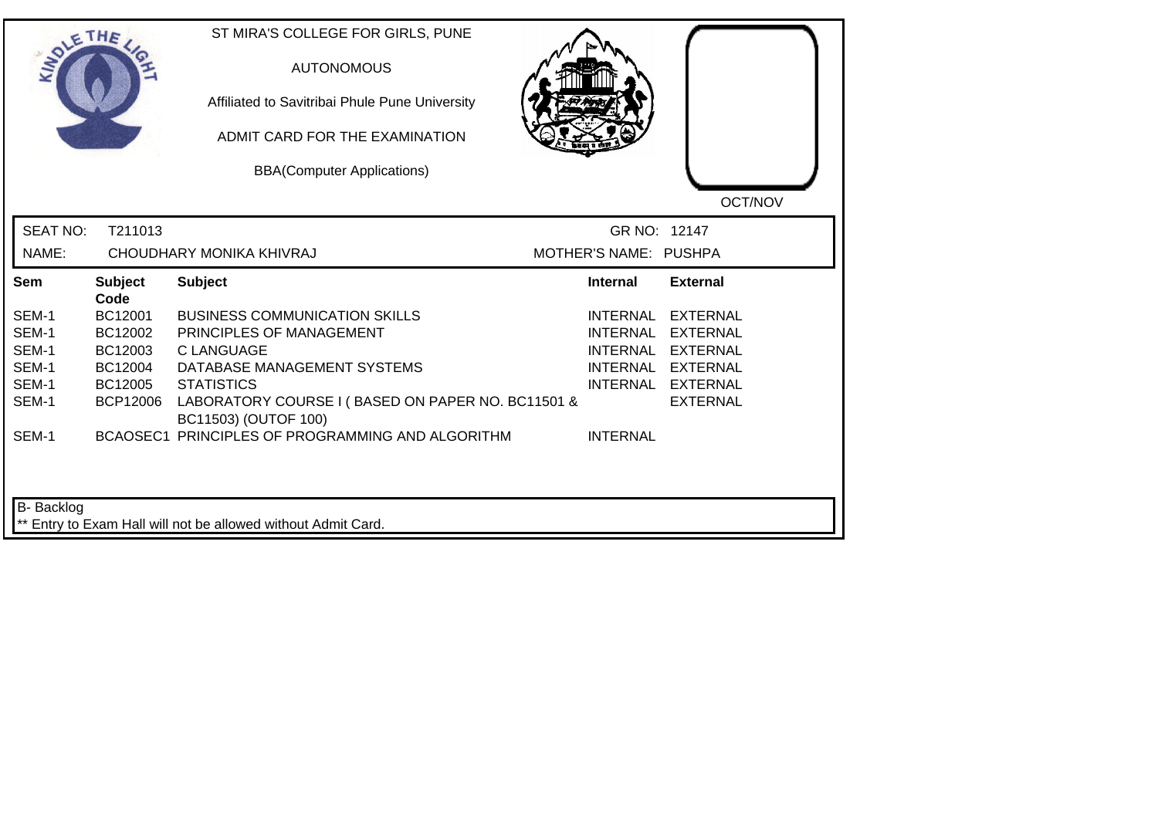| LANDLE                   | THE             | ST MIRA'S COLLEGE FOR GIRLS, PUNE<br><b>AUTONOMOUS</b><br>Affiliated to Savitribai Phule Pune University<br>ADMIT CARD FOR THE EXAMINATION<br><b>BBA(Computer Applications)</b> |                                       | OCT/NOV           |
|--------------------------|-----------------|---------------------------------------------------------------------------------------------------------------------------------------------------------------------------------|---------------------------------------|-------------------|
| <b>SEAT NO:</b><br>NAME: | T211013         | CHOUDHARY MONIKA KHIVRAJ                                                                                                                                                        | GR NO: 12147<br>MOTHER'S NAME: PUSHPA |                   |
| Sem                      | <b>Subject</b>  | <b>Subject</b>                                                                                                                                                                  | <b>Internal</b>                       | <b>External</b>   |
|                          | Code            |                                                                                                                                                                                 |                                       |                   |
| SEM-1                    | BC12001         | <b>BUSINESS COMMUNICATION SKILLS</b>                                                                                                                                            | INTERNAL                              | <b>EXTERNAL</b>   |
| SEM-1                    | BC12002         | PRINCIPLES OF MANAGEMENT                                                                                                                                                        | <b>INTERNAL</b>                       | <b>EXTERNAL</b>   |
| SEM-1                    | BC12003         | C LANGUAGE                                                                                                                                                                      | INTERNAL                              | EXTERNAL          |
| SEM-1                    | BC12004         | DATABASE MANAGEMENT SYSTEMS                                                                                                                                                     |                                       | INTERNAL EXTERNAL |
| SEM-1                    | BC12005         | <b>STATISTICS</b>                                                                                                                                                               |                                       | INTERNAL EXTERNAL |
| SEM-1                    | <b>BCP12006</b> | LABORATORY COURSE I (BASED ON PAPER NO. BC11501 &<br>BC11503) (OUTOF 100)                                                                                                       |                                       | <b>EXTERNAL</b>   |
| SEM-1                    |                 | BCAOSEC1 PRINCIPLES OF PROGRAMMING AND ALGORITHM                                                                                                                                | <b>INTERNAL</b>                       |                   |
| B-Backlog                |                 | ** Entry to Exam Hall will not be allowed without Admit Card.                                                                                                                   |                                       |                   |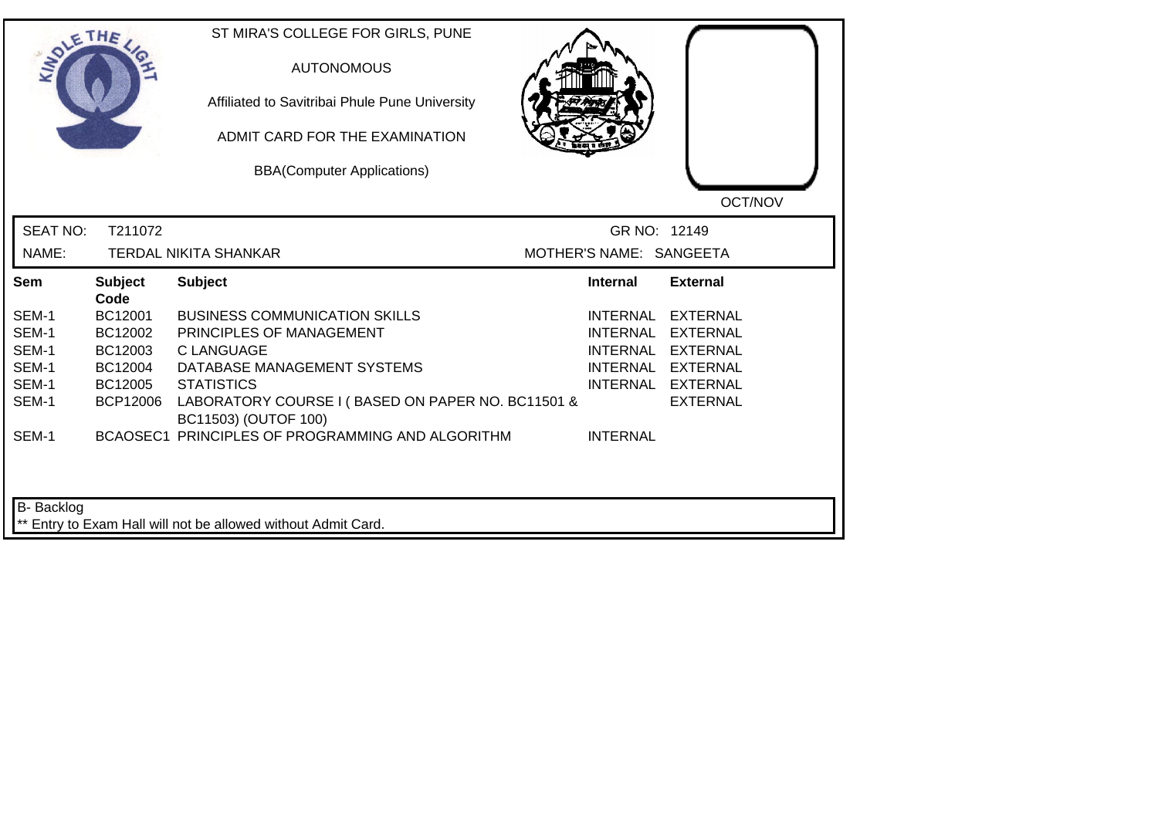| <b>LANDLE</b>   | THE                    | ST MIRA'S COLLEGE FOR GIRLS, PUNE<br><b>AUTONOMOUS</b><br>Affiliated to Savitribai Phule Pune University<br>ADMIT CARD FOR THE EXAMINATION<br><b>BBA(Computer Applications)</b> |                         | OCT/NOV           |
|-----------------|------------------------|---------------------------------------------------------------------------------------------------------------------------------------------------------------------------------|-------------------------|-------------------|
| <b>SEAT NO:</b> | T211072                |                                                                                                                                                                                 | GR NO: 12149            |                   |
| NAME:           |                        | <b>TERDAL NIKITA SHANKAR</b>                                                                                                                                                    | MOTHER'S NAME: SANGEETA |                   |
| Sem             | <b>Subject</b><br>Code | <b>Subject</b>                                                                                                                                                                  | Internal                | <b>External</b>   |
| SEM-1           | BC12001                | <b>BUSINESS COMMUNICATION SKILLS</b>                                                                                                                                            | INTERNAL                | <b>EXTERNAL</b>   |
| SEM-1           | BC12002                | PRINCIPLES OF MANAGEMENT                                                                                                                                                        | <b>INTERNAL</b>         | <b>EXTERNAL</b>   |
| SEM-1           | BC12003                | C LANGUAGE                                                                                                                                                                      | <b>INTERNAL</b>         | EXTERNAL          |
| SEM-1           | BC12004                | DATABASE MANAGEMENT SYSTEMS                                                                                                                                                     |                         | INTERNAL EXTERNAL |
| SEM-1           | BC12005                | <b>STATISTICS</b>                                                                                                                                                               |                         | INTERNAL EXTERNAL |
| SEM-1           | <b>BCP12006</b>        | LABORATORY COURSE I (BASED ON PAPER NO. BC11501 &<br>BC11503) (OUTOF 100)                                                                                                       |                         | <b>EXTERNAL</b>   |
| SEM-1           |                        | BCAOSEC1 PRINCIPLES OF PROGRAMMING AND ALGORITHM                                                                                                                                | <b>INTERNAL</b>         |                   |
| B-Backlog       |                        | ** Entry to Exam Hall will not be allowed without Admit Card.                                                                                                                   |                         |                   |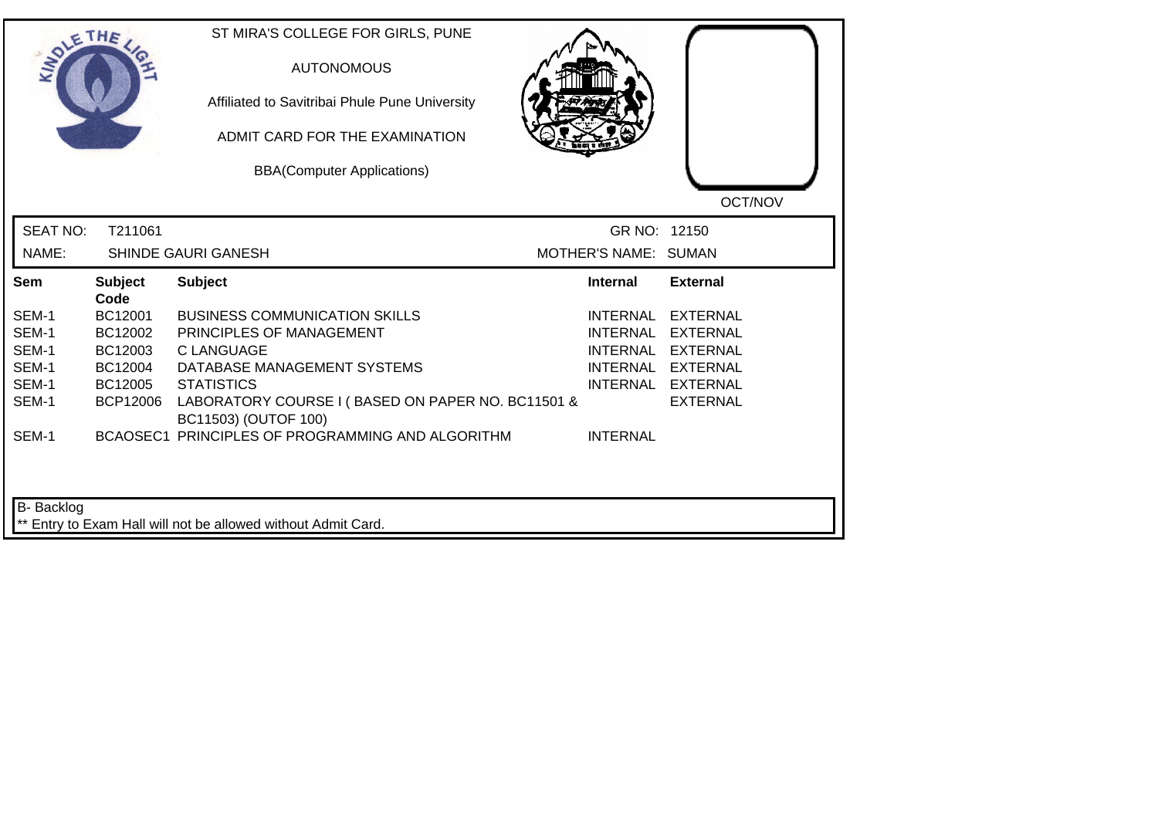| SOLETHE.        |                        | ST MIRA'S COLLEGE FOR GIRLS, PUNE<br><b>AUTONOMOUS</b><br>Affiliated to Savitribai Phule Pune University<br>ADMIT CARD FOR THE EXAMINATION<br><b>BBA(Computer Applications)</b> |                      | OCT/NOV           |
|-----------------|------------------------|---------------------------------------------------------------------------------------------------------------------------------------------------------------------------------|----------------------|-------------------|
| <b>SEAT NO:</b> | T211061                |                                                                                                                                                                                 | GR NO: 12150         |                   |
| NAME:           |                        | SHINDE GAURI GANESH                                                                                                                                                             | MOTHER'S NAME: SUMAN |                   |
| Sem             | <b>Subject</b><br>Code | <b>Subject</b>                                                                                                                                                                  | <b>Internal</b>      | <b>External</b>   |
| SEM-1           | BC12001                | <b>BUSINESS COMMUNICATION SKILLS</b>                                                                                                                                            | <b>INTERNAL</b>      | <b>EXTERNAL</b>   |
| SEM-1           | BC12002                | PRINCIPLES OF MANAGEMENT                                                                                                                                                        | <b>INTERNAL</b>      | <b>EXTERNAL</b>   |
| SEM-1           | BC12003                | <b>C LANGUAGE</b>                                                                                                                                                               | <b>INTERNAL</b>      | <b>EXTERNAL</b>   |
| SEM-1           | BC12004                | DATABASE MANAGEMENT SYSTEMS                                                                                                                                                     |                      | INTERNAL EXTERNAL |
| SEM-1           | BC12005                | <b>STATISTICS</b>                                                                                                                                                               |                      | INTERNAL EXTERNAL |
| SEM-1           | <b>BCP12006</b>        | LABORATORY COURSE I (BASED ON PAPER NO. BC11501 &<br>BC11503) (OUTOF 100)                                                                                                       |                      | <b>EXTERNAL</b>   |
| SEM-1           |                        | BCAOSEC1 PRINCIPLES OF PROGRAMMING AND ALGORITHM                                                                                                                                | <b>INTERNAL</b>      |                   |
|                 |                        |                                                                                                                                                                                 |                      |                   |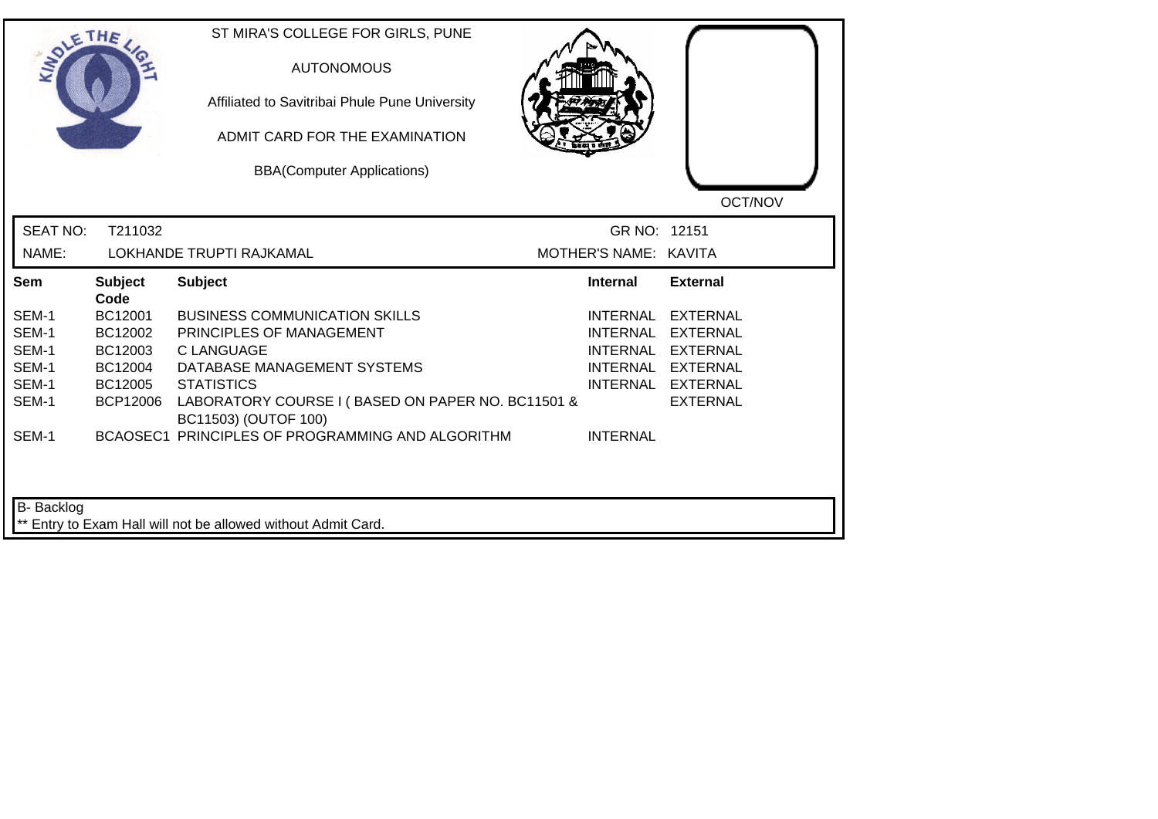| <b>LANDLE</b>   | THE                    | ST MIRA'S COLLEGE FOR GIRLS, PUNE<br><b>AUTONOMOUS</b><br>Affiliated to Savitribai Phule Pune University<br>ADMIT CARD FOR THE EXAMINATION<br><b>BBA(Computer Applications)</b> |                       | OCT/NOV           |
|-----------------|------------------------|---------------------------------------------------------------------------------------------------------------------------------------------------------------------------------|-----------------------|-------------------|
| <b>SEAT NO:</b> | T211032                |                                                                                                                                                                                 | GR NO: 12151          |                   |
| NAME:           |                        | LOKHANDE TRUPTI RAJKAMAL                                                                                                                                                        | MOTHER'S NAME: KAVITA |                   |
| Sem             | <b>Subject</b><br>Code | <b>Subject</b>                                                                                                                                                                  | <b>Internal</b>       | <b>External</b>   |
| SEM-1           | BC12001                | <b>BUSINESS COMMUNICATION SKILLS</b>                                                                                                                                            | INTERNAL              | <b>EXTERNAL</b>   |
| SEM-1           | BC12002                | PRINCIPLES OF MANAGEMENT                                                                                                                                                        | <b>INTERNAL</b>       | <b>EXTERNAL</b>   |
| SEM-1           | BC12003                | C LANGUAGE                                                                                                                                                                      | INTERNAL              | EXTERNAL          |
| SEM-1           | BC12004                | DATABASE MANAGEMENT SYSTEMS                                                                                                                                                     |                       | INTERNAL EXTERNAL |
| SEM-1           | BC12005                | <b>STATISTICS</b>                                                                                                                                                               |                       | INTERNAL EXTERNAL |
| SEM-1           | <b>BCP12006</b>        | LABORATORY COURSE I (BASED ON PAPER NO. BC11501 &<br>BC11503) (OUTOF 100)                                                                                                       |                       | <b>EXTERNAL</b>   |
| SEM-1           |                        | BCAOSEC1 PRINCIPLES OF PROGRAMMING AND ALGORITHM                                                                                                                                | <b>INTERNAL</b>       |                   |
| B-Backlog       |                        | ** Entry to Exam Hall will not be allowed without Admit Card.                                                                                                                   |                       |                   |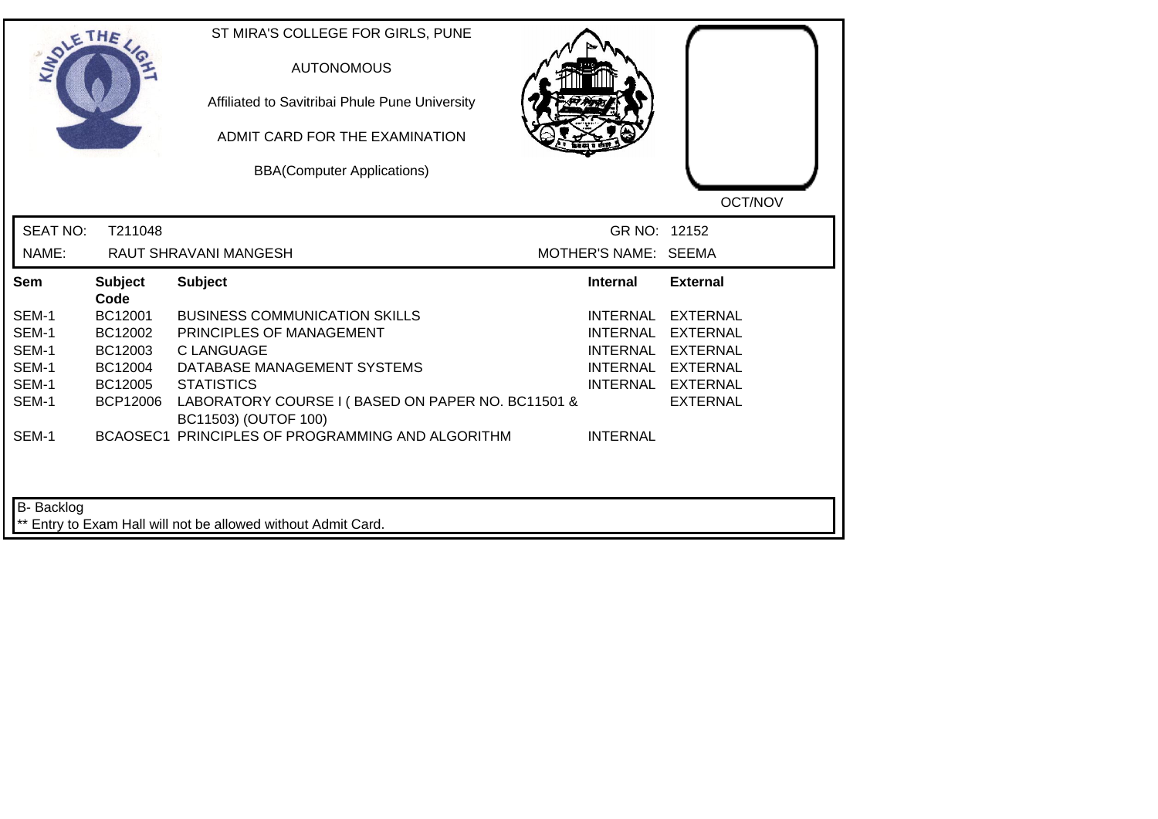|                 | THE                    | ST MIRA'S COLLEGE FOR GIRLS, PUNE<br><b>AUTONOMOUS</b><br>Affiliated to Savitribai Phule Pune University<br>ADMIT CARD FOR THE EXAMINATION<br><b>BBA(Computer Applications)</b> |                      | OCT/NOV           |
|-----------------|------------------------|---------------------------------------------------------------------------------------------------------------------------------------------------------------------------------|----------------------|-------------------|
| <b>SEAT NO:</b> | T211048                |                                                                                                                                                                                 | GR NO: 12152         |                   |
| NAME:           |                        | <b>RAUT SHRAVANI MANGESH</b>                                                                                                                                                    | MOTHER'S NAME: SEEMA |                   |
| Sem             | <b>Subject</b><br>Code | <b>Subject</b>                                                                                                                                                                  | <b>Internal</b>      | <b>External</b>   |
| SEM-1           | BC12001                | <b>BUSINESS COMMUNICATION SKILLS</b>                                                                                                                                            | <b>INTERNAL</b>      | <b>EXTERNAL</b>   |
| SEM-1           | BC12002                | PRINCIPLES OF MANAGEMENT                                                                                                                                                        | <b>INTERNAL</b>      | <b>EXTERNAL</b>   |
| SEM-1           | BC12003                | <b>C LANGUAGE</b>                                                                                                                                                               | <b>INTERNAL</b>      | <b>EXTERNAL</b>   |
| SEM-1           | BC12004                | DATABASE MANAGEMENT SYSTEMS                                                                                                                                                     |                      | INTERNAL EXTERNAL |
| SEM-1           | BC12005                | <b>STATISTICS</b>                                                                                                                                                               |                      | INTERNAL EXTERNAL |
| SEM-1           | <b>BCP12006</b>        | LABORATORY COURSE I (BASED ON PAPER NO. BC11501 &<br>BC11503) (OUTOF 100)                                                                                                       |                      | <b>EXTERNAL</b>   |
| SEM-1           |                        | BCAOSEC1 PRINCIPLES OF PROGRAMMING AND ALGORITHM                                                                                                                                | <b>INTERNAL</b>      |                   |
|                 |                        |                                                                                                                                                                                 |                      |                   |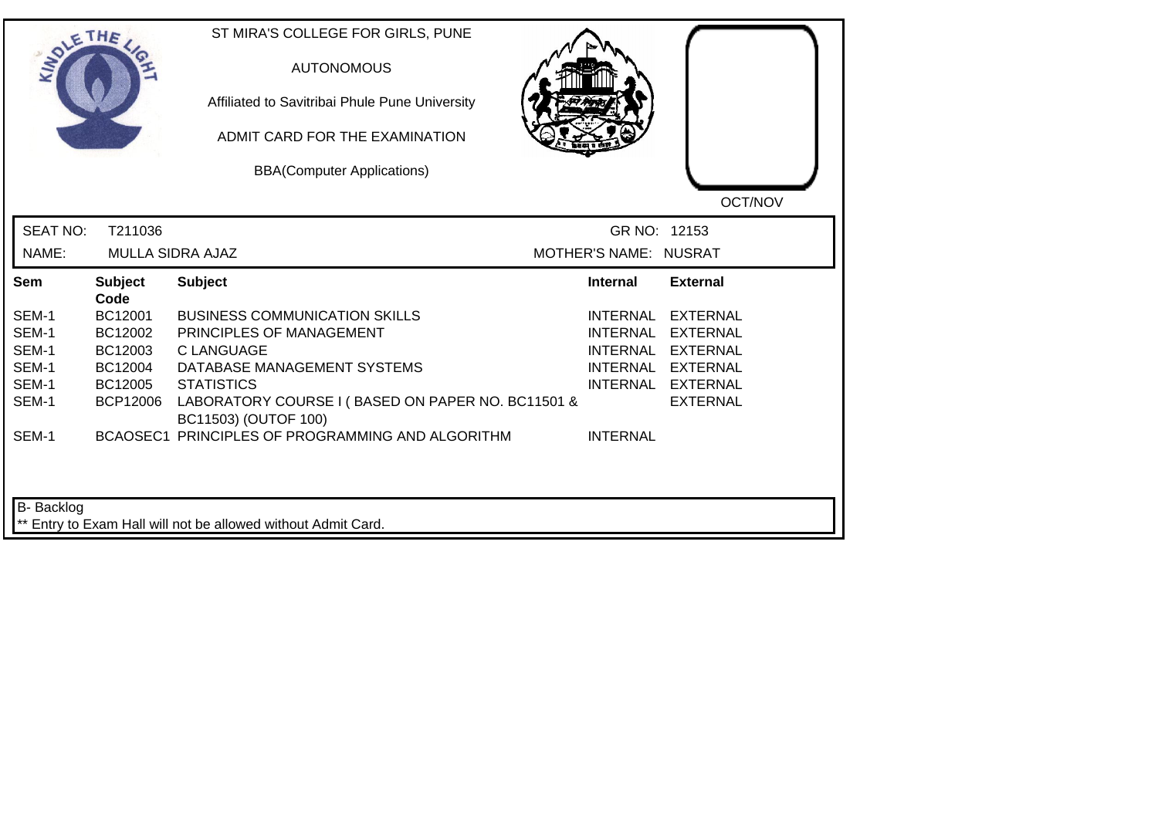|                 | THE                     | ST MIRA'S COLLEGE FOR GIRLS, PUNE<br><b>AUTONOMOUS</b><br>Affiliated to Savitribai Phule Pune University<br>ADMIT CARD FOR THE EXAMINATION<br><b>BBA(Computer Applications)</b> |                       | OCT/NOV           |
|-----------------|-------------------------|---------------------------------------------------------------------------------------------------------------------------------------------------------------------------------|-----------------------|-------------------|
| <b>SEAT NO:</b> | T211036                 |                                                                                                                                                                                 | GR NO: 12153          |                   |
| NAME:           | <b>MULLA SIDRA AJAZ</b> |                                                                                                                                                                                 | MOTHER'S NAME: NUSRAT |                   |
| Sem             | <b>Subject</b><br>Code  | <b>Subject</b>                                                                                                                                                                  | <b>Internal</b>       | <b>External</b>   |
| SEM-1           | BC12001                 | <b>BUSINESS COMMUNICATION SKILLS</b>                                                                                                                                            | <b>INTERNAL</b>       | <b>EXTERNAL</b>   |
| SEM-1           | BC12002                 | PRINCIPLES OF MANAGEMENT                                                                                                                                                        | <b>INTERNAL</b>       | EXTERNAL          |
| SEM-1           | BC12003                 | <b>C LANGUAGE</b>                                                                                                                                                               |                       | INTERNAL EXTERNAL |
| SEM-1           | BC12004                 | DATABASE MANAGEMENT SYSTEMS                                                                                                                                                     |                       | INTERNAL EXTERNAL |
| SEM-1           | BC12005                 | <b>STATISTICS</b>                                                                                                                                                               |                       | INTERNAL EXTERNAL |
| SEM-1           | <b>BCP12006</b>         | LABORATORY COURSE I (BASED ON PAPER NO. BC11501 &<br>BC11503) (OUTOF 100)                                                                                                       |                       | <b>EXTERNAL</b>   |
| SEM-1           |                         | BCAOSEC1 PRINCIPLES OF PROGRAMMING AND ALGORITHM                                                                                                                                | <b>INTERNAL</b>       |                   |
| B- Backlog      |                         | ** Entry to Exam Hall will not be allowed without Admit Card.                                                                                                                   |                       |                   |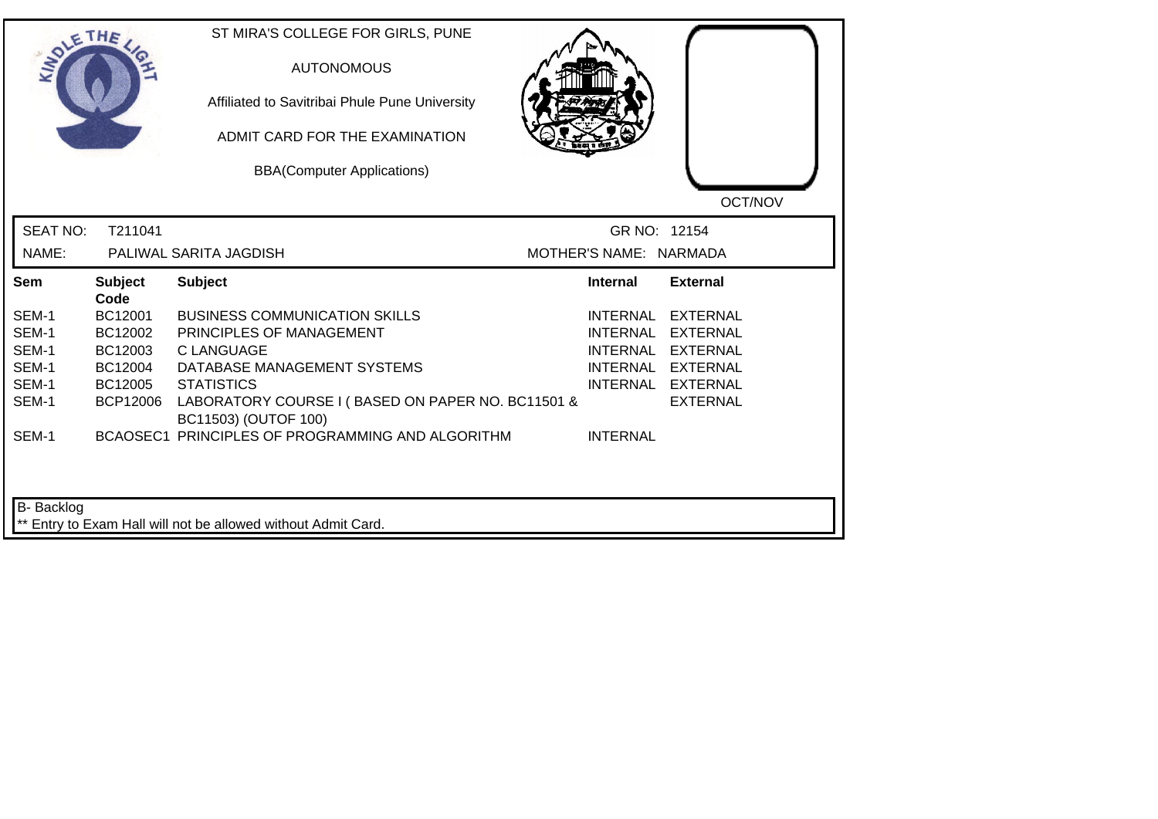| <b>LANDLE</b>   | THE                    | ST MIRA'S COLLEGE FOR GIRLS, PUNE<br><b>AUTONOMOUS</b><br>Affiliated to Savitribai Phule Pune University<br>ADMIT CARD FOR THE EXAMINATION<br><b>BBA(Computer Applications)</b> |                        | OCT/NOV           |
|-----------------|------------------------|---------------------------------------------------------------------------------------------------------------------------------------------------------------------------------|------------------------|-------------------|
| <b>SEAT NO:</b> | T211041                |                                                                                                                                                                                 | GR NO: 12154           |                   |
| NAME:           |                        | PALIWAL SARITA JAGDISH                                                                                                                                                          | MOTHER'S NAME: NARMADA |                   |
| Sem             | <b>Subject</b><br>Code | <b>Subject</b>                                                                                                                                                                  | Internal               | <b>External</b>   |
| SEM-1           | BC12001                | <b>BUSINESS COMMUNICATION SKILLS</b>                                                                                                                                            | INTERNAL               | <b>EXTERNAL</b>   |
| SEM-1           | BC12002                | PRINCIPLES OF MANAGEMENT                                                                                                                                                        | <b>INTERNAL</b>        | <b>EXTERNAL</b>   |
| SEM-1           | BC12003                | C LANGUAGE                                                                                                                                                                      | <b>INTERNAL</b>        | EXTERNAL          |
| SEM-1           | BC12004                | DATABASE MANAGEMENT SYSTEMS                                                                                                                                                     |                        | INTERNAL EXTERNAL |
| SEM-1           | BC12005                | <b>STATISTICS</b>                                                                                                                                                               |                        | INTERNAL EXTERNAL |
| SEM-1           | <b>BCP12006</b>        | LABORATORY COURSE I (BASED ON PAPER NO. BC11501 &<br>BC11503) (OUTOF 100)                                                                                                       |                        | <b>EXTERNAL</b>   |
| SEM-1           |                        | BCAOSEC1 PRINCIPLES OF PROGRAMMING AND ALGORITHM                                                                                                                                | <b>INTERNAL</b>        |                   |
| B-Backlog       |                        | ** Entry to Exam Hall will not be allowed without Admit Card.                                                                                                                   |                        |                   |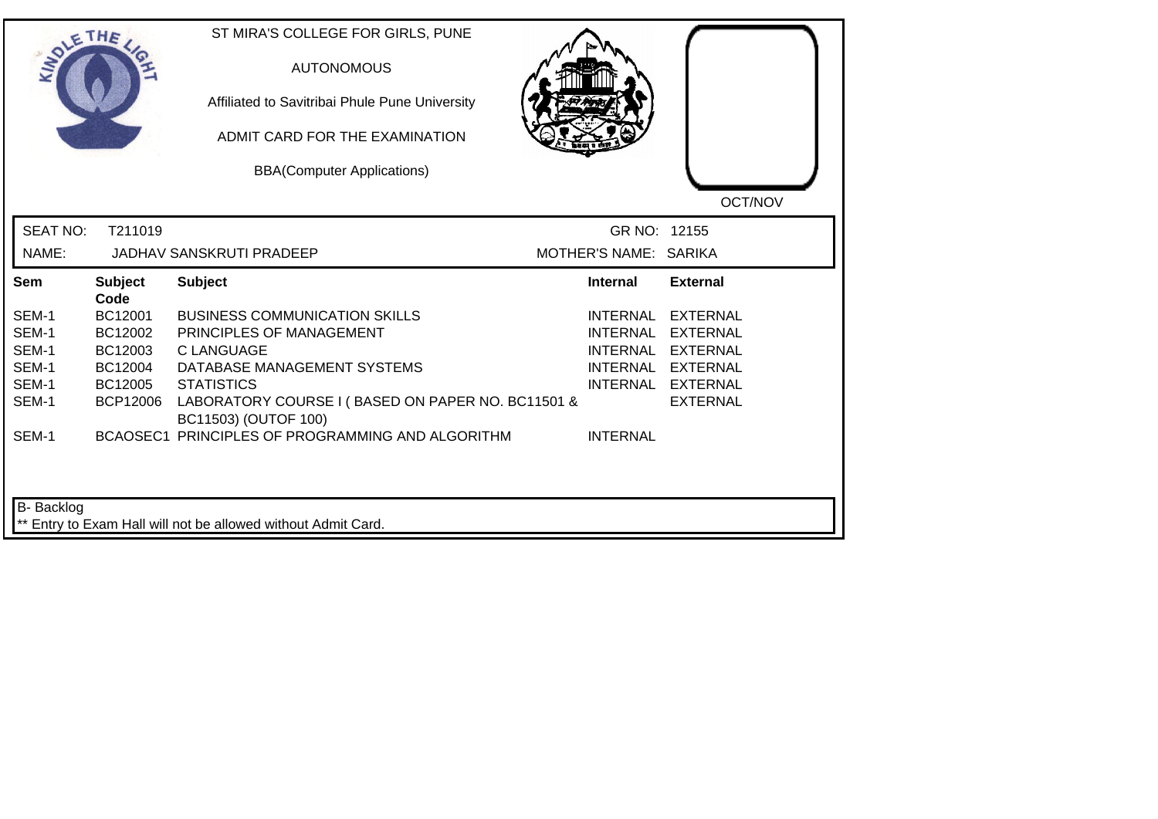|                 | THE                    | ST MIRA'S COLLEGE FOR GIRLS, PUNE<br><b>AUTONOMOUS</b><br>Affiliated to Savitribai Phule Pune University<br>ADMIT CARD FOR THE EXAMINATION<br><b>BBA(Computer Applications)</b> |                       | OCT/NOV           |
|-----------------|------------------------|---------------------------------------------------------------------------------------------------------------------------------------------------------------------------------|-----------------------|-------------------|
| <b>SEAT NO:</b> | T211019                |                                                                                                                                                                                 | GR NO: 12155          |                   |
| NAME:           |                        | <b>JADHAV SANSKRUTI PRADEEP</b>                                                                                                                                                 | MOTHER'S NAME: SARIKA |                   |
| Sem             | <b>Subject</b><br>Code | <b>Subject</b>                                                                                                                                                                  | <b>Internal</b>       | <b>External</b>   |
| SEM-1           | BC12001                | <b>BUSINESS COMMUNICATION SKILLS</b>                                                                                                                                            | INTERNAL              | <b>EXTERNAL</b>   |
| SEM-1           | BC12002                | PRINCIPLES OF MANAGEMENT                                                                                                                                                        | <b>INTERNAL</b>       | <b>EXTERNAL</b>   |
| SEM-1           | BC12003                | <b>CLANGUAGE</b>                                                                                                                                                                | <b>INTERNAL</b>       | <b>EXTERNAL</b>   |
| SEM-1           | BC12004                | DATABASE MANAGEMENT SYSTEMS                                                                                                                                                     |                       | INTERNAL EXTERNAL |
| SEM-1           | BC12005                | <b>STATISTICS</b>                                                                                                                                                               |                       | INTERNAL EXTERNAL |
| SEM-1           | <b>BCP12006</b>        | LABORATORY COURSE I (BASED ON PAPER NO. BC11501 &<br>BC11503) (OUTOF 100)                                                                                                       |                       | <b>EXTERNAL</b>   |
| SEM-1           |                        | BCAOSEC1 PRINCIPLES OF PROGRAMMING AND ALGORITHM                                                                                                                                | <b>INTERNAL</b>       |                   |
| B- Backlog      |                        | ** Entry to Exam Hall will not be allowed without Admit Card.                                                                                                                   |                       |                   |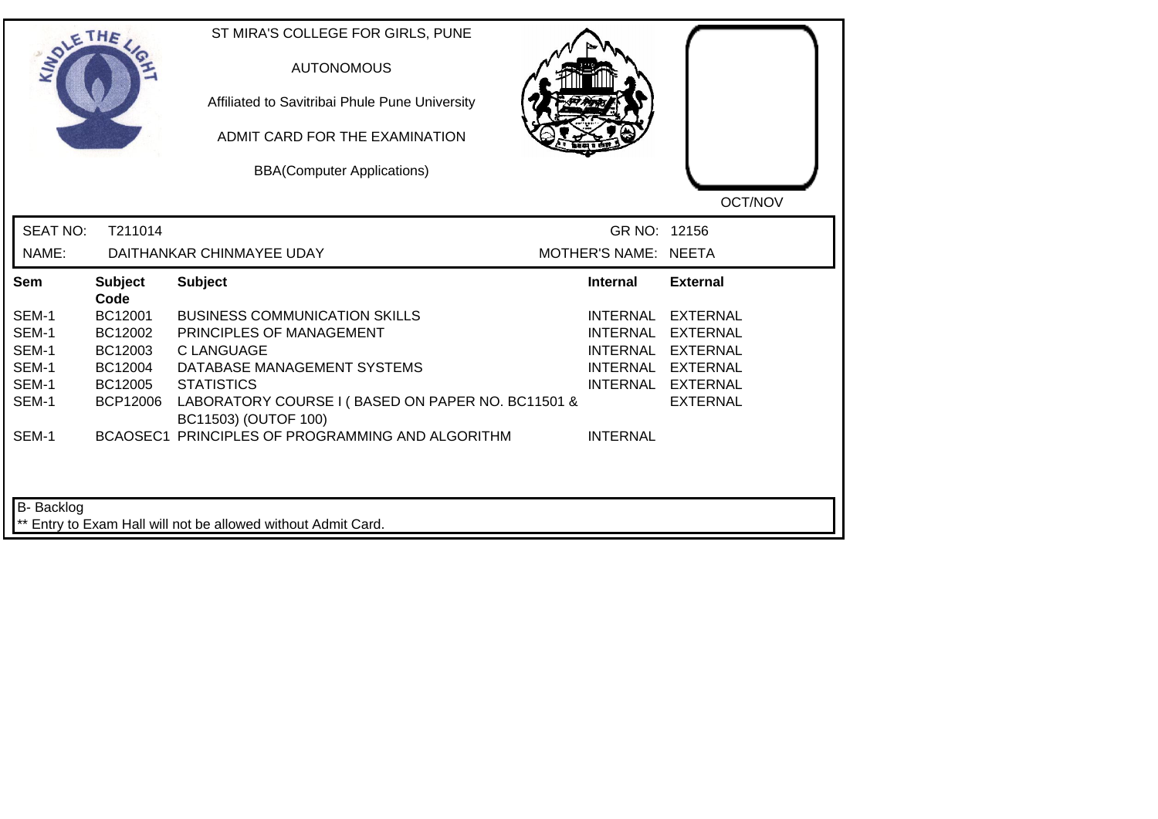| <b>LANDLE</b>   | THE                    | ST MIRA'S COLLEGE FOR GIRLS, PUNE<br><b>AUTONOMOUS</b><br>Affiliated to Savitribai Phule Pune University<br>ADMIT CARD FOR THE EXAMINATION<br><b>BBA(Computer Applications)</b> |                      | OCT/NOV           |
|-----------------|------------------------|---------------------------------------------------------------------------------------------------------------------------------------------------------------------------------|----------------------|-------------------|
| <b>SEAT NO:</b> | T211014                |                                                                                                                                                                                 | GR NO: 12156         |                   |
| NAME:           |                        | DAITHANKAR CHINMAYEE UDAY                                                                                                                                                       | MOTHER'S NAME: NEETA |                   |
| Sem             | <b>Subject</b><br>Code | <b>Subject</b>                                                                                                                                                                  | <b>Internal</b>      | <b>External</b>   |
| SEM-1           | BC12001                | <b>BUSINESS COMMUNICATION SKILLS</b>                                                                                                                                            | INTERNAL             | <b>EXTERNAL</b>   |
| SEM-1           | BC12002                | PRINCIPLES OF MANAGEMENT                                                                                                                                                        | <b>INTERNAL</b>      | <b>EXTERNAL</b>   |
| SEM-1           | BC12003                | C LANGUAGE                                                                                                                                                                      | <b>INTERNAL</b>      | EXTERNAL          |
| SEM-1           | BC12004                | DATABASE MANAGEMENT SYSTEMS                                                                                                                                                     |                      | INTERNAL EXTERNAL |
| SEM-1           | BC12005                | <b>STATISTICS</b>                                                                                                                                                               |                      | INTERNAL EXTERNAL |
| SEM-1           | <b>BCP12006</b>        | LABORATORY COURSE I (BASED ON PAPER NO. BC11501 &<br>BC11503) (OUTOF 100)                                                                                                       |                      | <b>EXTERNAL</b>   |
| SEM-1           |                        | BCAOSEC1 PRINCIPLES OF PROGRAMMING AND ALGORITHM                                                                                                                                | <b>INTERNAL</b>      |                   |
| B-Backlog       |                        | ** Entry to Exam Hall will not be allowed without Admit Card.                                                                                                                   |                      |                   |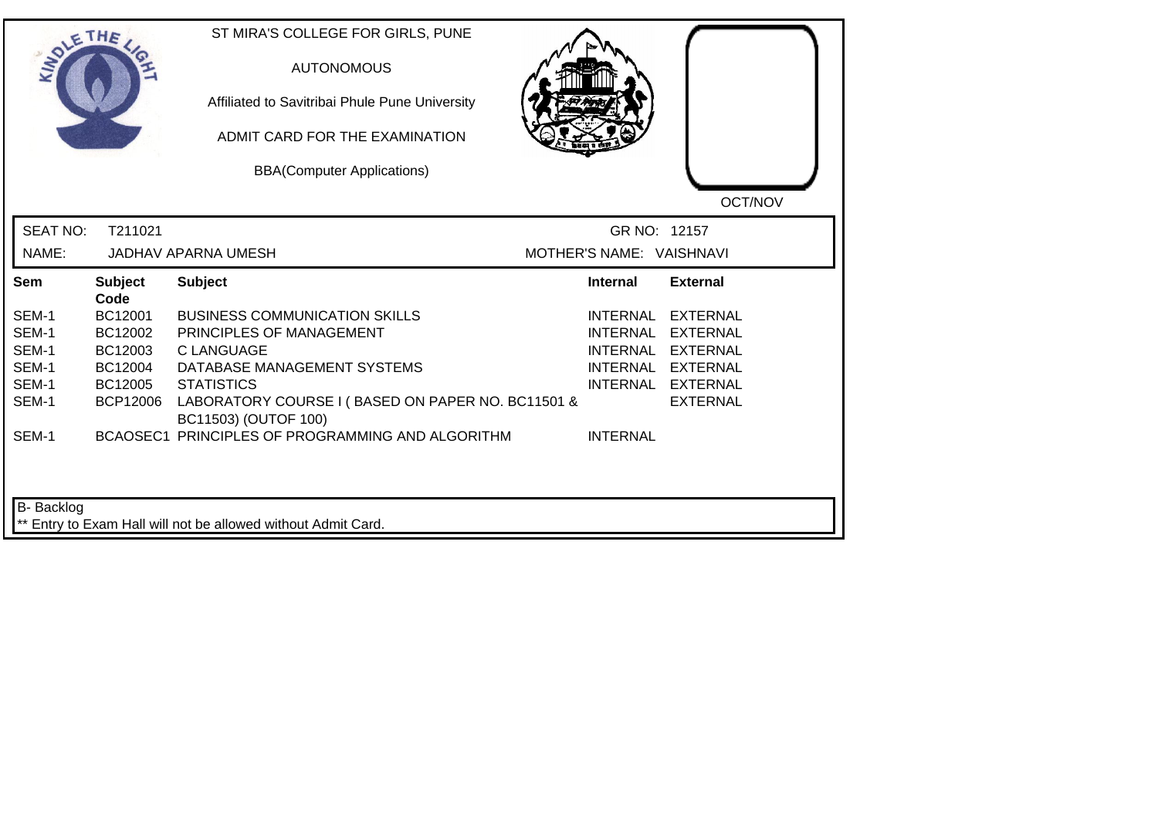| <b>LANDLE</b>   | THE                    | ST MIRA'S COLLEGE FOR GIRLS, PUNE<br><b>AUTONOMOUS</b><br>Affiliated to Savitribai Phule Pune University<br>ADMIT CARD FOR THE EXAMINATION<br><b>BBA(Computer Applications)</b> |                          | OCT/NOV           |
|-----------------|------------------------|---------------------------------------------------------------------------------------------------------------------------------------------------------------------------------|--------------------------|-------------------|
| <b>SEAT NO:</b> | T211021                |                                                                                                                                                                                 | GR NO: 12157             |                   |
| NAME:           |                        | <b>JADHAV APARNA UMESH</b>                                                                                                                                                      | MOTHER'S NAME: VAISHNAVI |                   |
| Sem             | <b>Subject</b><br>Code | <b>Subject</b>                                                                                                                                                                  | Internal                 | <b>External</b>   |
| SEM-1           | BC12001                | <b>BUSINESS COMMUNICATION SKILLS</b>                                                                                                                                            | INTERNAL                 | <b>EXTERNAL</b>   |
| SEM-1           | BC12002                | PRINCIPLES OF MANAGEMENT                                                                                                                                                        | <b>INTERNAL</b>          | <b>EXTERNAL</b>   |
| SEM-1           | BC12003                | C LANGUAGE                                                                                                                                                                      | <b>INTERNAL</b>          | EXTERNAL          |
| SEM-1           | BC12004                | DATABASE MANAGEMENT SYSTEMS                                                                                                                                                     |                          | INTERNAL EXTERNAL |
| SEM-1           | BC12005                | <b>STATISTICS</b>                                                                                                                                                               |                          | INTERNAL EXTERNAL |
| SEM-1           | <b>BCP12006</b>        | LABORATORY COURSE I (BASED ON PAPER NO. BC11501 &<br>BC11503) (OUTOF 100)                                                                                                       |                          | <b>EXTERNAL</b>   |
| SEM-1           |                        | BCAOSEC1 PRINCIPLES OF PROGRAMMING AND ALGORITHM                                                                                                                                | <b>INTERNAL</b>          |                   |
| B-Backlog       |                        | ** Entry to Exam Hall will not be allowed without Admit Card.                                                                                                                   |                          |                   |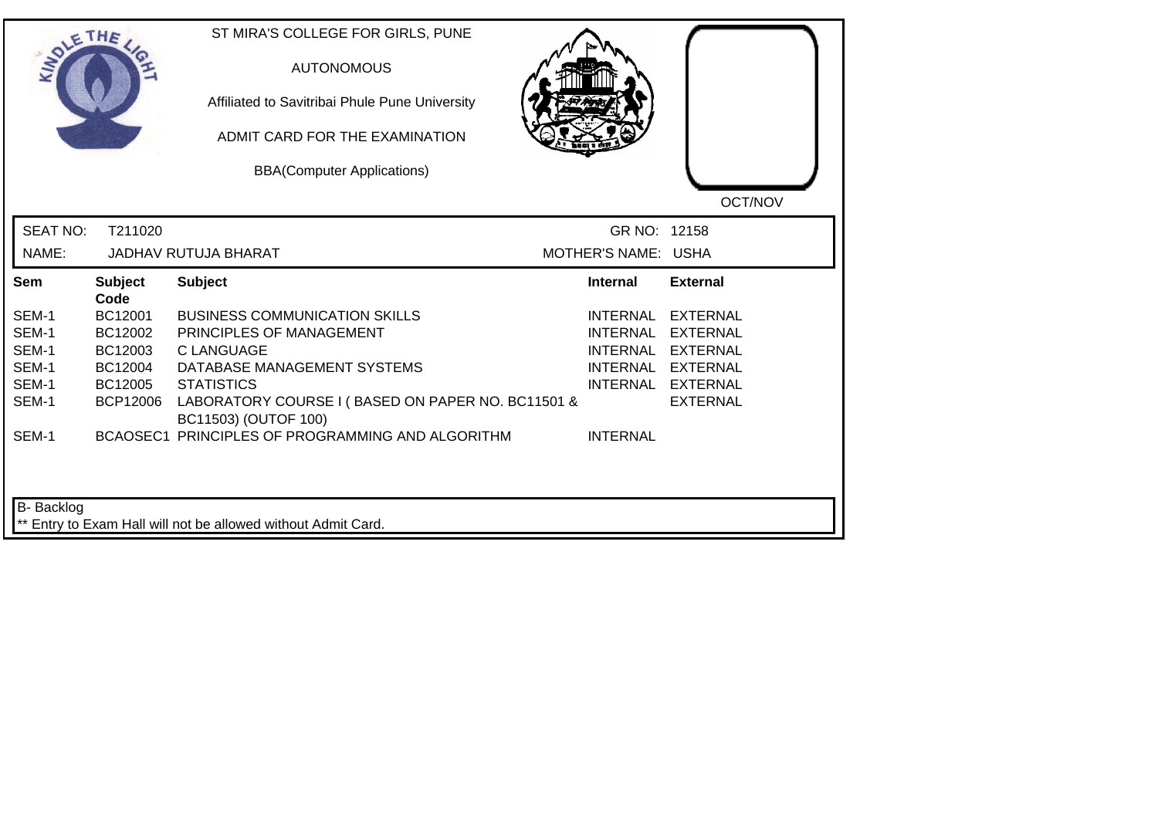|                 | THE                    | ST MIRA'S COLLEGE FOR GIRLS, PUNE<br><b>AUTONOMOUS</b><br>Affiliated to Savitribai Phule Pune University<br>ADMIT CARD FOR THE EXAMINATION<br><b>BBA(Computer Applications)</b> |                     | OCT/NOV           |
|-----------------|------------------------|---------------------------------------------------------------------------------------------------------------------------------------------------------------------------------|---------------------|-------------------|
| <b>SEAT NO:</b> | T211020                |                                                                                                                                                                                 | GR NO: 12158        |                   |
| NAME:           |                        | <b>JADHAV RUTUJA BHARAT</b>                                                                                                                                                     | MOTHER'S NAME: USHA |                   |
| Sem             | <b>Subject</b><br>Code | <b>Subject</b>                                                                                                                                                                  | <b>Internal</b>     | <b>External</b>   |
| SEM-1           | BC12001                | <b>BUSINESS COMMUNICATION SKILLS</b>                                                                                                                                            | INTERNAL            | EXTERNAL          |
| SEM-1           | BC12002                | PRINCIPLES OF MANAGEMENT                                                                                                                                                        | <b>INTERNAL</b>     | EXTERNAL          |
| SEM-1           | BC12003                | <b>CLANGUAGE</b>                                                                                                                                                                |                     | INTERNAL EXTERNAL |
| SEM-1           | BC12004                | DATABASE MANAGEMENT SYSTEMS                                                                                                                                                     |                     | INTERNAL EXTERNAL |
| SEM-1           | BC12005                | <b>STATISTICS</b>                                                                                                                                                               |                     | INTERNAL EXTERNAL |
| SEM-1           | <b>BCP12006</b>        | LABORATORY COURSE I (BASED ON PAPER NO. BC11501 &<br>BC11503) (OUTOF 100)                                                                                                       |                     | <b>EXTERNAL</b>   |
| SEM-1           |                        | BCAOSEC1 PRINCIPLES OF PROGRAMMING AND ALGORITHM                                                                                                                                | <b>INTERNAL</b>     |                   |
| B- Backlog      |                        | ** Entry to Exam Hall will not be allowed without Admit Card.                                                                                                                   |                     |                   |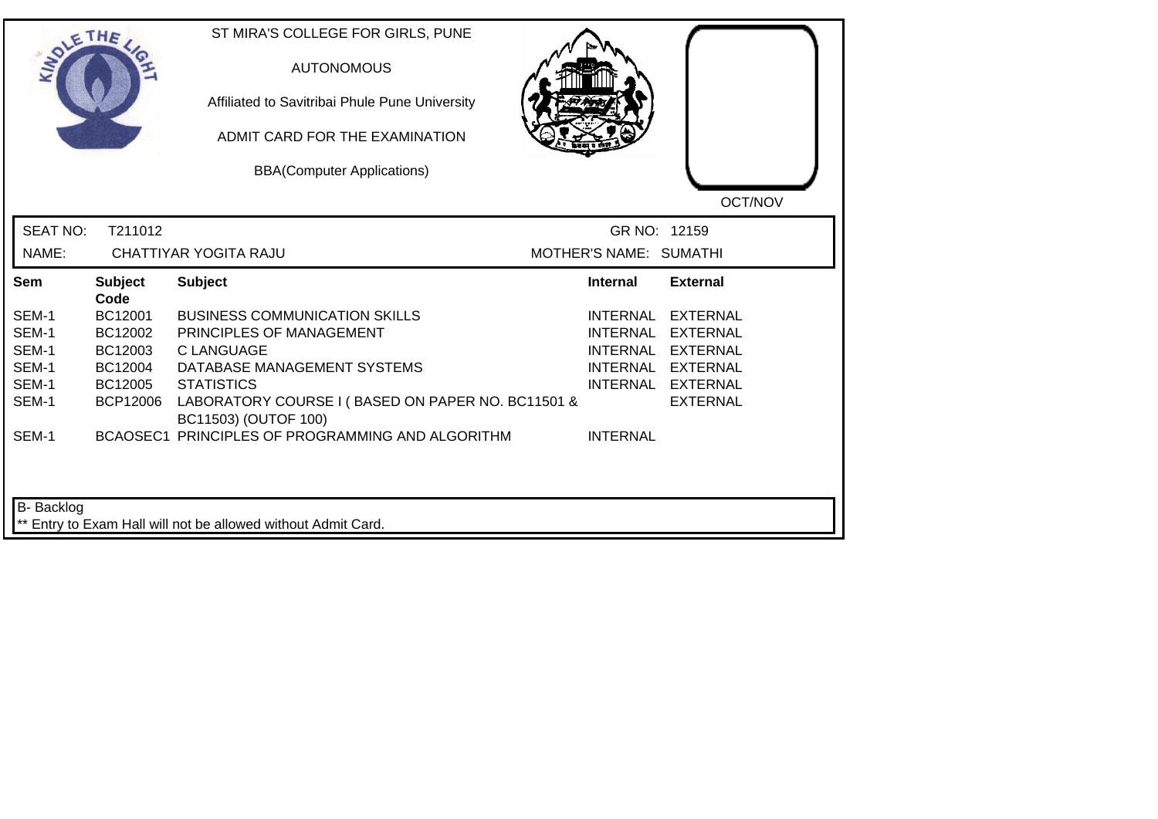| <b>LANDLE</b>     | THE                    | ST MIRA'S COLLEGE FOR GIRLS, PUNE<br><b>AUTONOMOUS</b><br>Affiliated to Savitribai Phule Pune University<br>ADMIT CARD FOR THE EXAMINATION<br><b>BBA(Computer Applications)</b> |                        | OCT/NOV           |
|-------------------|------------------------|---------------------------------------------------------------------------------------------------------------------------------------------------------------------------------|------------------------|-------------------|
| <b>SEAT NO:</b>   | T211012                |                                                                                                                                                                                 | GR NO: 12159           |                   |
| NAME:             |                        | CHATTIYAR YOGITA RAJU                                                                                                                                                           | MOTHER'S NAME: SUMATHI |                   |
| Sem               | <b>Subject</b><br>Code | <b>Subject</b>                                                                                                                                                                  | <b>Internal</b>        | <b>External</b>   |
| SEM-1             | BC12001                | <b>BUSINESS COMMUNICATION SKILLS</b>                                                                                                                                            | INTERNAL               | <b>EXTERNAL</b>   |
| SEM-1             | BC12002                | PRINCIPLES OF MANAGEMENT                                                                                                                                                        | <b>INTERNAL</b>        | <b>EXTERNAL</b>   |
| SEM-1             | BC12003                | <b>CLANGUAGE</b>                                                                                                                                                                | <b>INTERNAL</b>        | <b>EXTERNAL</b>   |
| SEM-1             | BC12004                | DATABASE MANAGEMENT SYSTEMS                                                                                                                                                     |                        | INTERNAL EXTERNAL |
| SEM-1             | BC12005                | <b>STATISTICS</b>                                                                                                                                                               |                        | INTERNAL EXTERNAL |
| SEM-1             | <b>BCP12006</b>        | LABORATORY COURSE I (BASED ON PAPER NO. BC11501 &<br>BC11503) (OUTOF 100)                                                                                                       |                        | <b>EXTERNAL</b>   |
| SEM-1             |                        | BCAOSEC1 PRINCIPLES OF PROGRAMMING AND ALGORITHM                                                                                                                                | <b>INTERNAL</b>        |                   |
| <b>B-</b> Backlog |                        | ** Entry to Exam Hall will not be allowed without Admit Card.                                                                                                                   |                        |                   |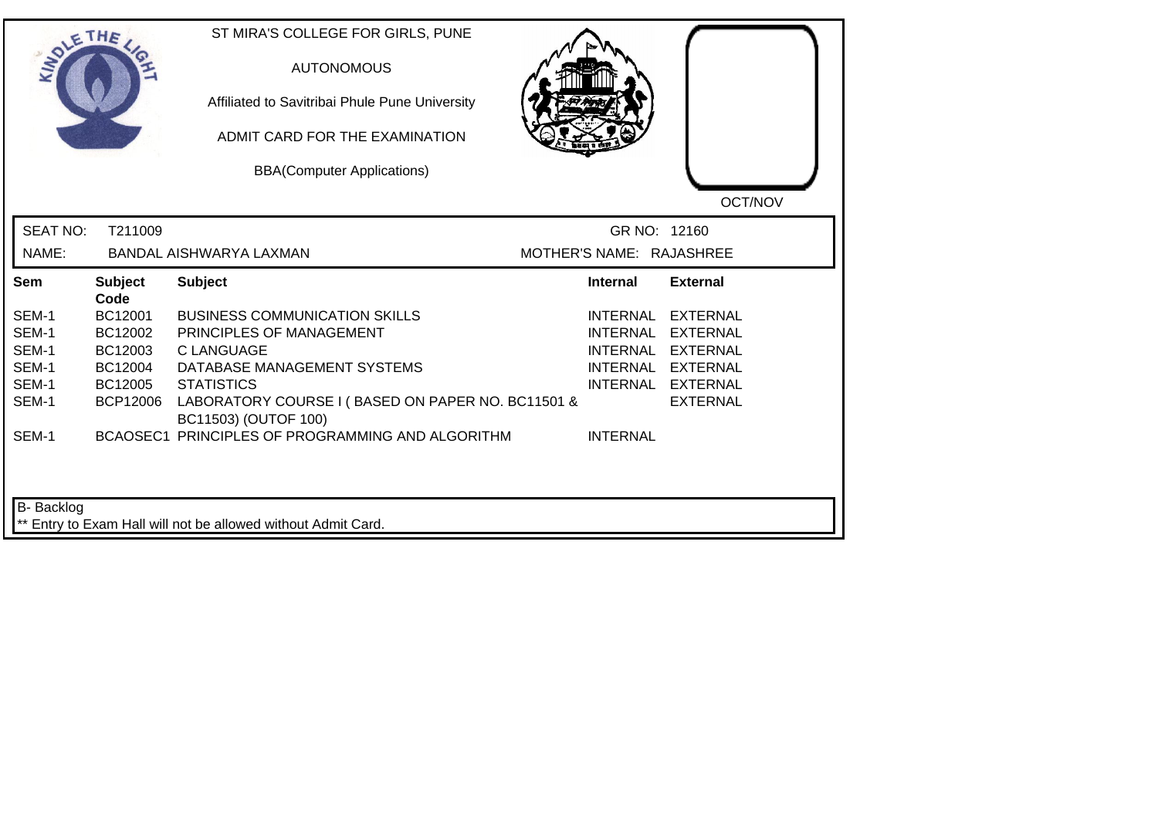| <b>LANDLE</b>   | THE                    | ST MIRA'S COLLEGE FOR GIRLS, PUNE<br><b>AUTONOMOUS</b><br>Affiliated to Savitribai Phule Pune University<br>ADMIT CARD FOR THE EXAMINATION<br><b>BBA(Computer Applications)</b> |                          | OCT/NOV           |
|-----------------|------------------------|---------------------------------------------------------------------------------------------------------------------------------------------------------------------------------|--------------------------|-------------------|
| <b>SEAT NO:</b> | T211009                |                                                                                                                                                                                 | GR NO: 12160             |                   |
| NAME:           |                        | BANDAL AISHWARYA LAXMAN                                                                                                                                                         | MOTHER'S NAME: RAJASHREE |                   |
| Sem             | <b>Subject</b><br>Code | <b>Subject</b>                                                                                                                                                                  | Internal                 | <b>External</b>   |
| SEM-1           | BC12001                | <b>BUSINESS COMMUNICATION SKILLS</b>                                                                                                                                            | INTERNAL                 | <b>EXTERNAL</b>   |
| SEM-1           | BC12002                | PRINCIPLES OF MANAGEMENT                                                                                                                                                        | <b>INTERNAL</b>          | <b>EXTERNAL</b>   |
| SEM-1           | BC12003                | C LANGUAGE                                                                                                                                                                      | <b>INTERNAL</b>          | EXTERNAL          |
| SEM-1           | BC12004                | DATABASE MANAGEMENT SYSTEMS                                                                                                                                                     |                          | INTERNAL EXTERNAL |
| SEM-1           | BC12005                | <b>STATISTICS</b>                                                                                                                                                               |                          | INTERNAL EXTERNAL |
| SEM-1           | <b>BCP12006</b>        | LABORATORY COURSE I (BASED ON PAPER NO. BC11501 &<br>BC11503) (OUTOF 100)                                                                                                       |                          | <b>EXTERNAL</b>   |
| SEM-1           |                        | BCAOSEC1 PRINCIPLES OF PROGRAMMING AND ALGORITHM                                                                                                                                | <b>INTERNAL</b>          |                   |
| B-Backlog       |                        | ** Entry to Exam Hall will not be allowed without Admit Card.                                                                                                                   |                          |                   |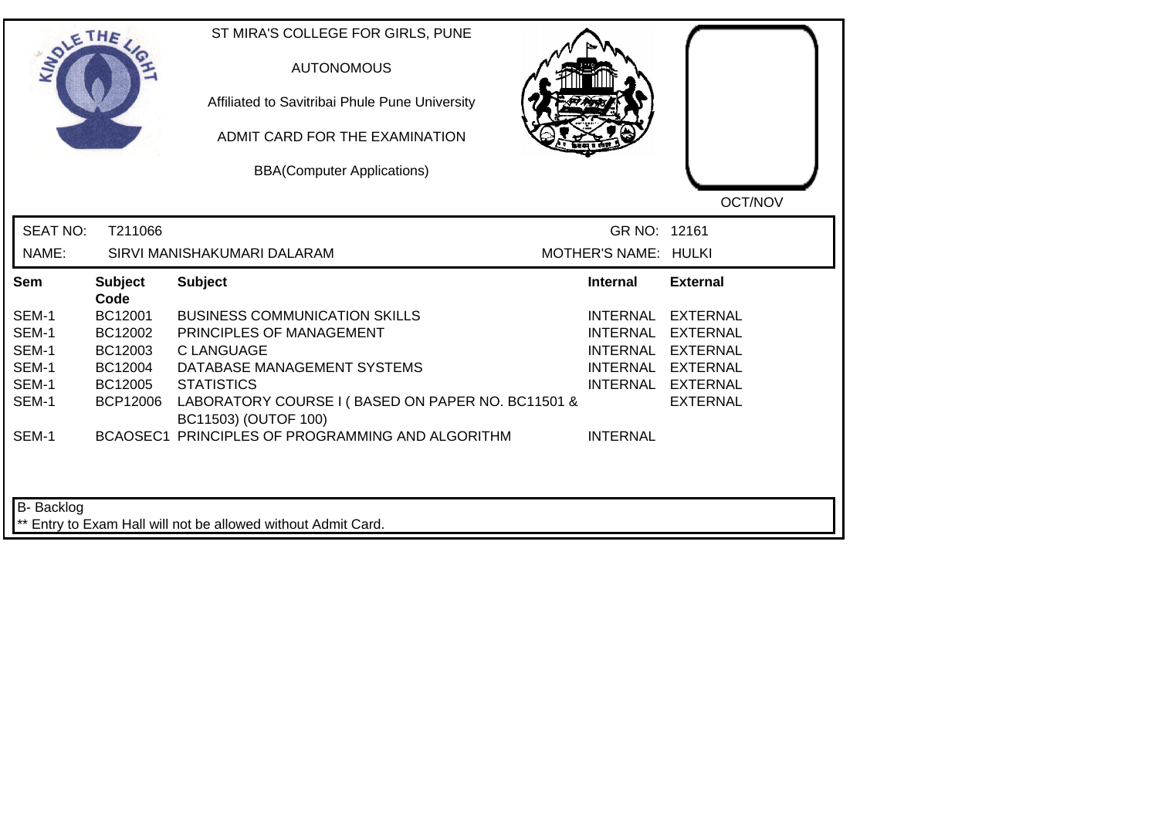| <b>LANDLE</b>   | THE                    | ST MIRA'S COLLEGE FOR GIRLS, PUNE<br><b>AUTONOMOUS</b><br>Affiliated to Savitribai Phule Pune University<br>ADMIT CARD FOR THE EXAMINATION<br><b>BBA(Computer Applications)</b> |                      | OCT/NOV           |
|-----------------|------------------------|---------------------------------------------------------------------------------------------------------------------------------------------------------------------------------|----------------------|-------------------|
| <b>SEAT NO:</b> | T211066                |                                                                                                                                                                                 | GR NO: 12161         |                   |
| NAME:           |                        | SIRVI MANISHAKUMARI DALARAM                                                                                                                                                     | MOTHER'S NAME: HULKI |                   |
| Sem             | <b>Subject</b><br>Code | <b>Subject</b>                                                                                                                                                                  | <b>Internal</b>      | <b>External</b>   |
| SEM-1           | BC12001                | <b>BUSINESS COMMUNICATION SKILLS</b>                                                                                                                                            | INTERNAL             | <b>EXTERNAL</b>   |
| SEM-1           | BC12002                | PRINCIPLES OF MANAGEMENT                                                                                                                                                        | <b>INTERNAL</b>      | <b>EXTERNAL</b>   |
| SEM-1           | BC12003                | C LANGUAGE                                                                                                                                                                      | <b>INTERNAL</b>      | EXTERNAL          |
| SEM-1           | BC12004                | DATABASE MANAGEMENT SYSTEMS                                                                                                                                                     |                      | INTERNAL EXTERNAL |
| SEM-1           | BC12005                | <b>STATISTICS</b>                                                                                                                                                               |                      | INTERNAL EXTERNAL |
| SEM-1           | <b>BCP12006</b>        | LABORATORY COURSE I (BASED ON PAPER NO. BC11501 &<br>BC11503) (OUTOF 100)                                                                                                       |                      | <b>EXTERNAL</b>   |
| SEM-1           |                        | BCAOSEC1 PRINCIPLES OF PROGRAMMING AND ALGORITHM                                                                                                                                | <b>INTERNAL</b>      |                   |
| B-Backlog       |                        | ** Entry to Exam Hall will not be allowed without Admit Card.                                                                                                                   |                      |                   |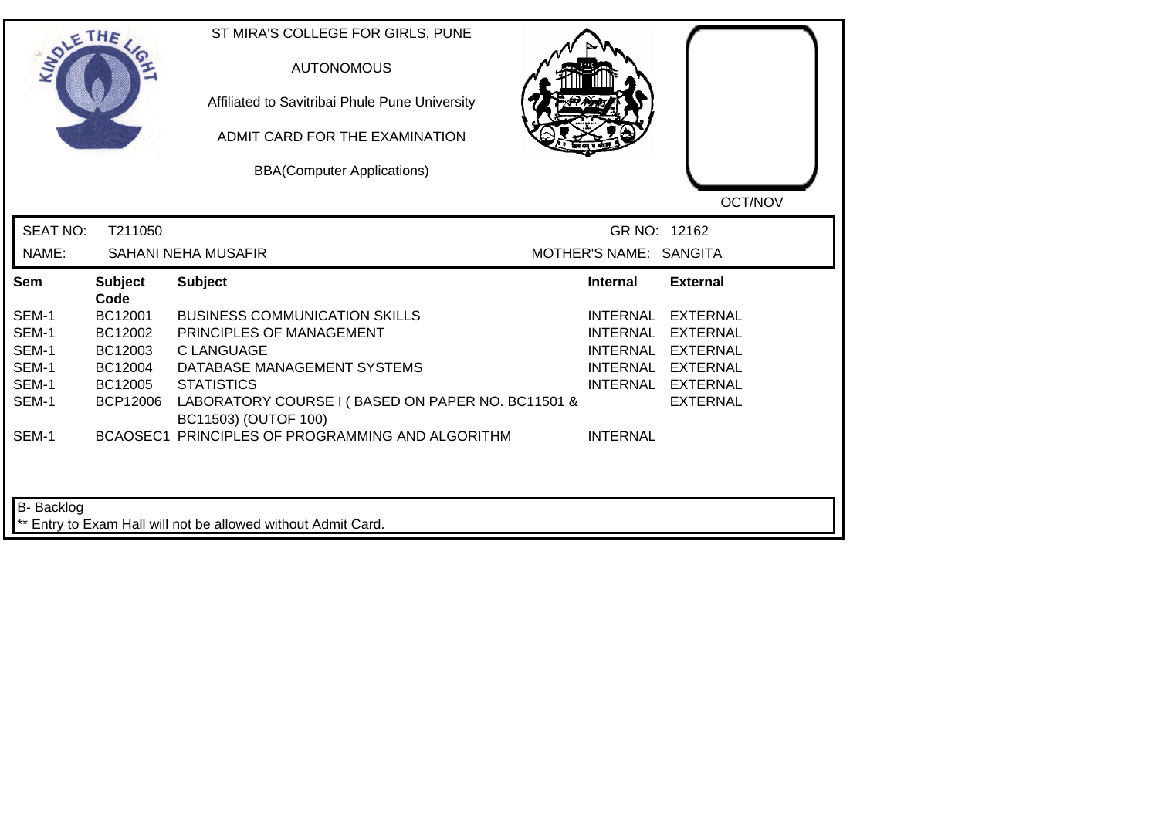| <b>SIMOLE</b>   | THE                    | ST MIRA'S COLLEGE FOR GIRLS, PUNE<br><b>AUTONOMOUS</b><br>Affiliated to Savitribai Phule Pune University<br>ADMIT CARD FOR THE EXAMINATION<br><b>BBA(Computer Applications)</b> |                        | OCT/NOV           |
|-----------------|------------------------|---------------------------------------------------------------------------------------------------------------------------------------------------------------------------------|------------------------|-------------------|
| <b>SEAT NO:</b> | T211050                |                                                                                                                                                                                 | GR NO: 12162           |                   |
| NAME:           |                        | <b>SAHANI NEHA MUSAFIR</b>                                                                                                                                                      | MOTHER'S NAME: SANGITA |                   |
| Sem             | <b>Subject</b><br>Code | <b>Subject</b>                                                                                                                                                                  | <b>Internal</b>        | <b>External</b>   |
| SEM-1           | BC12001                | <b>BUSINESS COMMUNICATION SKILLS</b>                                                                                                                                            | <b>INTERNAL</b>        | <b>EXTERNAL</b>   |
| SEM-1           | BC12002                | PRINCIPLES OF MANAGEMENT                                                                                                                                                        | <b>INTERNAL</b>        | EXTERNAL          |
| SEM-1           | BC12003                | <b>C LANGUAGE</b>                                                                                                                                                               | <b>INTERNAL</b>        | <b>EXTERNAL</b>   |
| SEM-1           | BC12004                | DATABASE MANAGEMENT SYSTEMS                                                                                                                                                     |                        | INTERNAL EXTERNAL |
| SEM-1           | BC12005                | <b>STATISTICS</b>                                                                                                                                                               |                        | INTERNAL EXTERNAL |
| SEM-1           | <b>BCP12006</b>        | LABORATORY COURSE I (BASED ON PAPER NO. BC11501 &<br>BC11503) (OUTOF 100)                                                                                                       |                        | <b>EXTERNAL</b>   |
| SEM-1           |                        | BCAOSEC1 PRINCIPLES OF PROGRAMMING AND ALGORITHM                                                                                                                                | <b>INTERNAL</b>        |                   |
| B-Backlog       |                        | ** Entry to Exam Hall will not be allowed without Admit Card.                                                                                                                   |                        |                   |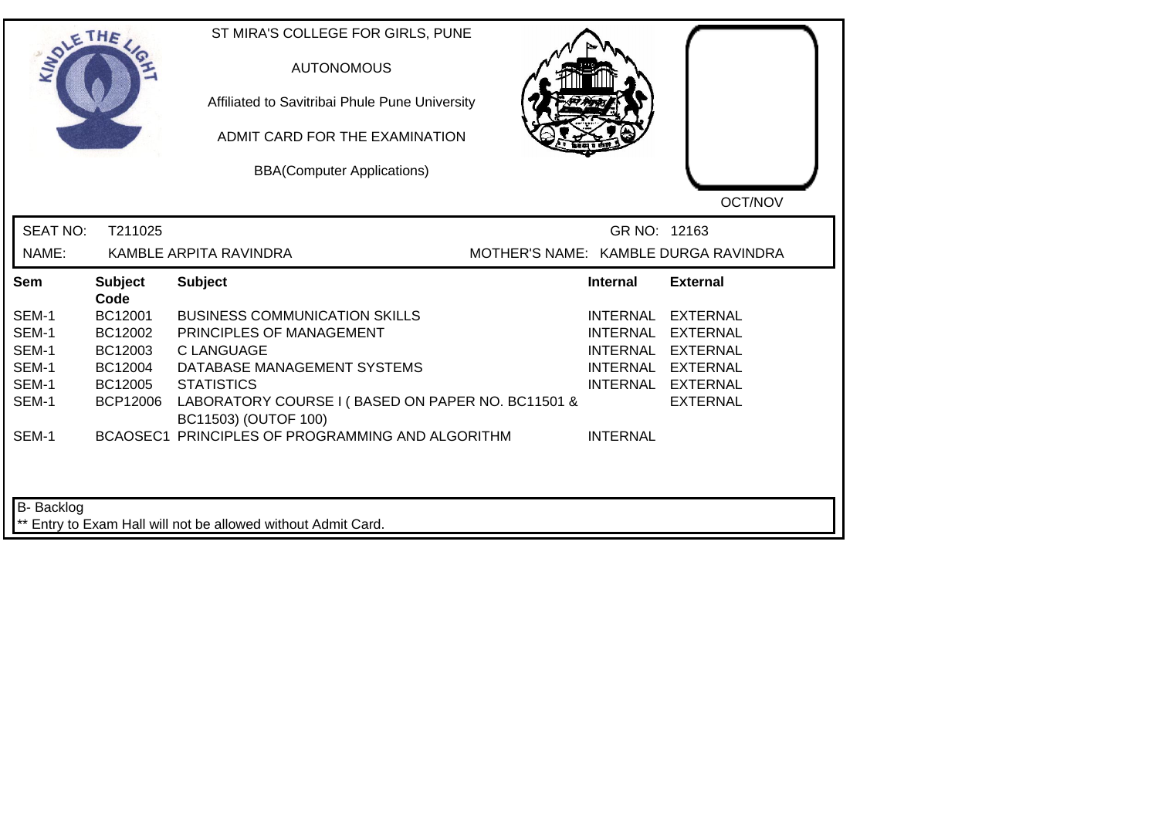| SOLE THE          |                        | ST MIRA'S COLLEGE FOR GIRLS, PUNE<br><b>AUTONOMOUS</b><br>Affiliated to Savitribai Phule Pune University<br>ADMIT CARD FOR THE EXAMINATION<br><b>BBA(Computer Applications)</b> |                 | OCT/NOV                              |
|-------------------|------------------------|---------------------------------------------------------------------------------------------------------------------------------------------------------------------------------|-----------------|--------------------------------------|
| <b>SEAT NO:</b>   | T211025                |                                                                                                                                                                                 | GR NO: 12163    |                                      |
| NAME:             |                        | KAMBLE ARPITA RAVINDRA                                                                                                                                                          |                 | MOTHER'S NAME: KAMBLE DURGA RAVINDRA |
| Sem               | <b>Subject</b><br>Code | <b>Subject</b>                                                                                                                                                                  | <b>Internal</b> | <b>External</b>                      |
| SEM-1             | BC12001                | <b>BUSINESS COMMUNICATION SKILLS</b>                                                                                                                                            | INTERNAL        | <b>EXTERNAL</b>                      |
| SEM-1             | BC12002                | PRINCIPLES OF MANAGEMENT                                                                                                                                                        | <b>INTERNAL</b> | <b>EXTERNAL</b>                      |
| SEM-1             | BC12003                | <b>C LANGUAGE</b>                                                                                                                                                               |                 | INTERNAL EXTERNAL                    |
| SEM-1             | BC12004                | DATABASE MANAGEMENT SYSTEMS                                                                                                                                                     |                 | INTERNAL EXTERNAL                    |
| SEM-1             | BC12005                | <b>STATISTICS</b>                                                                                                                                                               |                 | INTERNAL EXTERNAL                    |
| SEM-1             | <b>BCP12006</b>        | LABORATORY COURSE I (BASED ON PAPER NO. BC11501 &<br>BC11503) (OUTOF 100)                                                                                                       |                 | <b>EXTERNAL</b>                      |
| SEM-1             |                        | BCAOSEC1 PRINCIPLES OF PROGRAMMING AND ALGORITHM                                                                                                                                | <b>INTERNAL</b> |                                      |
| <b>B-</b> Backlog |                        | ** Entry to Exam Hall will not be allowed without Admit Card.                                                                                                                   |                 |                                      |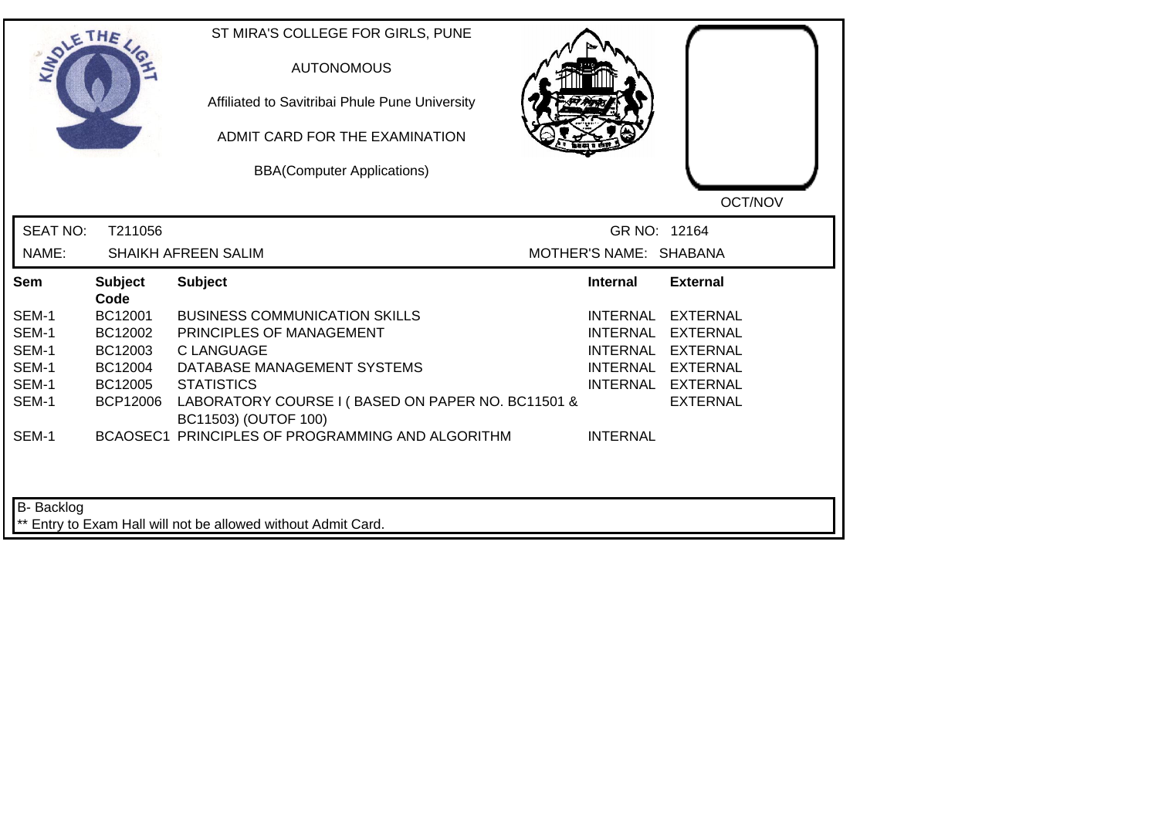| <b>SIMOLE</b>   | THE                    | ST MIRA'S COLLEGE FOR GIRLS, PUNE<br><b>AUTONOMOUS</b><br>Affiliated to Savitribai Phule Pune University<br>ADMIT CARD FOR THE EXAMINATION<br><b>BBA(Computer Applications)</b> |                        | OCT/NOV           |
|-----------------|------------------------|---------------------------------------------------------------------------------------------------------------------------------------------------------------------------------|------------------------|-------------------|
| <b>SEAT NO:</b> | T211056                |                                                                                                                                                                                 | GR NO: 12164           |                   |
| NAME:           |                        | <b>SHAIKH AFREEN SALIM</b>                                                                                                                                                      | MOTHER'S NAME: SHABANA |                   |
| Sem             | <b>Subject</b><br>Code | <b>Subject</b>                                                                                                                                                                  | <b>Internal</b>        | <b>External</b>   |
| SEM-1           | BC12001                | <b>BUSINESS COMMUNICATION SKILLS</b>                                                                                                                                            | <b>INTERNAL</b>        | <b>EXTERNAL</b>   |
| SEM-1           | BC12002                | PRINCIPLES OF MANAGEMENT                                                                                                                                                        | INTERNAL               | EXTERNAL          |
| SEM-1           | BC12003                | <b>C LANGUAGE</b>                                                                                                                                                               | <b>INTERNAL</b>        | <b>EXTERNAL</b>   |
| SEM-1           | BC12004                | DATABASE MANAGEMENT SYSTEMS                                                                                                                                                     |                        | INTERNAL EXTERNAL |
| SEM-1           | BC12005                | <b>STATISTICS</b>                                                                                                                                                               |                        | INTERNAL EXTERNAL |
| SEM-1           | <b>BCP12006</b>        | LABORATORY COURSE I (BASED ON PAPER NO. BC11501 &<br>BC11503) (OUTOF 100)                                                                                                       |                        | <b>EXTERNAL</b>   |
| SEM-1           |                        | BCAOSEC1 PRINCIPLES OF PROGRAMMING AND ALGORITHM                                                                                                                                | <b>INTERNAL</b>        |                   |
| B- Backlog      |                        | ** Entry to Exam Hall will not be allowed without Admit Card.                                                                                                                   |                        |                   |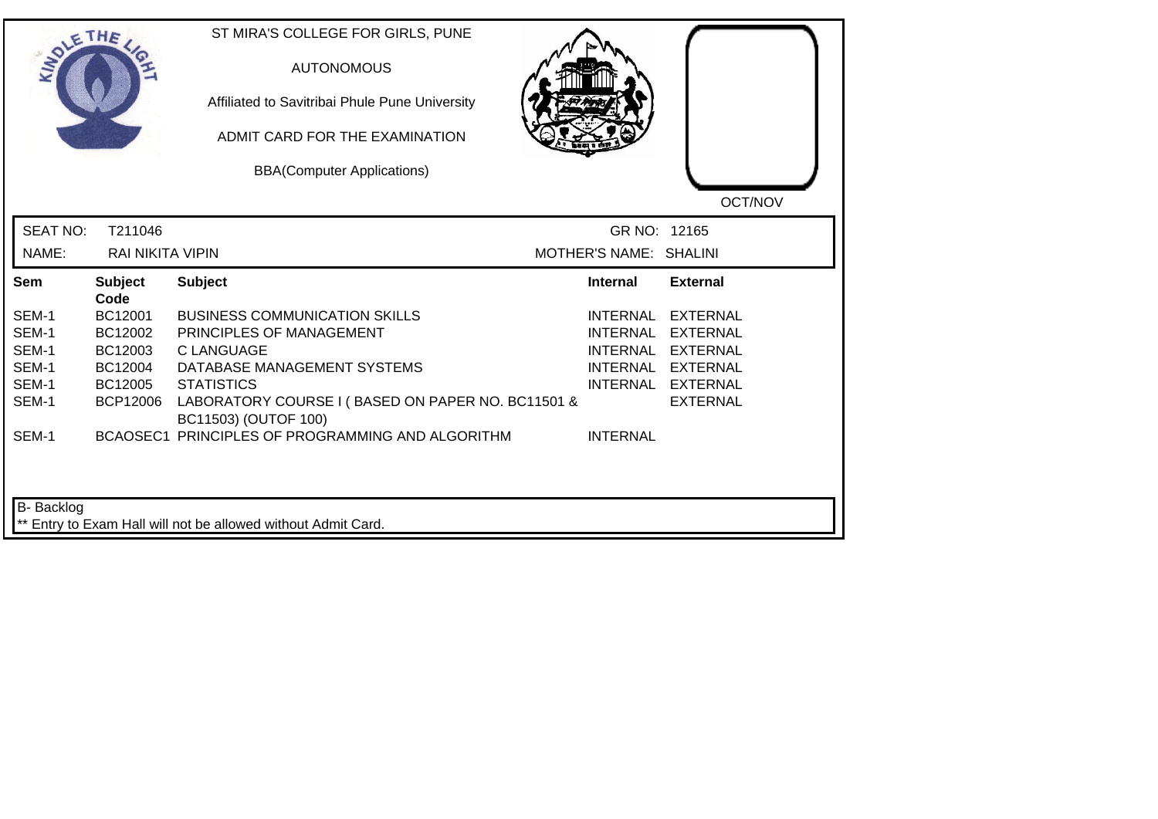|                 | THE                     | ST MIRA'S COLLEGE FOR GIRLS, PUNE<br><b>AUTONOMOUS</b><br>Affiliated to Savitribai Phule Pune University<br>ADMIT CARD FOR THE EXAMINATION<br><b>BBA(Computer Applications)</b> |                        | OCT/NOV           |
|-----------------|-------------------------|---------------------------------------------------------------------------------------------------------------------------------------------------------------------------------|------------------------|-------------------|
| <b>SEAT NO:</b> | T211046                 |                                                                                                                                                                                 | GR NO: 12165           |                   |
| NAME:           | <b>RAI NIKITA VIPIN</b> |                                                                                                                                                                                 | MOTHER'S NAME: SHALINI |                   |
| Sem             | <b>Subject</b><br>Code  | <b>Subject</b>                                                                                                                                                                  | <b>Internal</b>        | <b>External</b>   |
| SEM-1           | BC12001                 | <b>BUSINESS COMMUNICATION SKILLS</b>                                                                                                                                            | <b>INTERNAL</b>        | <b>EXTERNAL</b>   |
| SEM-1           | BC12002                 | PRINCIPLES OF MANAGEMENT                                                                                                                                                        | <b>INTERNAL</b>        | EXTERNAL          |
| SEM-1           | BC12003                 | <b>C LANGUAGE</b>                                                                                                                                                               | <b>INTERNAL</b>        | <b>EXTERNAL</b>   |
| SEM-1           | BC12004                 | DATABASE MANAGEMENT SYSTEMS                                                                                                                                                     |                        | INTERNAL EXTERNAL |
| SEM-1           | BC12005                 | <b>STATISTICS</b>                                                                                                                                                               |                        | INTERNAL EXTERNAL |
| SEM-1           | <b>BCP12006</b>         | LABORATORY COURSE I (BASED ON PAPER NO. BC11501 &<br>BC11503) (OUTOF 100)                                                                                                       |                        | <b>EXTERNAL</b>   |
| SEM-1           |                         | BCAOSEC1 PRINCIPLES OF PROGRAMMING AND ALGORITHM                                                                                                                                | <b>INTERNAL</b>        |                   |
| B- Backlog      |                         | ** Entry to Exam Hall will not be allowed without Admit Card.                                                                                                                   |                        |                   |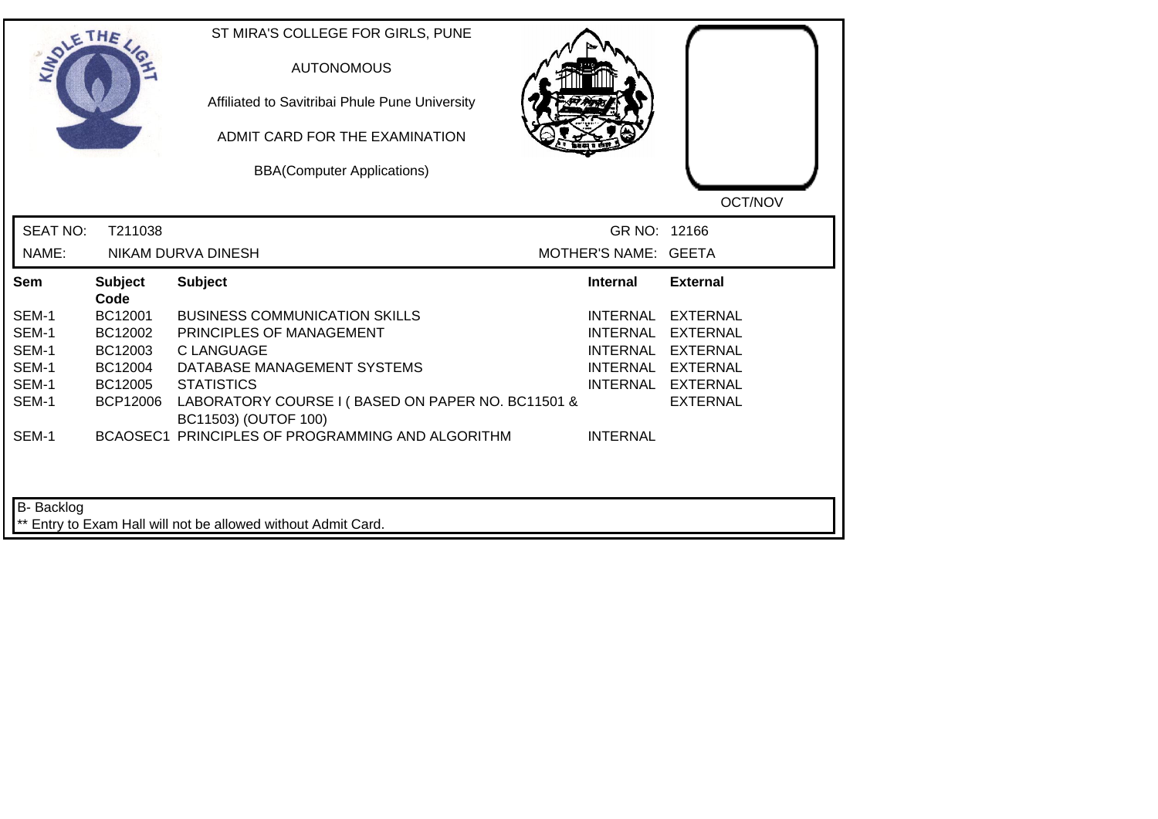|                          | THE             | ST MIRA'S COLLEGE FOR GIRLS, PUNE<br><b>AUTONOMOUS</b><br>Affiliated to Savitribai Phule Pune University<br>ADMIT CARD FOR THE EXAMINATION<br><b>BBA(Computer Applications)</b> |                                      | OCT/NOV           |
|--------------------------|-----------------|---------------------------------------------------------------------------------------------------------------------------------------------------------------------------------|--------------------------------------|-------------------|
| <b>SEAT NO:</b><br>NAME: | T211038         | NIKAM DURVA DINESH                                                                                                                                                              | GR NO: 12166<br>MOTHER'S NAME: GEETA |                   |
| Sem                      | <b>Subject</b>  | <b>Subject</b>                                                                                                                                                                  | <b>Internal</b>                      | <b>External</b>   |
|                          | Code            |                                                                                                                                                                                 |                                      |                   |
| SEM-1                    | BC12001         | <b>BUSINESS COMMUNICATION SKILLS</b>                                                                                                                                            | INTERNAL                             | <b>EXTERNAL</b>   |
| SEM-1                    | BC12002         | PRINCIPLES OF MANAGEMENT                                                                                                                                                        | <b>INTERNAL</b>                      | <b>EXTERNAL</b>   |
| SEM-1                    | BC12003         | <b>C LANGUAGE</b>                                                                                                                                                               | <b>INTERNAL</b>                      | <b>EXTERNAL</b>   |
| SEM-1                    | BC12004         | DATABASE MANAGEMENT SYSTEMS                                                                                                                                                     |                                      | INTERNAL EXTERNAL |
| SEM-1                    | BC12005         | <b>STATISTICS</b>                                                                                                                                                               |                                      | INTERNAL EXTERNAL |
| SEM-1                    | <b>BCP12006</b> | LABORATORY COURSE I (BASED ON PAPER NO. BC11501 &<br>BC11503) (OUTOF 100)                                                                                                       |                                      | <b>EXTERNAL</b>   |
| SEM-1                    |                 | BCAOSEC1 PRINCIPLES OF PROGRAMMING AND ALGORITHM                                                                                                                                | <b>INTERNAL</b>                      |                   |
|                          |                 |                                                                                                                                                                                 |                                      |                   |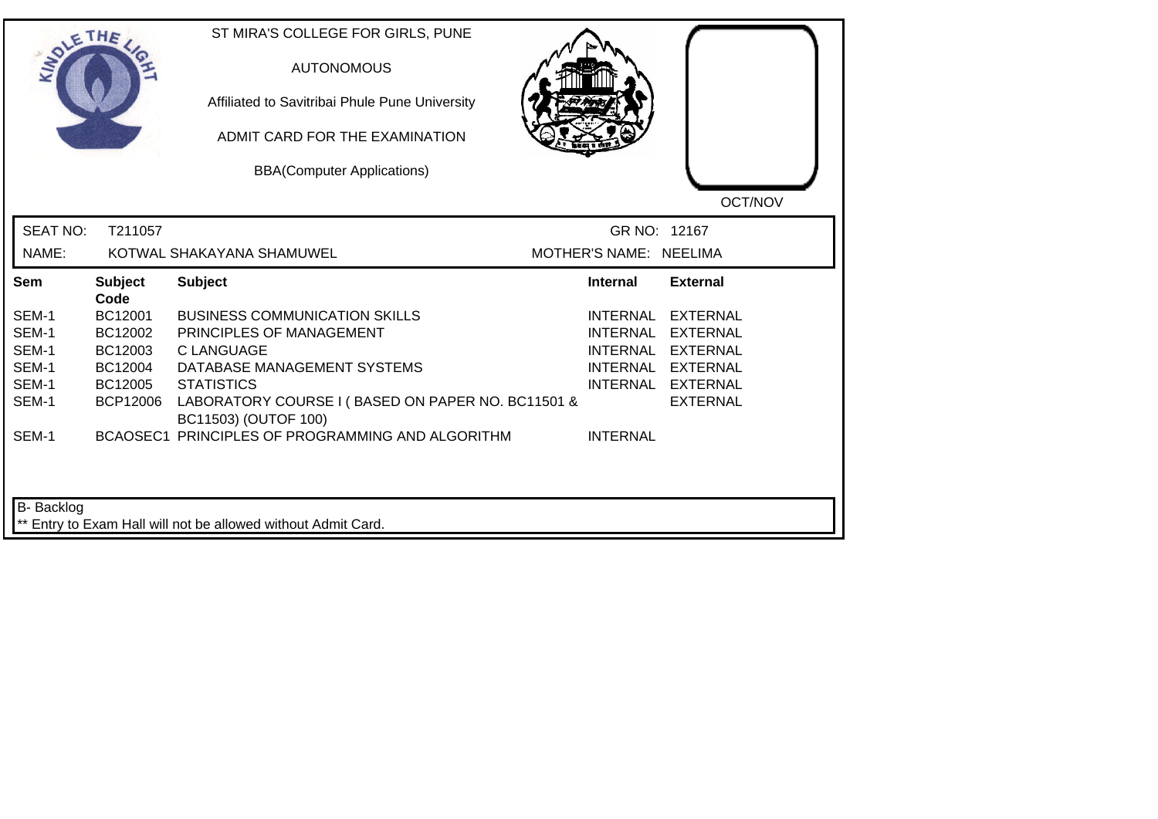|                 | THE                    | ST MIRA'S COLLEGE FOR GIRLS, PUNE<br><b>AUTONOMOUS</b><br>Affiliated to Savitribai Phule Pune University<br>ADMIT CARD FOR THE EXAMINATION<br><b>BBA(Computer Applications)</b> |                        | OCT/NOV           |
|-----------------|------------------------|---------------------------------------------------------------------------------------------------------------------------------------------------------------------------------|------------------------|-------------------|
| <b>SEAT NO:</b> | T211057                |                                                                                                                                                                                 | GR NO: 12167           |                   |
| NAME:           |                        | KOTWAL SHAKAYANA SHAMUWEL                                                                                                                                                       | MOTHER'S NAME: NEELIMA |                   |
| Sem             | <b>Subject</b><br>Code | <b>Subject</b>                                                                                                                                                                  | <b>Internal</b>        | <b>External</b>   |
| SEM-1           | BC12001                | <b>BUSINESS COMMUNICATION SKILLS</b>                                                                                                                                            |                        | INTERNAL EXTERNAL |
| SEM-1           | BC12002                | PRINCIPLES OF MANAGEMENT                                                                                                                                                        |                        | INTERNAL EXTERNAL |
| SEM-1           | BC12003                | <b>CLANGUAGE</b>                                                                                                                                                                |                        | INTERNAL EXTERNAL |
| SEM-1           | BC12004                | DATABASE MANAGEMENT SYSTEMS                                                                                                                                                     |                        | INTERNAL EXTERNAL |
| SEM-1           | BC12005                | <b>STATISTICS</b>                                                                                                                                                               |                        | INTERNAL EXTERNAL |
| SEM-1           | <b>BCP12006</b>        | LABORATORY COURSE I (BASED ON PAPER NO. BC11501 &<br>BC11503) (OUTOF 100)                                                                                                       |                        | <b>EXTERNAL</b>   |
| SEM-1           |                        | BCAOSEC1 PRINCIPLES OF PROGRAMMING AND ALGORITHM                                                                                                                                | <b>INTERNAL</b>        |                   |
| B- Backlog      |                        | ** Entry to Exam Hall will not be allowed without Admit Card.                                                                                                                   |                        |                   |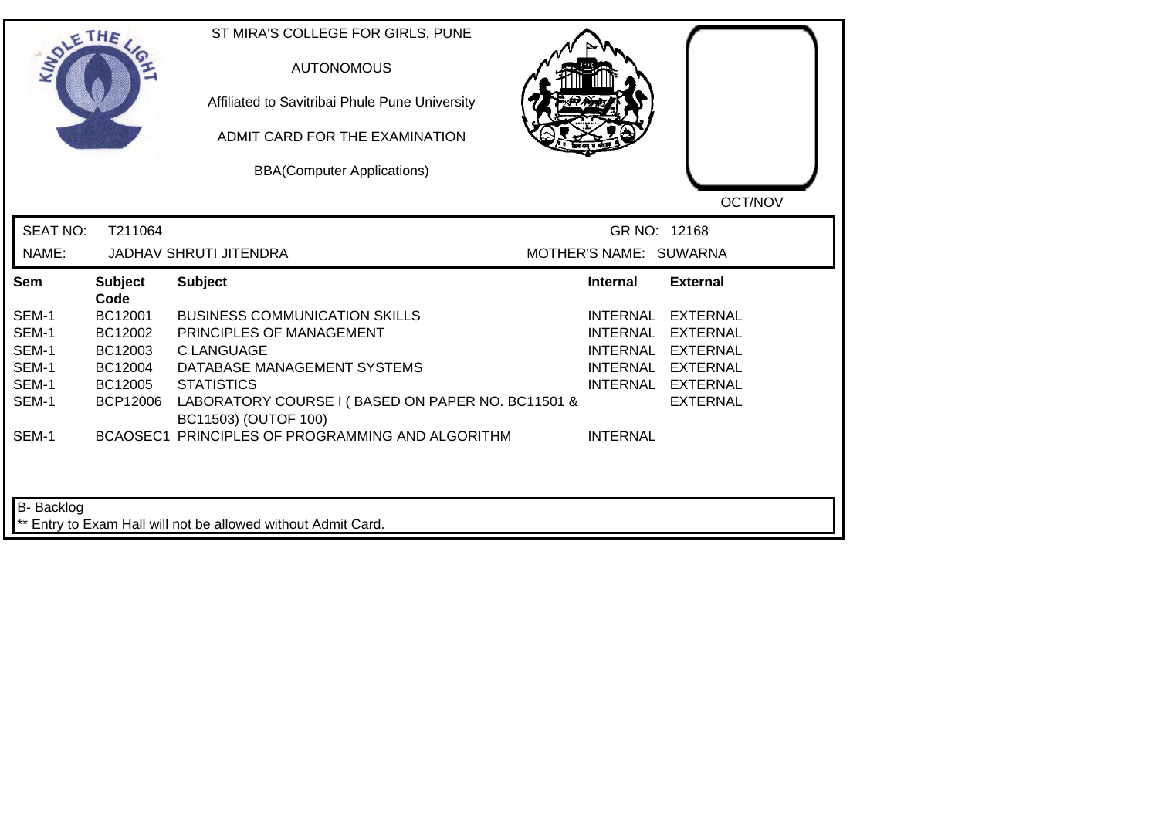|                          | THE             | ST MIRA'S COLLEGE FOR GIRLS, PUNE<br><b>AUTONOMOUS</b><br>Affiliated to Savitribai Phule Pune University<br>ADMIT CARD FOR THE EXAMINATION<br><b>BBA(Computer Applications)</b> |                                        | OCT/NOV           |
|--------------------------|-----------------|---------------------------------------------------------------------------------------------------------------------------------------------------------------------------------|----------------------------------------|-------------------|
| <b>SEAT NO:</b><br>NAME: | T211064         | <b>JADHAV SHRUTI JITENDRA</b>                                                                                                                                                   | GR NO: 12168<br>MOTHER'S NAME: SUWARNA |                   |
| Sem                      | <b>Subject</b>  | <b>Subject</b>                                                                                                                                                                  | <b>Internal</b>                        | <b>External</b>   |
|                          | Code            |                                                                                                                                                                                 |                                        |                   |
| SEM-1                    | BC12001         | <b>BUSINESS COMMUNICATION SKILLS</b>                                                                                                                                            | <b>INTERNAL</b>                        | <b>EXTERNAL</b>   |
| SEM-1                    | BC12002         | PRINCIPLES OF MANAGEMENT                                                                                                                                                        | <b>INTERNAL</b>                        | <b>EXTERNAL</b>   |
| SEM-1                    | BC12003         | <b>C LANGUAGE</b>                                                                                                                                                               | <b>INTERNAL</b>                        | <b>EXTERNAL</b>   |
| SEM-1                    | BC12004         | DATABASE MANAGEMENT SYSTEMS                                                                                                                                                     |                                        | INTERNAL EXTERNAL |
| SEM-1                    | BC12005         | <b>STATISTICS</b>                                                                                                                                                               |                                        | INTERNAL EXTERNAL |
| SEM-1                    | <b>BCP12006</b> | LABORATORY COURSE I (BASED ON PAPER NO. BC11501 &<br>BC11503) (OUTOF 100)                                                                                                       |                                        | <b>EXTERNAL</b>   |
| SEM-1                    |                 | BCAOSEC1 PRINCIPLES OF PROGRAMMING AND ALGORITHM                                                                                                                                | <b>INTERNAL</b>                        |                   |
| B- Backlog               |                 | ** Entry to Exam Hall will not be allowed without Admit Card.                                                                                                                   |                                        |                   |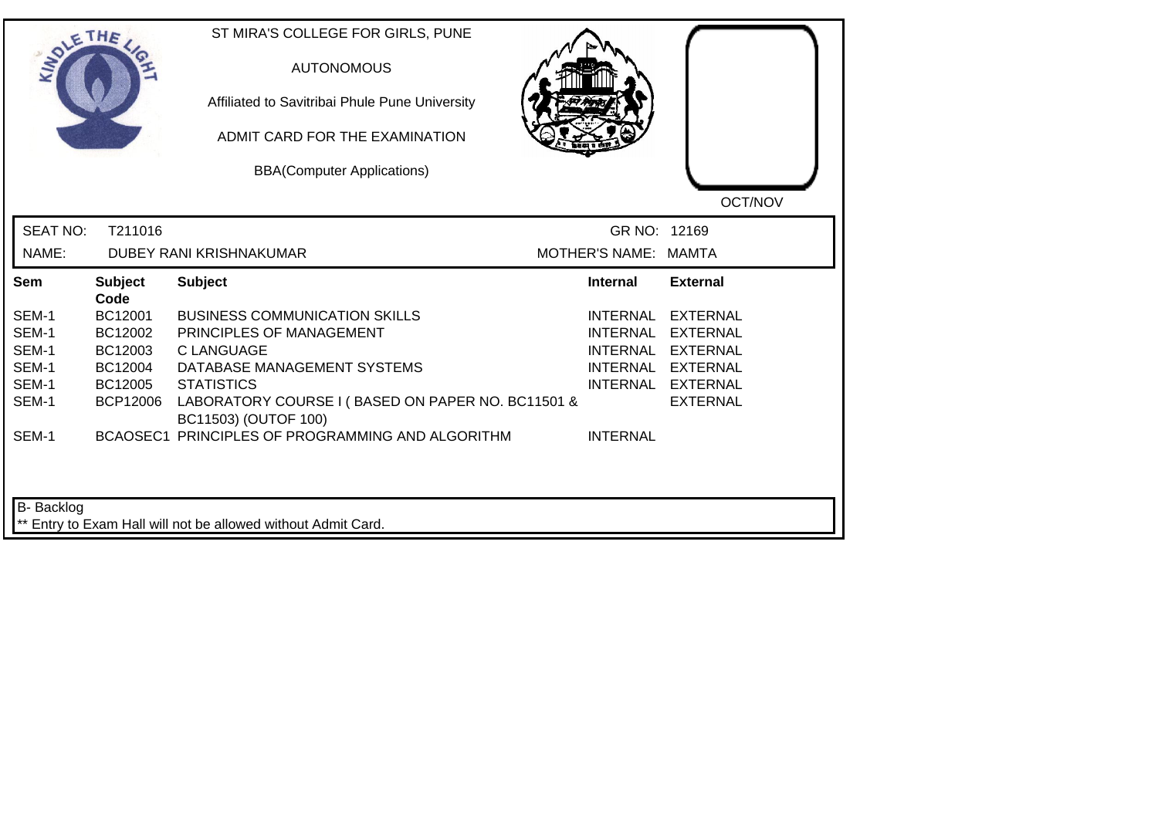|                                                             | THE                                                                            | ST MIRA'S COLLEGE FOR GIRLS, PUNE<br><b>AUTONOMOUS</b><br>Affiliated to Savitribai Phule Pune University<br>ADMIT CARD FOR THE EXAMINATION<br><b>BBA(Computer Applications)</b>                                                                                            |                                                                          | OCT/NOV                                                                                                            |
|-------------------------------------------------------------|--------------------------------------------------------------------------------|----------------------------------------------------------------------------------------------------------------------------------------------------------------------------------------------------------------------------------------------------------------------------|--------------------------------------------------------------------------|--------------------------------------------------------------------------------------------------------------------|
| <b>SEAT NO:</b><br>NAME:                                    | T211016                                                                        | DUBEY RANI KRISHNAKUMAR                                                                                                                                                                                                                                                    | GR NO: 12169<br>MOTHER'S NAME: MAMTA                                     |                                                                                                                    |
| Sem                                                         | <b>Subject</b>                                                                 | <b>Subject</b>                                                                                                                                                                                                                                                             | <b>Internal</b>                                                          | <b>External</b>                                                                                                    |
| SEM-1<br>SEM-1<br>SEM-1<br>SEM-1<br>SEM-1<br>SEM-1<br>SEM-1 | Code<br>BC12001<br>BC12002<br>BC12003<br>BC12004<br>BC12005<br><b>BCP12006</b> | <b>BUSINESS COMMUNICATION SKILLS</b><br>PRINCIPLES OF MANAGEMENT<br><b>C LANGUAGE</b><br>DATABASE MANAGEMENT SYSTEMS<br><b>STATISTICS</b><br>LABORATORY COURSE I (BASED ON PAPER NO. BC11501 &<br>BC11503) (OUTOF 100)<br>BCAOSEC1 PRINCIPLES OF PROGRAMMING AND ALGORITHM | <b>INTERNAL</b><br><b>INTERNAL</b><br><b>INTERNAL</b><br><b>INTERNAL</b> | <b>EXTERNAL</b><br><b>EXTERNAL</b><br><b>EXTERNAL</b><br>INTERNAL EXTERNAL<br>INTERNAL EXTERNAL<br><b>EXTERNAL</b> |
| B- Backlog                                                  |                                                                                | ** Entry to Exam Hall will not be allowed without Admit Card.                                                                                                                                                                                                              |                                                                          |                                                                                                                    |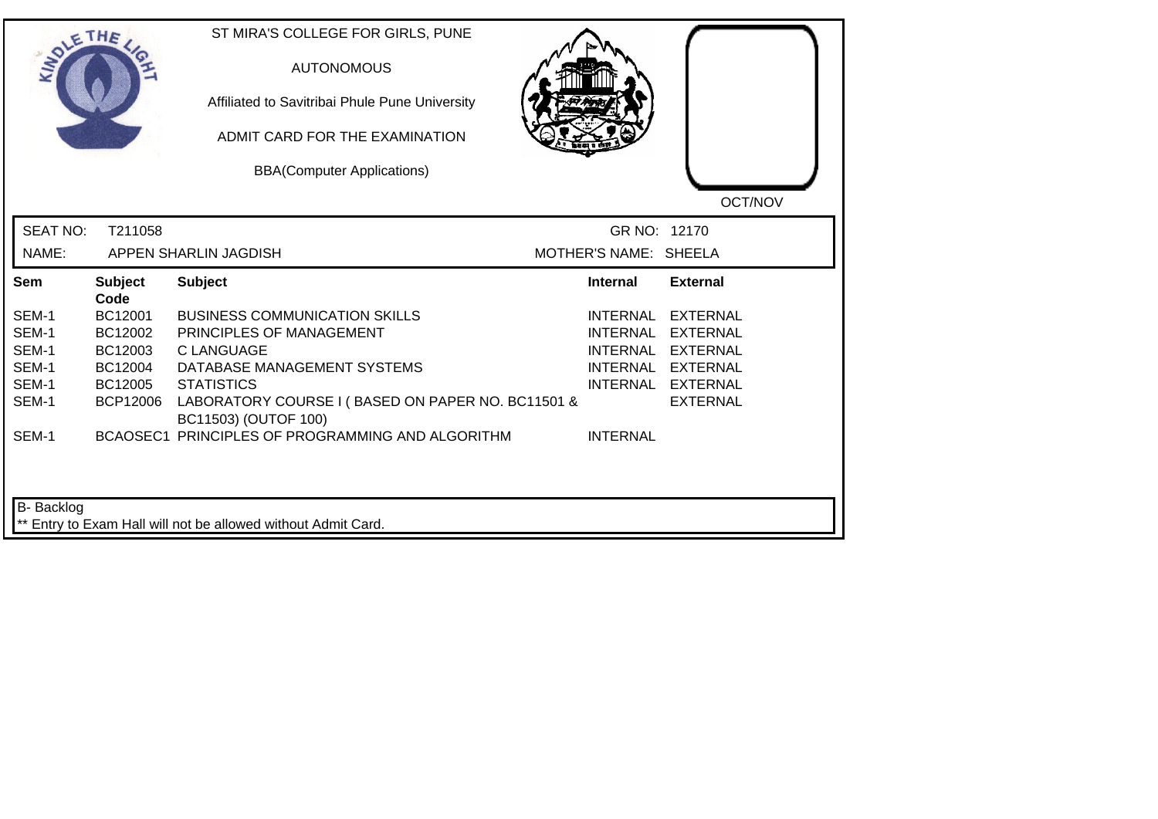| <b>SIMOLE</b>   | THE                    | ST MIRA'S COLLEGE FOR GIRLS, PUNE<br><b>AUTONOMOUS</b><br>Affiliated to Savitribai Phule Pune University<br>ADMIT CARD FOR THE EXAMINATION<br><b>BBA(Computer Applications)</b> |                       | OCT/NOV           |
|-----------------|------------------------|---------------------------------------------------------------------------------------------------------------------------------------------------------------------------------|-----------------------|-------------------|
| <b>SEAT NO:</b> | T211058                |                                                                                                                                                                                 | GR NO: 12170          |                   |
| NAME:           |                        | APPEN SHARLIN JAGDISH                                                                                                                                                           | MOTHER'S NAME: SHEELA |                   |
| Sem             | <b>Subject</b><br>Code | <b>Subject</b>                                                                                                                                                                  | <b>Internal</b>       | <b>External</b>   |
| SEM-1           | BC12001                | <b>BUSINESS COMMUNICATION SKILLS</b>                                                                                                                                            | <b>INTERNAL</b>       | <b>EXTERNAL</b>   |
| SEM-1           | BC12002                | PRINCIPLES OF MANAGEMENT                                                                                                                                                        | INTERNAL              | <b>EXTERNAL</b>   |
| SEM-1           | BC12003                | <b>C LANGUAGE</b>                                                                                                                                                               | <b>INTERNAL</b>       | <b>EXTERNAL</b>   |
| SEM-1           | BC12004                | DATABASE MANAGEMENT SYSTEMS                                                                                                                                                     |                       | INTERNAL EXTERNAL |
| SEM-1           | BC12005                | <b>STATISTICS</b>                                                                                                                                                               |                       | INTERNAL EXTERNAL |
| SEM-1           | <b>BCP12006</b>        | LABORATORY COURSE I (BASED ON PAPER NO. BC11501 &<br>BC11503) (OUTOF 100)                                                                                                       |                       | <b>EXTERNAL</b>   |
| SEM-1           |                        | BCAOSEC1 PRINCIPLES OF PROGRAMMING AND ALGORITHM                                                                                                                                | <b>INTERNAL</b>       |                   |
| B- Backlog      |                        | ** Entry to Exam Hall will not be allowed without Admit Card.                                                                                                                   |                       |                   |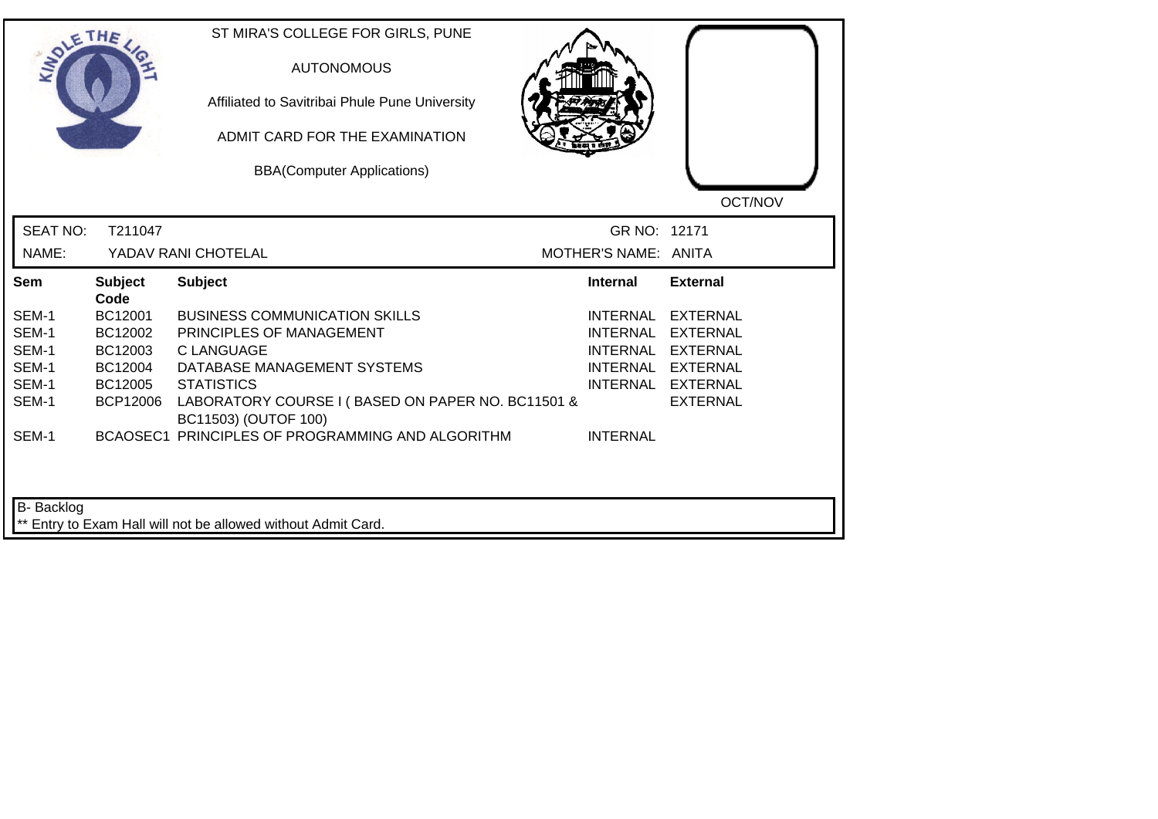|                 | THE                    | ST MIRA'S COLLEGE FOR GIRLS, PUNE<br><b>AUTONOMOUS</b><br>Affiliated to Savitribai Phule Pune University<br>ADMIT CARD FOR THE EXAMINATION<br><b>BBA(Computer Applications)</b> |                      | OCT/NOV           |
|-----------------|------------------------|---------------------------------------------------------------------------------------------------------------------------------------------------------------------------------|----------------------|-------------------|
| <b>SEAT NO:</b> | T211047                |                                                                                                                                                                                 | GR NO: 12171         |                   |
| NAME:           |                        | YADAV RANI CHOTELAL                                                                                                                                                             | MOTHER'S NAME: ANITA |                   |
| Sem             | <b>Subject</b><br>Code | <b>Subject</b>                                                                                                                                                                  | <b>Internal</b>      | <b>External</b>   |
| SEM-1           | BC12001                | <b>BUSINESS COMMUNICATION SKILLS</b>                                                                                                                                            | <b>INTERNAL</b>      | <b>EXTERNAL</b>   |
| SEM-1           | BC12002                | PRINCIPLES OF MANAGEMENT                                                                                                                                                        | <b>INTERNAL</b>      | EXTERNAL          |
| SEM-1           | BC12003                | <b>C LANGUAGE</b>                                                                                                                                                               | <b>INTERNAL</b>      | <b>EXTERNAL</b>   |
| SEM-1           | BC12004                | DATABASE MANAGEMENT SYSTEMS                                                                                                                                                     |                      | INTERNAL EXTERNAL |
| SEM-1           | BC12005                | <b>STATISTICS</b>                                                                                                                                                               |                      | INTERNAL EXTERNAL |
| SEM-1           | <b>BCP12006</b>        | LABORATORY COURSE I (BASED ON PAPER NO. BC11501 &<br>BC11503) (OUTOF 100)                                                                                                       |                      | <b>EXTERNAL</b>   |
| SEM-1           |                        | BCAOSEC1 PRINCIPLES OF PROGRAMMING AND ALGORITHM                                                                                                                                | <b>INTERNAL</b>      |                   |
|                 |                        |                                                                                                                                                                                 |                      |                   |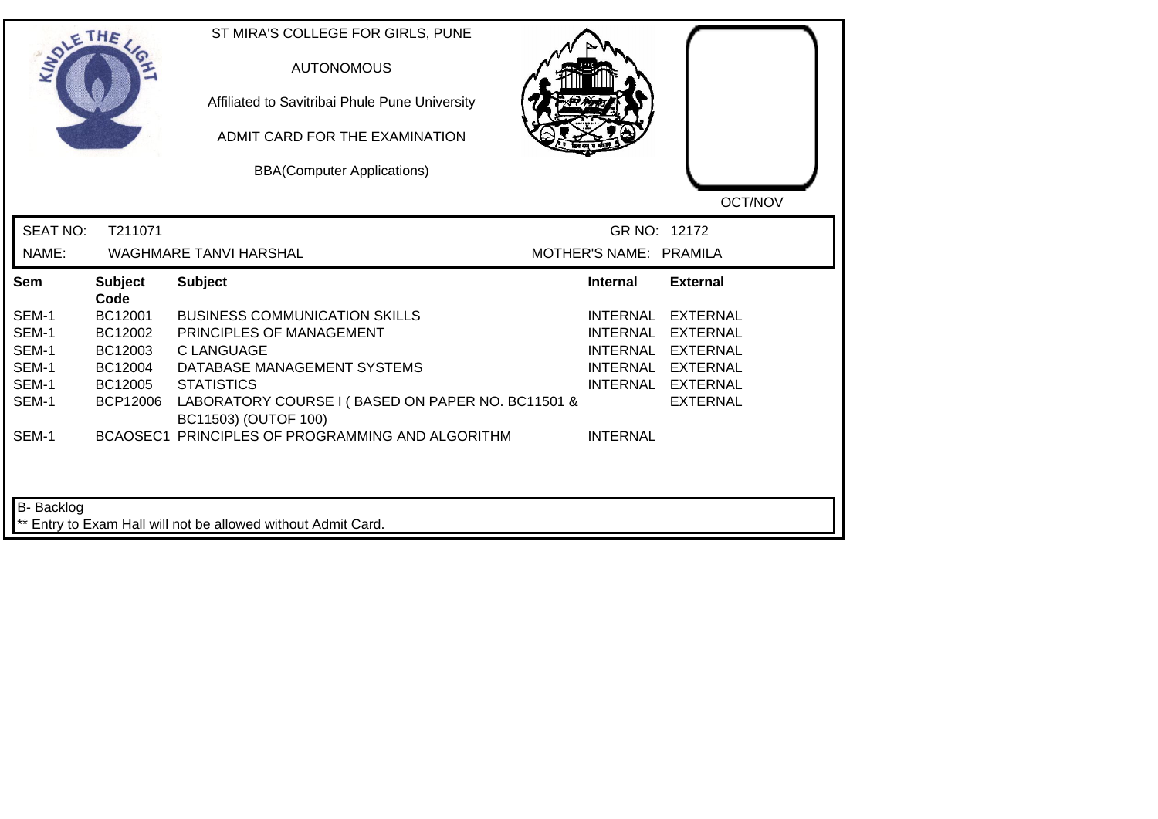| <b>LANDLE</b>   | THE                    | ST MIRA'S COLLEGE FOR GIRLS, PUNE<br><b>AUTONOMOUS</b><br>Affiliated to Savitribai Phule Pune University<br>ADMIT CARD FOR THE EXAMINATION<br><b>BBA(Computer Applications)</b> |                        | OCT/NOV           |
|-----------------|------------------------|---------------------------------------------------------------------------------------------------------------------------------------------------------------------------------|------------------------|-------------------|
| <b>SEAT NO:</b> | T211071                |                                                                                                                                                                                 | GR NO: 12172           |                   |
| NAME:           |                        | <b>WAGHMARE TANVI HARSHAL</b>                                                                                                                                                   | MOTHER'S NAME: PRAMILA |                   |
| Sem             | <b>Subject</b><br>Code | <b>Subject</b>                                                                                                                                                                  | <b>Internal</b>        | <b>External</b>   |
| SEM-1           | BC12001                | <b>BUSINESS COMMUNICATION SKILLS</b>                                                                                                                                            | INTERNAL               | <b>EXTERNAL</b>   |
| SEM-1           | BC12002                | PRINCIPLES OF MANAGEMENT                                                                                                                                                        | <b>INTERNAL</b>        | <b>EXTERNAL</b>   |
| SEM-1           | BC12003                | C LANGUAGE                                                                                                                                                                      | <b>INTERNAL</b>        | EXTERNAL          |
| SEM-1           | BC12004                | DATABASE MANAGEMENT SYSTEMS                                                                                                                                                     |                        | INTERNAL EXTERNAL |
| SEM-1           | BC12005                | <b>STATISTICS</b>                                                                                                                                                               |                        | INTERNAL EXTERNAL |
| SEM-1           | <b>BCP12006</b>        | LABORATORY COURSE I (BASED ON PAPER NO. BC11501 &<br>BC11503) (OUTOF 100)                                                                                                       |                        | <b>EXTERNAL</b>   |
| SEM-1           |                        | BCAOSEC1 PRINCIPLES OF PROGRAMMING AND ALGORITHM                                                                                                                                | <b>INTERNAL</b>        |                   |
| B- Backlog      |                        | ** Entry to Exam Hall will not be allowed without Admit Card.                                                                                                                   |                        |                   |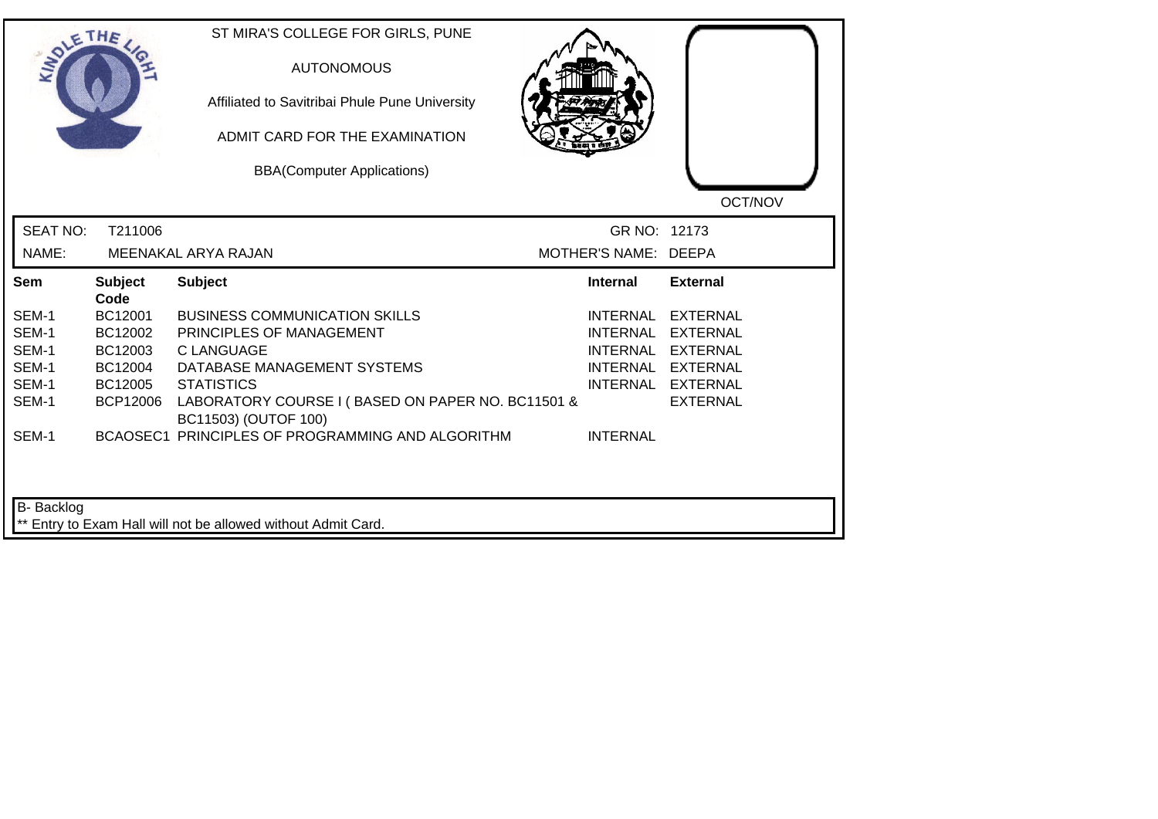| SOLETHE.        |                        | ST MIRA'S COLLEGE FOR GIRLS, PUNE<br><b>AUTONOMOUS</b><br>Affiliated to Savitribai Phule Pune University<br>ADMIT CARD FOR THE EXAMINATION<br><b>BBA(Computer Applications)</b> |                      | OCT/NOV           |
|-----------------|------------------------|---------------------------------------------------------------------------------------------------------------------------------------------------------------------------------|----------------------|-------------------|
| <b>SEAT NO:</b> | T211006                |                                                                                                                                                                                 | GR NO: 12173         |                   |
| NAME:           |                        | MEENAKAL ARYA RAJAN                                                                                                                                                             | MOTHER'S NAME: DEEPA |                   |
| Sem             | <b>Subject</b><br>Code | <b>Subject</b>                                                                                                                                                                  | <b>Internal</b>      | <b>External</b>   |
| SEM-1           | BC12001                | <b>BUSINESS COMMUNICATION SKILLS</b>                                                                                                                                            | <b>INTERNAL</b>      | <b>EXTERNAL</b>   |
| SEM-1           | BC12002                | PRINCIPLES OF MANAGEMENT                                                                                                                                                        | <b>INTERNAL</b>      | <b>EXTERNAL</b>   |
| SEM-1           | BC12003                | <b>C LANGUAGE</b>                                                                                                                                                               | <b>INTERNAL</b>      | <b>EXTERNAL</b>   |
| SEM-1           | BC12004                | DATABASE MANAGEMENT SYSTEMS                                                                                                                                                     |                      | INTERNAL EXTERNAL |
| SEM-1           | BC12005                | <b>STATISTICS</b>                                                                                                                                                               |                      | INTERNAL EXTERNAL |
| SEM-1           | <b>BCP12006</b>        | LABORATORY COURSE I (BASED ON PAPER NO. BC11501 &<br>BC11503) (OUTOF 100)                                                                                                       |                      | <b>EXTERNAL</b>   |
| SEM-1           |                        | BCAOSEC1 PRINCIPLES OF PROGRAMMING AND ALGORITHM                                                                                                                                | <b>INTERNAL</b>      |                   |
| B- Backlog      |                        | ** Entry to Exam Hall will not be allowed without Admit Card.                                                                                                                   |                      |                   |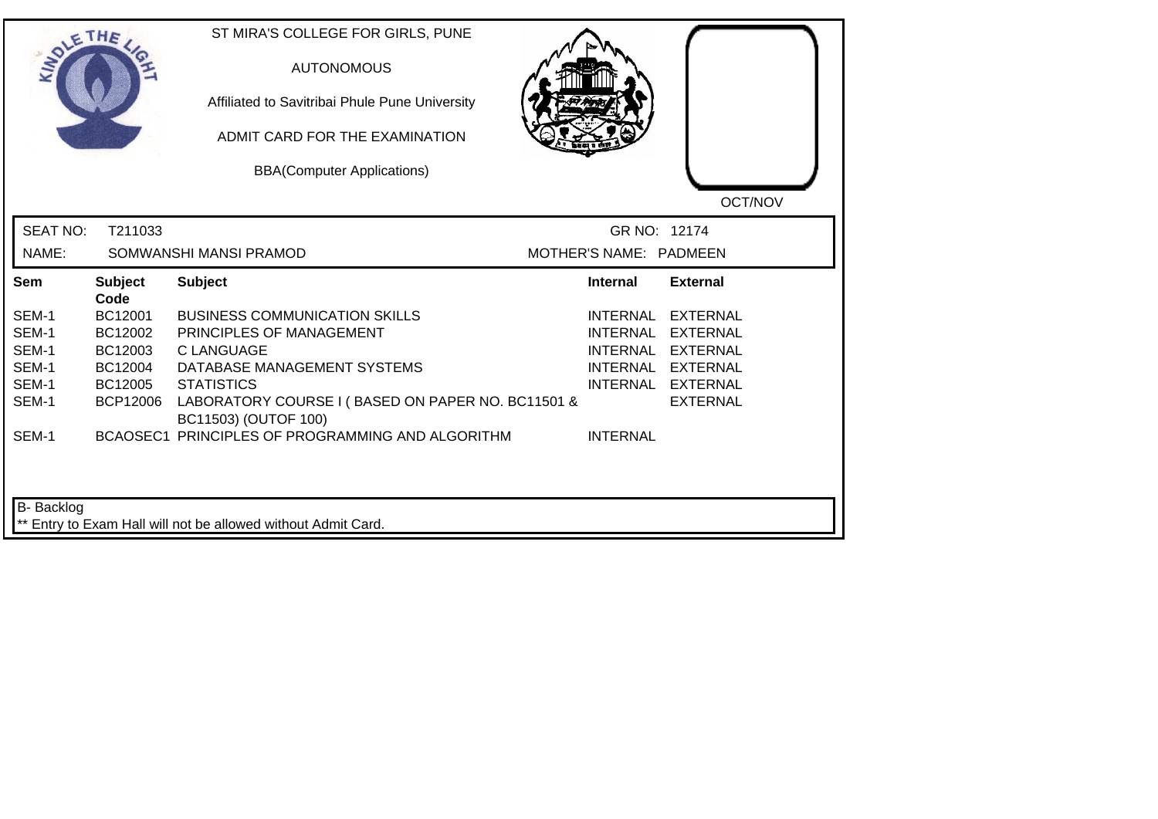| <b>SIMOLE</b>   | THE                    | ST MIRA'S COLLEGE FOR GIRLS, PUNE<br><b>AUTONOMOUS</b><br>Affiliated to Savitribai Phule Pune University<br>ADMIT CARD FOR THE EXAMINATION<br><b>BBA(Computer Applications)</b> |                        | OCT/NOV           |
|-----------------|------------------------|---------------------------------------------------------------------------------------------------------------------------------------------------------------------------------|------------------------|-------------------|
| <b>SEAT NO:</b> | T211033                |                                                                                                                                                                                 | GR NO: 12174           |                   |
| NAME:           |                        | SOMWANSHI MANSI PRAMOD                                                                                                                                                          | MOTHER'S NAME: PADMEEN |                   |
| Sem             | <b>Subject</b><br>Code | <b>Subject</b>                                                                                                                                                                  | <b>Internal</b>        | <b>External</b>   |
| SEM-1           | BC12001                | <b>BUSINESS COMMUNICATION SKILLS</b>                                                                                                                                            | <b>INTERNAL</b>        | <b>EXTERNAL</b>   |
| SEM-1           | BC12002                | PRINCIPLES OF MANAGEMENT                                                                                                                                                        | <b>INTERNAL</b>        | EXTERNAL          |
| SEM-1           | BC12003                | <b>C LANGUAGE</b>                                                                                                                                                               | <b>INTERNAL</b>        | <b>EXTERNAL</b>   |
| SEM-1           | BC12004                | DATABASE MANAGEMENT SYSTEMS                                                                                                                                                     |                        | INTERNAL EXTERNAL |
| SEM-1           | BC12005                | <b>STATISTICS</b>                                                                                                                                                               |                        | INTERNAL EXTERNAL |
| SEM-1           | <b>BCP12006</b>        | LABORATORY COURSE I (BASED ON PAPER NO. BC11501 &<br>BC11503) (OUTOF 100)                                                                                                       |                        | <b>EXTERNAL</b>   |
| SEM-1           |                        | BCAOSEC1 PRINCIPLES OF PROGRAMMING AND ALGORITHM                                                                                                                                | <b>INTERNAL</b>        |                   |
| B- Backlog      |                        | ** Entry to Exam Hall will not be allowed without Admit Card.                                                                                                                   |                        |                   |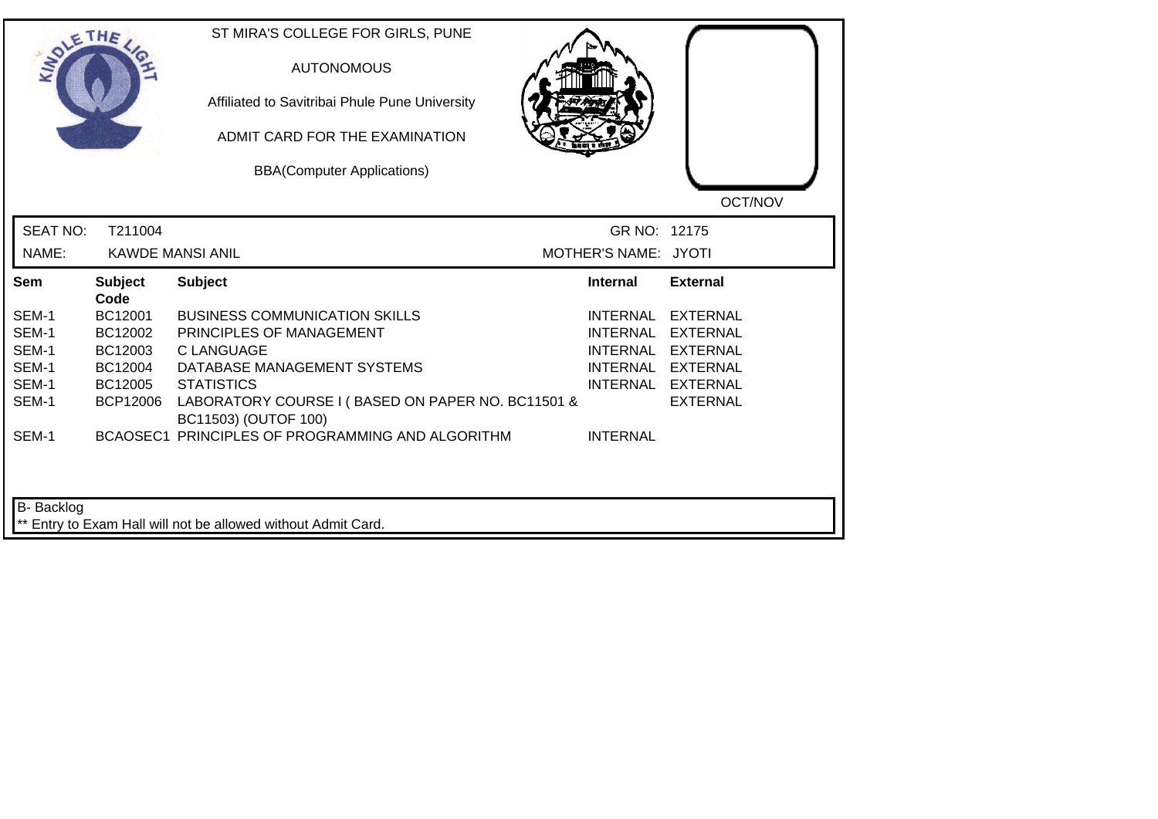|                 | THE                    | ST MIRA'S COLLEGE FOR GIRLS, PUNE<br><b>AUTONOMOUS</b><br>Affiliated to Savitribai Phule Pune University<br>ADMIT CARD FOR THE EXAMINATION<br><b>BBA(Computer Applications)</b> |                      | OCT/NOV           |
|-----------------|------------------------|---------------------------------------------------------------------------------------------------------------------------------------------------------------------------------|----------------------|-------------------|
| <b>SEAT NO:</b> | T211004                |                                                                                                                                                                                 | GR NO: 12175         |                   |
| NAME:           |                        | <b>KAWDE MANSI ANIL</b>                                                                                                                                                         | MOTHER'S NAME: JYOTI |                   |
| Sem             | <b>Subject</b><br>Code | <b>Subject</b>                                                                                                                                                                  | <b>Internal</b>      | <b>External</b>   |
| SEM-1           | BC12001                | <b>BUSINESS COMMUNICATION SKILLS</b>                                                                                                                                            | <b>INTERNAL</b>      | <b>EXTERNAL</b>   |
| SEM-1           | BC12002                | PRINCIPLES OF MANAGEMENT                                                                                                                                                        | <b>INTERNAL</b>      | EXTERNAL          |
| SEM-1           | BC12003                | <b>C LANGUAGE</b>                                                                                                                                                               | <b>INTERNAL</b>      | <b>EXTERNAL</b>   |
| SEM-1           | BC12004                | DATABASE MANAGEMENT SYSTEMS                                                                                                                                                     |                      | INTERNAL EXTERNAL |
| SEM-1           | BC12005                | <b>STATISTICS</b>                                                                                                                                                               |                      | INTERNAL EXTERNAL |
| SEM-1           | <b>BCP12006</b>        | LABORATORY COURSE I (BASED ON PAPER NO. BC11501 &<br>BC11503) (OUTOF 100)                                                                                                       |                      | <b>EXTERNAL</b>   |
| SEM-1           |                        | BCAOSEC1 PRINCIPLES OF PROGRAMMING AND ALGORITHM                                                                                                                                | <b>INTERNAL</b>      |                   |
|                 |                        |                                                                                                                                                                                 |                      |                   |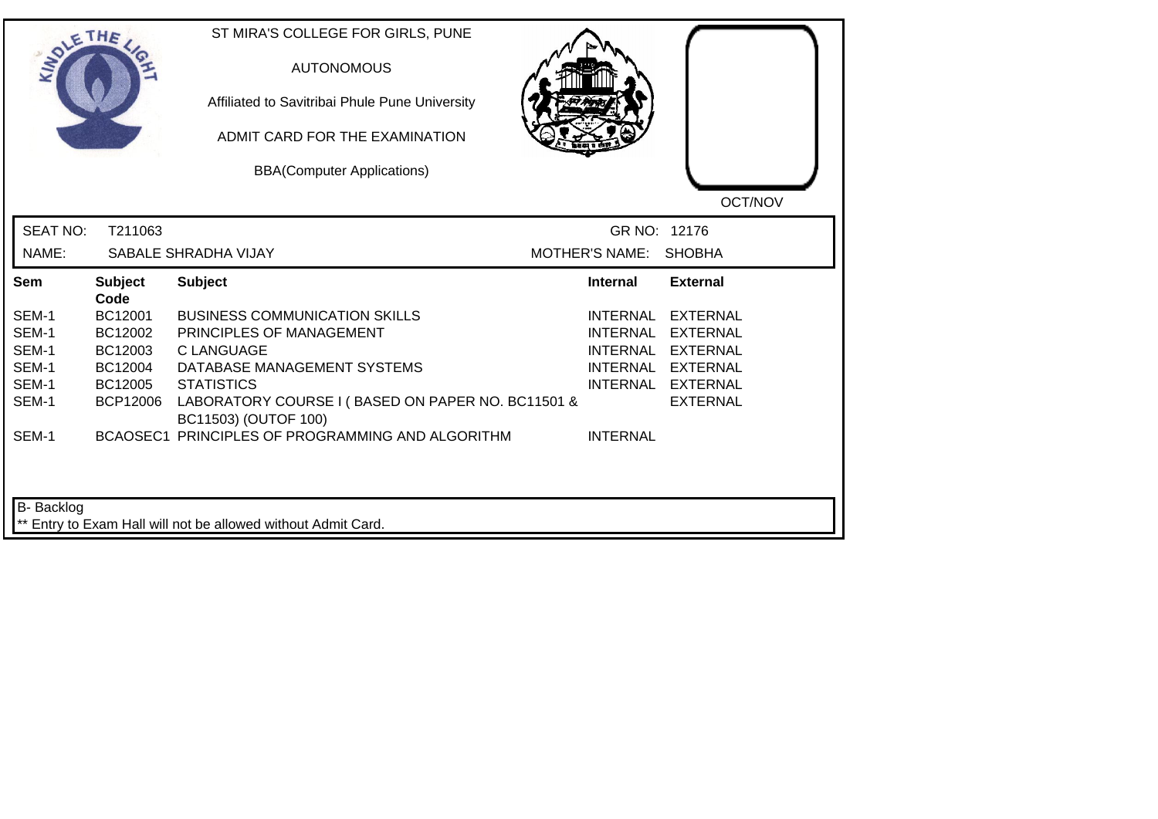|                 | THE                    | ST MIRA'S COLLEGE FOR GIRLS, PUNE<br><b>AUTONOMOUS</b><br>Affiliated to Savitribai Phule Pune University<br>ADMIT CARD FOR THE EXAMINATION<br><b>BBA(Computer Applications)</b> |                                    | OCT/NOV                            |
|-----------------|------------------------|---------------------------------------------------------------------------------------------------------------------------------------------------------------------------------|------------------------------------|------------------------------------|
| <b>SEAT NO:</b> | T211063                |                                                                                                                                                                                 | GR NO: 12176                       |                                    |
| NAME:           |                        | SABALE SHRADHA VIJAY                                                                                                                                                            | <b>MOTHER'S NAME:</b>              | <b>SHOBHA</b>                      |
| Sem             | <b>Subject</b><br>Code | <b>Subject</b>                                                                                                                                                                  | <b>Internal</b>                    | <b>External</b>                    |
| SEM-1           | BC12001                | <b>BUSINESS COMMUNICATION SKILLS</b>                                                                                                                                            | <b>INTERNAL</b>                    | <b>EXTERNAL</b>                    |
| SEM-1<br>SEM-1  | BC12002<br>BC12003     | PRINCIPLES OF MANAGEMENT<br><b>C LANGUAGE</b>                                                                                                                                   | <b>INTERNAL</b><br><b>INTERNAL</b> | <b>EXTERNAL</b><br><b>EXTERNAL</b> |
| SEM-1           | BC12004                | DATABASE MANAGEMENT SYSTEMS                                                                                                                                                     |                                    | INTERNAL EXTERNAL                  |
| SEM-1           | BC12005                | <b>STATISTICS</b>                                                                                                                                                               |                                    | INTERNAL EXTERNAL                  |
| SEM-1           | <b>BCP12006</b>        | LABORATORY COURSE I (BASED ON PAPER NO. BC11501 &<br>BC11503) (OUTOF 100)                                                                                                       |                                    | <b>EXTERNAL</b>                    |
| SEM-1           |                        | BCAOSEC1 PRINCIPLES OF PROGRAMMING AND ALGORITHM                                                                                                                                | <b>INTERNAL</b>                    |                                    |
| B- Backlog      |                        | ** Entry to Exam Hall will not be allowed without Admit Card.                                                                                                                   |                                    |                                    |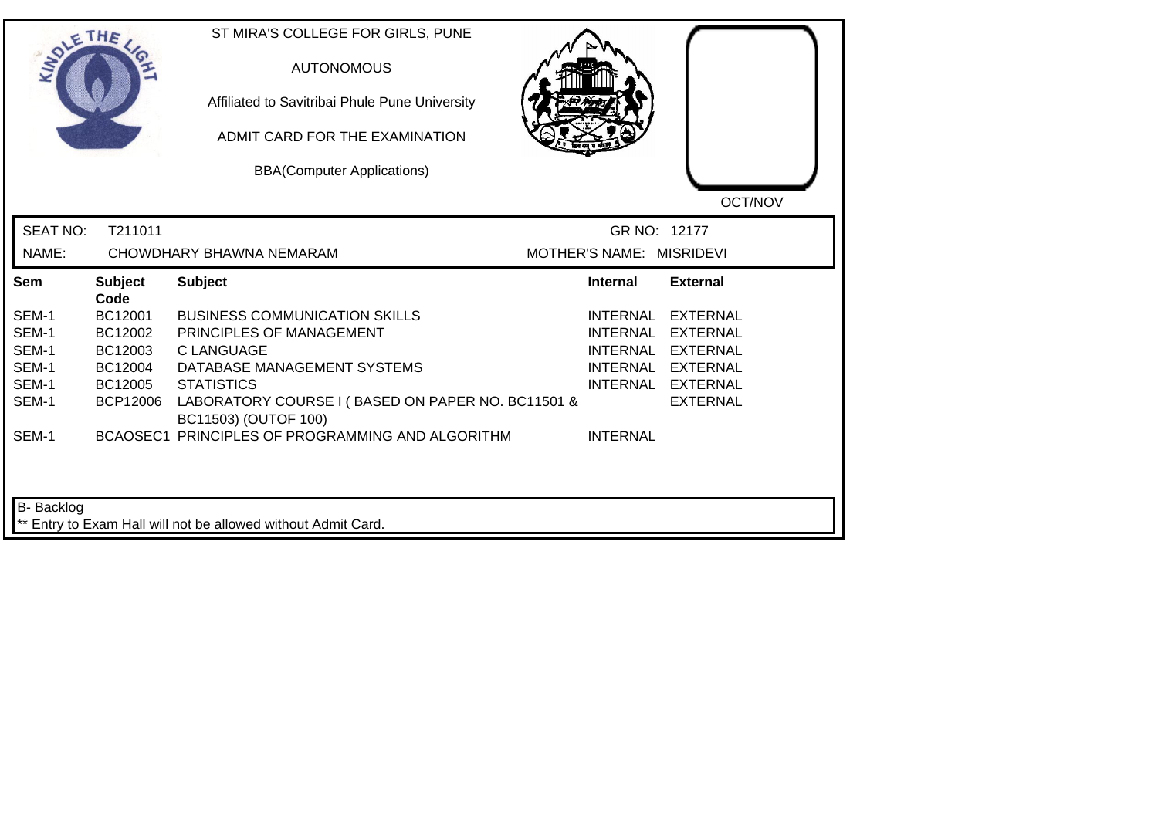| <b>LANDLE</b>   | THE                    | ST MIRA'S COLLEGE FOR GIRLS, PUNE<br><b>AUTONOMOUS</b><br>Affiliated to Savitribai Phule Pune University<br>ADMIT CARD FOR THE EXAMINATION<br><b>BBA(Computer Applications)</b> |                          | OCT/NOV           |
|-----------------|------------------------|---------------------------------------------------------------------------------------------------------------------------------------------------------------------------------|--------------------------|-------------------|
| <b>SEAT NO:</b> | T211011                |                                                                                                                                                                                 | GR NO: 12177             |                   |
| NAME:           |                        | CHOWDHARY BHAWNA NEMARAM                                                                                                                                                        | MOTHER'S NAME: MISRIDEVI |                   |
| Sem             | <b>Subject</b><br>Code | <b>Subject</b>                                                                                                                                                                  | Internal                 | <b>External</b>   |
| SEM-1           | BC12001                | <b>BUSINESS COMMUNICATION SKILLS</b>                                                                                                                                            | <b>INTERNAL</b>          | <b>EXTERNAL</b>   |
| SEM-1           | BC12002                | PRINCIPLES OF MANAGEMENT                                                                                                                                                        | <b>INTERNAL</b>          | <b>EXTERNAL</b>   |
| SEM-1           | BC12003                | <b>CLANGUAGE</b>                                                                                                                                                                | <b>INTERNAL</b>          | <b>EXTERNAL</b>   |
| SEM-1           | BC12004                | DATABASE MANAGEMENT SYSTEMS                                                                                                                                                     |                          | INTERNAL EXTERNAL |
| SEM-1           | BC12005                | <b>STATISTICS</b>                                                                                                                                                               |                          | INTERNAL EXTERNAL |
| SEM-1           | <b>BCP12006</b>        | LABORATORY COURSE I (BASED ON PAPER NO. BC11501 &<br>BC11503) (OUTOF 100)                                                                                                       |                          | <b>EXTERNAL</b>   |
| SEM-1           |                        | BCAOSEC1 PRINCIPLES OF PROGRAMMING AND ALGORITHM                                                                                                                                | <b>INTERNAL</b>          |                   |
| B- Backlog      |                        | ** Entry to Exam Hall will not be allowed without Admit Card.                                                                                                                   |                          |                   |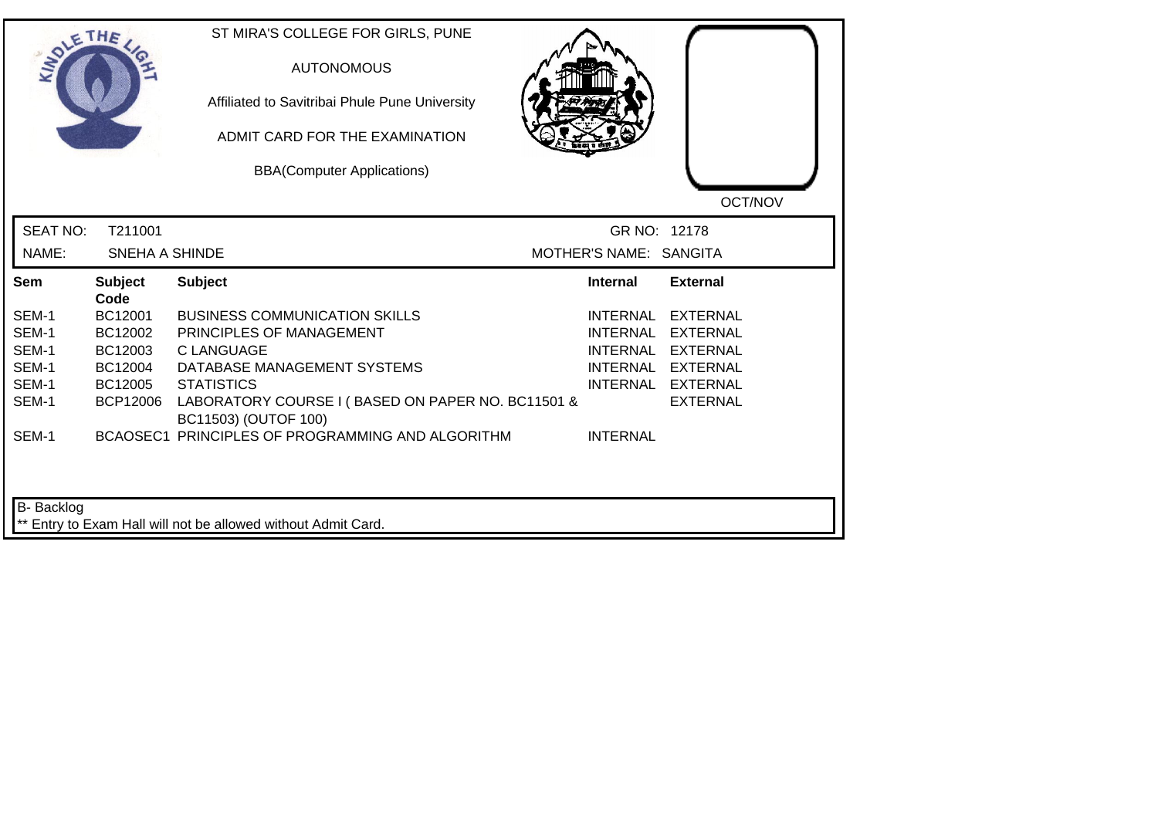|                 | THE                    | ST MIRA'S COLLEGE FOR GIRLS, PUNE<br><b>AUTONOMOUS</b><br>Affiliated to Savitribai Phule Pune University<br>ADMIT CARD FOR THE EXAMINATION<br><b>BBA(Computer Applications)</b> |                        | OCT/NOV           |
|-----------------|------------------------|---------------------------------------------------------------------------------------------------------------------------------------------------------------------------------|------------------------|-------------------|
| <b>SEAT NO:</b> | T211001                |                                                                                                                                                                                 | GR NO: 12178           |                   |
| NAME:           | <b>SNEHA A SHINDE</b>  |                                                                                                                                                                                 | MOTHER'S NAME: SANGITA |                   |
| Sem             | <b>Subject</b><br>Code | <b>Subject</b>                                                                                                                                                                  | <b>Internal</b>        | <b>External</b>   |
| SEM-1           | BC12001                | <b>BUSINESS COMMUNICATION SKILLS</b>                                                                                                                                            | INTERNAL               | EXTERNAL          |
| SEM-1           | BC12002                | PRINCIPLES OF MANAGEMENT                                                                                                                                                        | <b>INTERNAL</b>        | EXTERNAL          |
| SEM-1           | BC12003                | <b>CLANGUAGE</b>                                                                                                                                                                |                        | INTERNAL EXTERNAL |
| SEM-1           | BC12004                | DATABASE MANAGEMENT SYSTEMS                                                                                                                                                     |                        | INTERNAL EXTERNAL |
| SEM-1           | BC12005                | <b>STATISTICS</b>                                                                                                                                                               |                        | INTERNAL EXTERNAL |
| SEM-1           | <b>BCP12006</b>        | LABORATORY COURSE I (BASED ON PAPER NO. BC11501 &<br>BC11503) (OUTOF 100)                                                                                                       |                        | <b>EXTERNAL</b>   |
| SEM-1           |                        | BCAOSEC1 PRINCIPLES OF PROGRAMMING AND ALGORITHM                                                                                                                                | <b>INTERNAL</b>        |                   |
| B- Backlog      |                        | ** Entry to Exam Hall will not be allowed without Admit Card.                                                                                                                   |                        |                   |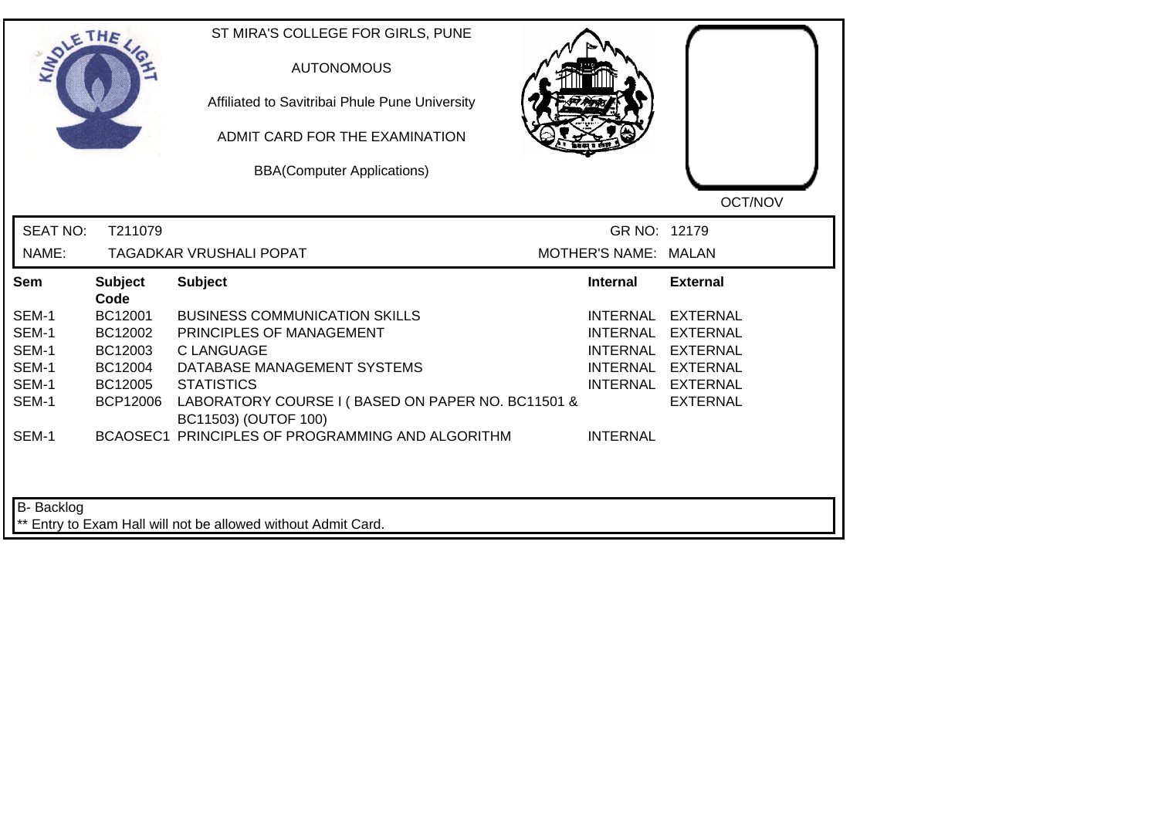|                 | THE                    | ST MIRA'S COLLEGE FOR GIRLS, PUNE<br><b>AUTONOMOUS</b><br>Affiliated to Savitribai Phule Pune University<br>ADMIT CARD FOR THE EXAMINATION<br><b>BBA(Computer Applications)</b> |                      | OCT/NOV           |
|-----------------|------------------------|---------------------------------------------------------------------------------------------------------------------------------------------------------------------------------|----------------------|-------------------|
| <b>SEAT NO:</b> | T211079                |                                                                                                                                                                                 | GR NO: 12179         |                   |
| NAME:           |                        | <b>TAGADKAR VRUSHALI POPAT</b>                                                                                                                                                  | MOTHER'S NAME: MALAN |                   |
| Sem             | <b>Subject</b><br>Code | <b>Subject</b>                                                                                                                                                                  | <b>Internal</b>      | <b>External</b>   |
| SEM-1           | BC12001                | <b>BUSINESS COMMUNICATION SKILLS</b>                                                                                                                                            | INTERNAL             | EXTERNAL          |
| SEM-1           | BC12002                | PRINCIPLES OF MANAGEMENT                                                                                                                                                        | <b>INTERNAL</b>      | <b>EXTERNAL</b>   |
| SEM-1           | BC12003                | <b>CLANGUAGE</b>                                                                                                                                                                |                      | INTERNAL EXTERNAL |
| SEM-1           | BC12004                | DATABASE MANAGEMENT SYSTEMS                                                                                                                                                     |                      | INTERNAL EXTERNAL |
| SEM-1           | BC12005                | <b>STATISTICS</b>                                                                                                                                                               |                      | INTERNAL EXTERNAL |
| SEM-1           | <b>BCP12006</b>        | LABORATORY COURSE I (BASED ON PAPER NO. BC11501 &<br>BC11503) (OUTOF 100)                                                                                                       |                      | <b>EXTERNAL</b>   |
| SEM-1           |                        | BCAOSEC1 PRINCIPLES OF PROGRAMMING AND ALGORITHM                                                                                                                                | <b>INTERNAL</b>      |                   |
| B- Backlog      |                        | ** Entry to Exam Hall will not be allowed without Admit Card.                                                                                                                   |                      |                   |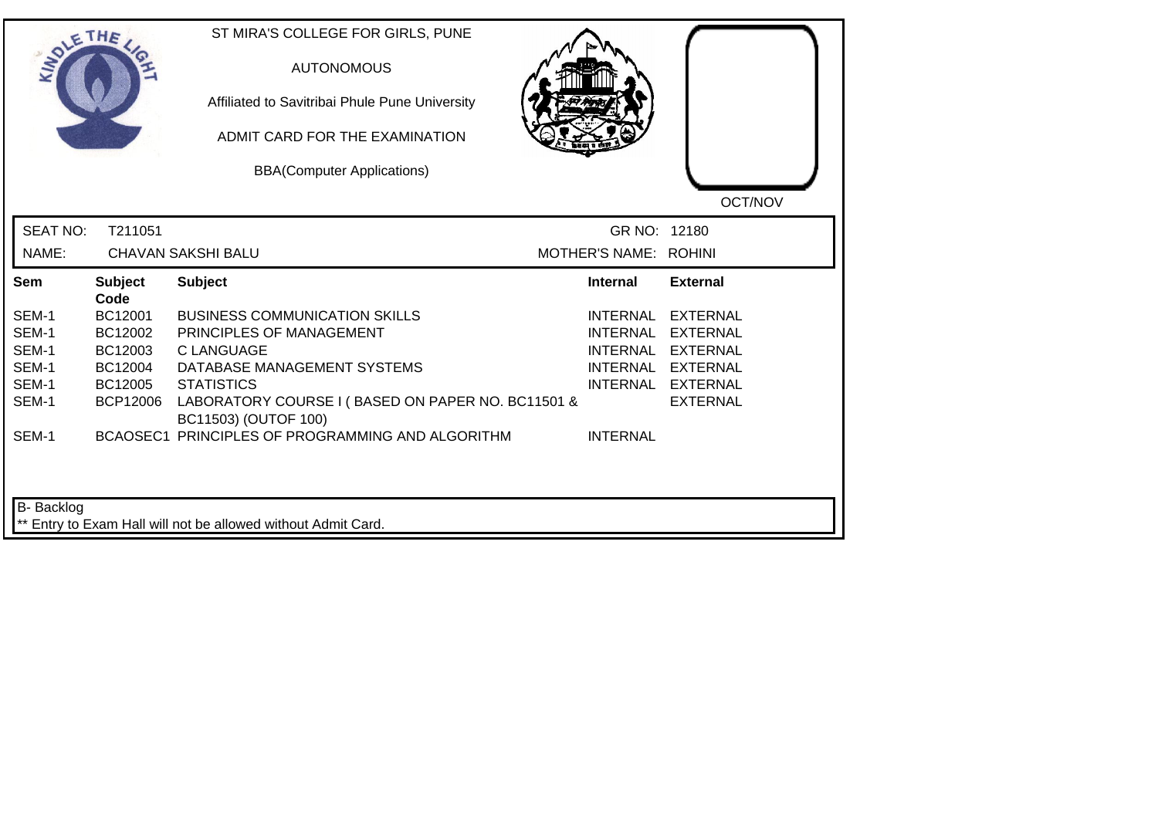|                 | THE                    | ST MIRA'S COLLEGE FOR GIRLS, PUNE<br><b>AUTONOMOUS</b><br>Affiliated to Savitribai Phule Pune University<br>ADMIT CARD FOR THE EXAMINATION<br><b>BBA(Computer Applications)</b> |                       | OCT/NOV           |
|-----------------|------------------------|---------------------------------------------------------------------------------------------------------------------------------------------------------------------------------|-----------------------|-------------------|
| <b>SEAT NO:</b> | T211051                |                                                                                                                                                                                 | GR NO: 12180          |                   |
| NAME:           |                        | <b>CHAVAN SAKSHI BALU</b>                                                                                                                                                       | MOTHER'S NAME: ROHINI |                   |
| Sem             | <b>Subject</b><br>Code | <b>Subject</b>                                                                                                                                                                  | <b>Internal</b>       | <b>External</b>   |
| SEM-1           | BC12001                | <b>BUSINESS COMMUNICATION SKILLS</b>                                                                                                                                            | <b>INTERNAL</b>       | <b>EXTERNAL</b>   |
| SEM-1           | BC12002                | PRINCIPLES OF MANAGEMENT                                                                                                                                                        | <b>INTERNAL</b>       | <b>EXTERNAL</b>   |
| SEM-1           | BC12003                | <b>C LANGUAGE</b>                                                                                                                                                               | <b>INTERNAL</b>       | <b>EXTERNAL</b>   |
| SEM-1           | BC12004                | DATABASE MANAGEMENT SYSTEMS                                                                                                                                                     |                       | INTERNAL EXTERNAL |
| SEM-1           | BC12005                | <b>STATISTICS</b>                                                                                                                                                               |                       | INTERNAL EXTERNAL |
| SEM-1           | <b>BCP12006</b>        | LABORATORY COURSE I (BASED ON PAPER NO. BC11501 &<br>BC11503) (OUTOF 100)                                                                                                       |                       | <b>EXTERNAL</b>   |
| SEM-1           |                        | BCAOSEC1 PRINCIPLES OF PROGRAMMING AND ALGORITHM                                                                                                                                | <b>INTERNAL</b>       |                   |
| B- Backlog      |                        | ** Entry to Exam Hall will not be allowed without Admit Card.                                                                                                                   |                       |                   |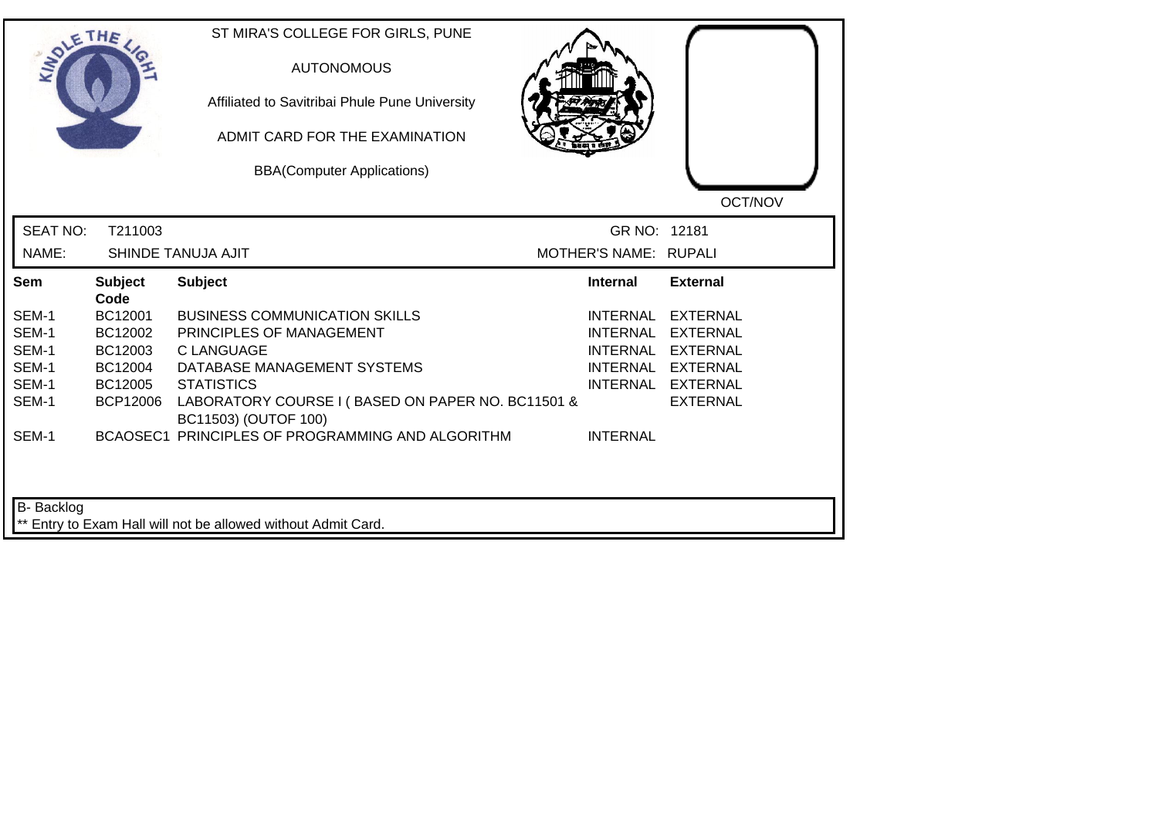|                 | THE                    | ST MIRA'S COLLEGE FOR GIRLS, PUNE<br><b>AUTONOMOUS</b><br>Affiliated to Savitribai Phule Pune University<br>ADMIT CARD FOR THE EXAMINATION<br><b>BBA(Computer Applications)</b> |                       | OCT/NOV           |
|-----------------|------------------------|---------------------------------------------------------------------------------------------------------------------------------------------------------------------------------|-----------------------|-------------------|
| <b>SEAT NO:</b> | T211003                |                                                                                                                                                                                 | GR NO: 12181          |                   |
| NAME:           |                        | SHINDE TANUJA AJIT                                                                                                                                                              | MOTHER'S NAME: RUPALI |                   |
| Sem             | <b>Subject</b><br>Code | <b>Subject</b>                                                                                                                                                                  | <b>Internal</b>       | <b>External</b>   |
| SEM-1           | BC12001                | <b>BUSINESS COMMUNICATION SKILLS</b>                                                                                                                                            | INTERNAL              | <b>EXTERNAL</b>   |
| SEM-1           | BC12002                | PRINCIPLES OF MANAGEMENT                                                                                                                                                        | <b>INTERNAL</b>       | <b>EXTERNAL</b>   |
| SEM-1           | BC12003                | <b>CLANGUAGE</b>                                                                                                                                                                | <b>INTERNAL</b>       | <b>EXTERNAL</b>   |
| SEM-1           | BC12004                | DATABASE MANAGEMENT SYSTEMS                                                                                                                                                     |                       | INTERNAL EXTERNAL |
| SEM-1           | BC12005                | <b>STATISTICS</b>                                                                                                                                                               |                       | INTERNAL EXTERNAL |
| SEM-1           | <b>BCP12006</b>        | LABORATORY COURSE I (BASED ON PAPER NO. BC11501 &<br>BC11503) (OUTOF 100)                                                                                                       |                       | <b>EXTERNAL</b>   |
| SEM-1           |                        | BCAOSEC1 PRINCIPLES OF PROGRAMMING AND ALGORITHM                                                                                                                                | <b>INTERNAL</b>       |                   |
| B- Backlog      |                        | ** Entry to Exam Hall will not be allowed without Admit Card.                                                                                                                   |                       |                   |